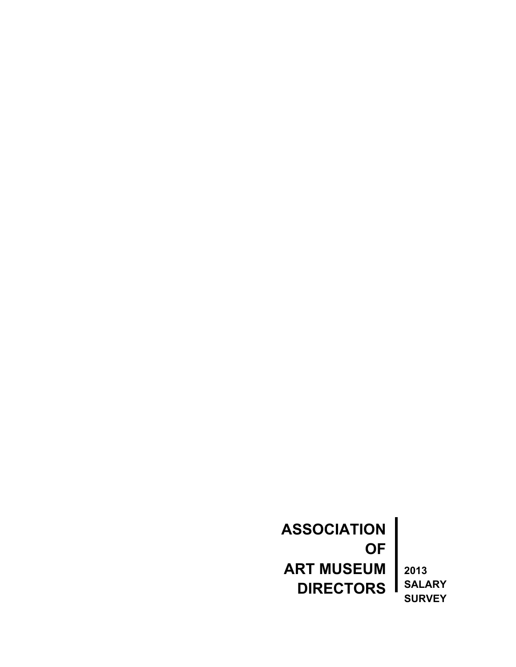**ASSOCIATION OF ART MUSEUM**  $\overline{\phantom{a}}$ **DIRECTORS** Ш

**2013 SALARY SURVEY**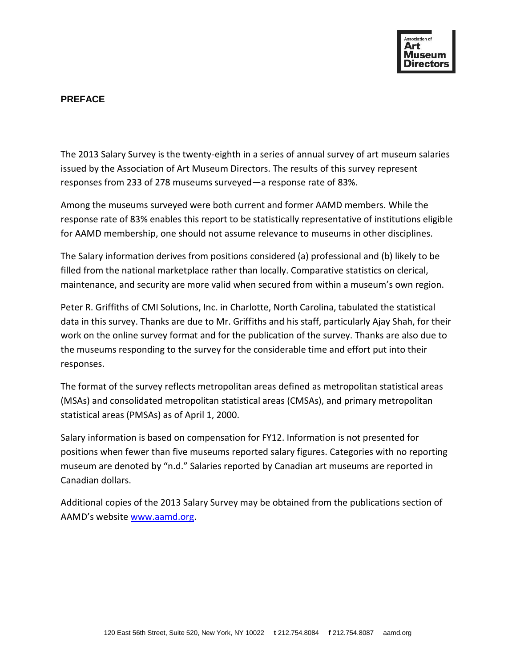

#### **PREFACE**

The 2013 Salary Survey is the twenty-eighth in a series of annual survey of art museum salaries issued by the Association of Art Museum Directors. The results of this survey represent responses from 233 of 278 museums surveyed—a response rate of 83%.

Among the museums surveyed were both current and former AAMD members. While the response rate of 83% enables this report to be statistically representative of institutions eligible for AAMD membership, one should not assume relevance to museums in other disciplines.

The Salary information derives from positions considered (a) professional and (b) likely to be filled from the national marketplace rather than locally. Comparative statistics on clerical, maintenance, and security are more valid when secured from within a museum's own region.

Peter R. Griffiths of CMI Solutions, Inc. in Charlotte, North Carolina, tabulated the statistical data in this survey. Thanks are due to Mr. Griffiths and his staff, particularly Ajay Shah, for their work on the online survey format and for the publication of the survey. Thanks are also due to the museums responding to the survey for the considerable time and effort put into their responses.

The format of the survey reflects metropolitan areas defined as metropolitan statistical areas (MSAs) and consolidated metropolitan statistical areas (CMSAs), and primary metropolitan statistical areas (PMSAs) as of April 1, 2000.

Salary information is based on compensation for FY12. Information is not presented for positions when fewer than five museums reported salary figures. Categories with no reporting museum are denoted by "n.d." Salaries reported by Canadian art museums are reported in Canadian dollars.

Additional copies of the 2013 Salary Survey may be obtained from the publications section of AAMD's website [www.aamd.org.](http://www.aamd.org/)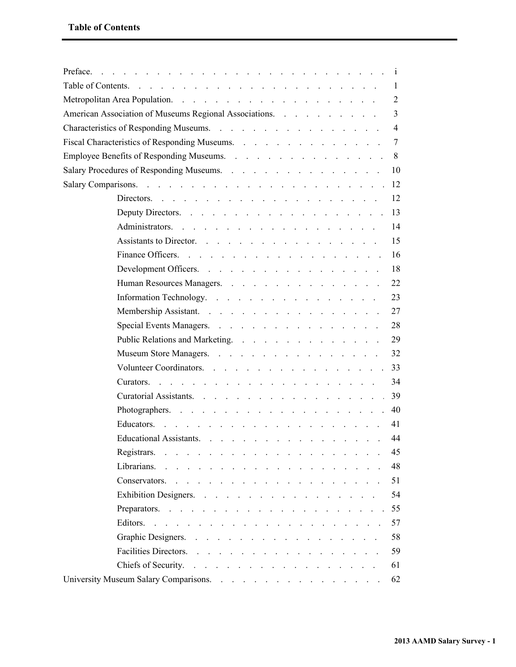| Preface.<br>de la caractería de la caractería de la caractería de la caractería de la caractería                                                                                                                                                     |     |
|------------------------------------------------------------------------------------------------------------------------------------------------------------------------------------------------------------------------------------------------------|-----|
| Table of Contents.<br>and the contract of the contract of the contract of the contract of the contract of the contract of the contract of the contract of the contract of the contract of the contract of the contract of the contract of the contra |     |
|                                                                                                                                                                                                                                                      | 2   |
| American Association of Museums Regional Associations.                                                                                                                                                                                               | 3   |
|                                                                                                                                                                                                                                                      | 4   |
| Fiscal Characteristics of Responding Museums.                                                                                                                                                                                                        |     |
| Employee Benefits of Responding Museums.                                                                                                                                                                                                             |     |
| Salary Procedures of Responding Museums.                                                                                                                                                                                                             | -10 |
|                                                                                                                                                                                                                                                      |     |
| Directors. $\cdots$ $\cdots$ $\cdots$ $\cdots$ $\cdots$ $\cdots$ $\cdots$ $\cdots$ $\cdots$ $\cdots$                                                                                                                                                 | 12  |
| Deputy Directors. 13                                                                                                                                                                                                                                 |     |
| Administrators.                                                                                                                                                                                                                                      | 14  |
| Assistants to Director.                                                                                                                                                                                                                              | 15  |
|                                                                                                                                                                                                                                                      | -16 |
| Development Officers.                                                                                                                                                                                                                                | 18  |
| Human Resources Managers.                                                                                                                                                                                                                            | 22  |
| Information Technology.                                                                                                                                                                                                                              | 23  |
|                                                                                                                                                                                                                                                      | 27  |
| Special Events Managers.                                                                                                                                                                                                                             | 28  |
| Public Relations and Marketing.                                                                                                                                                                                                                      | 29  |
| Museum Store Managers.                                                                                                                                                                                                                               | 32  |
| Volunteer Coordinators.                                                                                                                                                                                                                              | 33  |
|                                                                                                                                                                                                                                                      | 34  |
| Curatorial Assistants.                                                                                                                                                                                                                               | 39  |
|                                                                                                                                                                                                                                                      | -40 |
| Educators.<br>and the contract of the contract of the contract of the contract of the contract of the contract of the contract of the contract of the contract of the contract of the contract of the contract of the contract of the contra         | 41  |
| Educational Assistants.                                                                                                                                                                                                                              | 44  |
|                                                                                                                                                                                                                                                      | 45  |
|                                                                                                                                                                                                                                                      | 48  |
|                                                                                                                                                                                                                                                      | 51  |
| Exhibition Designers.                                                                                                                                                                                                                                | 54  |
|                                                                                                                                                                                                                                                      |     |
|                                                                                                                                                                                                                                                      | 57  |
| Graphic Designers.                                                                                                                                                                                                                                   | 58  |
| Facilities Directors.                                                                                                                                                                                                                                | 59  |
| Chiefs of Security.                                                                                                                                                                                                                                  | 61  |
|                                                                                                                                                                                                                                                      | 62  |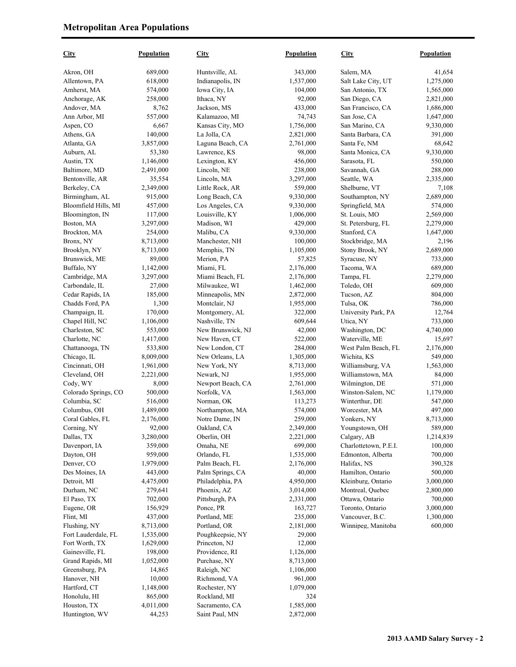| <b>City</b>          | Population | <b>City</b>       | Population | <b>City</b>           | Population |
|----------------------|------------|-------------------|------------|-----------------------|------------|
| Akron, OH            | 689,000    | Huntsville, AL    | 343,000    | Salem, MA             | 41,654     |
| Allentown, PA        | 618,000    | Indianapolis, IN  | 1,537,000  | Salt Lake City, UT    | 1,275,000  |
| Amherst, MA          | 574,000    | Iowa City, IA     | 104,000    | San Antonio, TX       | 1,565,000  |
| Anchorage, AK        | 258,000    | Ithaca, NY        | 92,000     | San Diego, CA         | 2,821,000  |
| Andover, MA          | 8,762      | Jackson, MS       | 433,000    | San Francisco, CA     | 1,686,000  |
| Ann Arbor, MI        | 557,000    | Kalamazoo, MI     | 74,743     | San Jose, CA          | 1,647,000  |
| Aspen, CO            | 6,667      | Kansas City, MO   | 1,756,000  | San Marino, CA        | 9,330,000  |
| Athens, GA           | 140,000    | La Jolla, CA      | 2,821,000  | Santa Barbara, CA     | 391,000    |
| Atlanta, GA          | 3,857,000  | Laguna Beach, CA  | 2,761,000  | Santa Fe, NM          | 68,642     |
| Auburn, AL           | 53,380     | Lawrence, KS      | 98,000     | Santa Monica, CA      | 9,330,000  |
| Austin, TX           | 1,146,000  | Lexington, KY     | 456,000    | Sarasota, FL          | 550,000    |
| Baltimore, MD        | 2,491,000  | Lincoln, NE       | 238,000    | Savannah, GA          | 288,000    |
| Bentonville, AR      | 35,554     | Lincoln, MA       | 3,297,000  | Seattle, WA           | 2,335,000  |
| Berkeley, CA         | 2,349,000  | Little Rock, AR   | 559,000    | Shelburne, VT         | 7,108      |
| Birmingham, AL       | 915,000    | Long Beach, CA    | 9,330,000  | Southampton, NY       | 2,689,000  |
| Bloomfield Hills, MI | 457,000    | Los Angeles, CA   | 9,330,000  | Springfield, MA       | 574,000    |
| Bloomington, IN      | 117,000    | Louisville, KY    | 1,006,000  | St. Louis, MO         | 2,569,000  |
| Boston, MA           | 3,297,000  | Madison, WI       | 429,000    | St. Petersburg, FL    | 2,279,000  |
| Brockton, MA         | 254,000    | Malibu, CA        | 9,330,000  | Stanford, CA          | 1,647,000  |
| Bronx, NY            | 8,713,000  | Manchester, NH    | 100,000    | Stockbridge, MA       | 2,196      |
| Brooklyn, NY         | 8,713,000  | Memphis, TN       | 1,105,000  | Stony Brook, NY       | 2,689,000  |
| Brunswick, ME        | 89,000     | Merion, PA        | 57,825     | Syracuse, NY          | 733,000    |
| Buffalo, NY          | 1,142,000  | Miami, FL         | 2,176,000  | Tacoma, WA            | 689,000    |
| Cambridge, MA        | 3,297,000  | Miami Beach, FL   | 2,176,000  | Tampa, FL             | 2,279,000  |
| Carbondale, IL       | 27,000     | Milwaukee, WI     | 1,462,000  | Toledo, OH            | 609,000    |
| Cedar Rapids, IA     | 185,000    | Minneapolis, MN   | 2,872,000  | Tucson, AZ            | 804,000    |
| Chadds Ford, PA      | 1,300      | Montclair, NJ     | 1,955,000  | Tulsa, OK             | 786,000    |
| Champaign, IL        | 170,000    | Montgomery, AL    | 322,000    | University Park, PA   | 12,764     |
| Chapel Hill, NC      | 1,106,000  | Nashville, TN     | 609,644    | Utica, NY             | 733,000    |
| Charleston, SC       | 553,000    | New Brunswick, NJ | 42,000     | Washington, DC        | 4,740,000  |
| Charlotte, NC        | 1,417,000  | New Haven, CT     | 522,000    | Waterville, ME        | 15,697     |
| Chattanooga, TN      | 533,800    | New London, CT    | 284,000    | West Palm Beach, FL   | 2,176,000  |
| Chicago, IL          | 8,009,000  | New Orleans, LA   | 1,305,000  | Wichita, KS           | 549,000    |
| Cincinnati, OH       | 1,961,000  | New York, NY      | 8,713,000  | Williamsburg, VA      | 1,563,000  |
| Cleveland, OH        | 2,221,000  | Newark, NJ        | 1,955,000  | Williamstown, MA      | 84,000     |
| Cody, WY             | 8,000      | Newport Beach, CA | 2,761,000  | Wilmington, DE        | 571,000    |
| Colorado Springs, CO | 500,000    | Norfolk, VA       | 1,563,000  | Winston-Salem, NC     | 1,179,000  |
| Columbia, SC         | 516,000    | Norman, OK        | 113,273    | Winterthur, DE        | 547,000    |
| Columbus, OH         | 1,489,000  | Northampton, MA   | 574,000    | Worcester, MA         | 497,000    |
| Coral Gables, FL     | 2,176,000  | Notre Dame, IN    | 259,000    | Yonkers, NY           | 8,713,000  |
| Corning, NY          | 92,000     | Oakland, CA       | 2,349,000  | Youngstown, OH        | 589,000    |
| Dallas, TX           | 3,280,000  | Oberlin, OH       | 2,221,000  | Calgary, AB           | 1,214,839  |
| Davenport, IA        | 359,000    | Omaha, NE         | 699,000    | Charlottetown, P.E.I. | 100,000    |
| Dayton, OH           | 959,000    | Orlando, FL       | 1,535,000  | Edmonton, Alberta     | 700,000    |
| Denver, CO           | 1,979,000  | Palm Beach, FL    | 2,176,000  | Halifax, NS           | 390,328    |
| Des Moines, IA       | 443,000    | Palm Springs, CA  | 40,000     | Hamilton, Ontario     | 500,000    |
| Detroit, MI          | 4,475,000  | Philadelphia, PA  | 4,950,000  | Kleinburg, Ontario    | 3,000,000  |
| Durham, NC           | 279,641    | Phoenix, AZ       | 3,014,000  | Montreal, Quebec      | 2,800,000  |
| El Paso, TX          | 702,000    | Pittsburgh, PA    | 2,331,000  | Ottawa, Ontario       | 700,000    |
| Eugene, OR           | 156,929    | Ponce, PR         | 163,727    | Toronto, Ontario      | 3,000,000  |
| Flint, MI            | 437,000    | Portland, ME      | 235,000    | Vancouver, B.C.       | 1,300,000  |
| Flushing, NY         | 8,713,000  | Portland, OR      | 2,181,000  | Winnipeg, Manitoba    | 600,000    |
| Fort Lauderdale, FL  | 1,535,000  | Poughkeepsie, NY  | 29,000     |                       |            |
| Fort Worth, TX       | 1,629,000  | Princeton, NJ     | 12,000     |                       |            |
| Gainesville, FL      | 198,000    | Providence, RI    | 1,126,000  |                       |            |
| Grand Rapids, MI     | 1,052,000  | Purchase, NY      | 8,713,000  |                       |            |
| Greensburg, PA       | 14,865     | Raleigh, NC       | 1,106,000  |                       |            |
| Hanover, NH          | 10,000     | Richmond, VA      | 961,000    |                       |            |
| Hartford, CT         | 1,148,000  | Rochester, NY     | 1,079,000  |                       |            |
| Honolulu, HI         | 865,000    | Rockland, MI      | 324        |                       |            |
| Houston, TX          | 4,011,000  | Sacramento, CA    | 1,585,000  |                       |            |
| Huntington, WV       | 44,253     | Saint Paul, MN    | 2,872,000  |                       |            |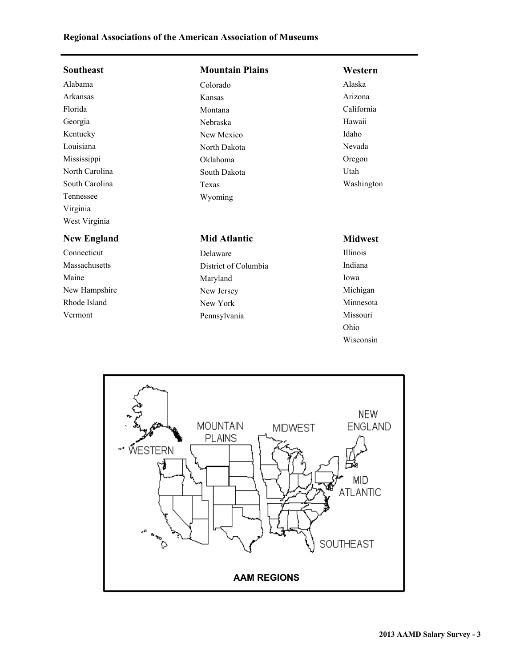## **Regional Associations of the American Association of Museums**

| <b>Southeast</b>   | <b>Mountain Plains</b> | Western         |
|--------------------|------------------------|-----------------|
| Alabama            | Colorado               | Alaska          |
| Arkansas           | Kansas                 | Arizona         |
| Florida            | Montana                | California      |
| Georgia            | Nebraska               | Hawaii          |
| Kentucky           | New Mexico             | Idaho           |
| Louisiana          | North Dakota           | Nevada          |
| Mississippi        | Oklahoma               | Oregon          |
| North Carolina     | South Dakota           | Utah            |
| South Carolina     | Texas                  | Washington      |
| Tennessee          | Wyoming                |                 |
| Virginia           |                        |                 |
| West Virginia      |                        |                 |
| <b>New England</b> | <b>Mid Atlantic</b>    | <b>Midwest</b>  |
| Connecticut        | Delaware               | <b>Illinois</b> |
| Massachusetts      | District of Columbia   | Indiana         |
| Maine              | Maryland               | Iowa            |
| New Hampshire      | New Jersey             | Michigan        |
| Rhode Island       | New York               | Minnesota       |
| Vermont            | Pennsylvania           | Missouri        |
|                    |                        | Ohio            |



Wisconsin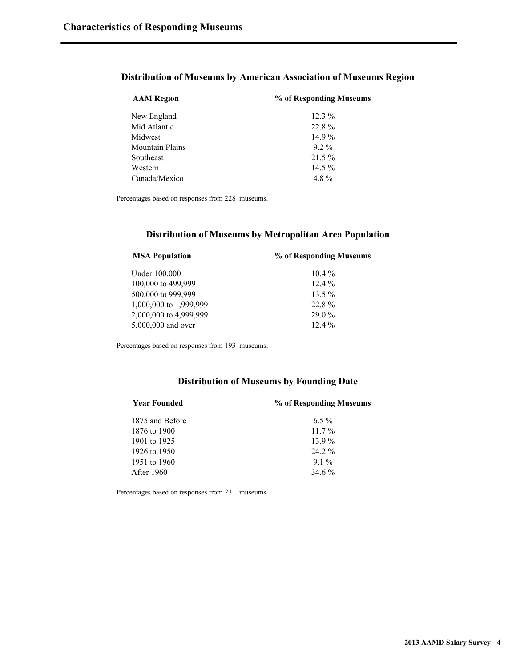#### **Distribution of Museums by American Association of Museums Region**

| <b>AAM Region</b>      | % of Responding Museums |  |
|------------------------|-------------------------|--|
| New England            | $12.3\%$                |  |
| Mid Atlantic           | 22.8%                   |  |
| Midwest                | $14.9\%$                |  |
| <b>Mountain Plains</b> | $9.2\%$                 |  |
| Southeast              | $21.5\%$                |  |
| Western                | 14.5 $%$                |  |
| Canada/Mexico          | 4.8%                    |  |

Percentages based on responses from 228 museums.

#### **Distribution of Museums by Metropolitan Area Population**

| % of Responding Museums |
|-------------------------|
| $104\%$                 |
| $12.4\%$                |
| $13.5\%$                |
| 22.8%                   |
| $29.0\%$                |
| $12.4\%$                |
|                         |

Percentages based on responses from 193 museums.

#### **Distribution of Museums by Founding Date**

| <b>Year Founded</b> | % of Responding Museums |  |
|---------------------|-------------------------|--|
| 1875 and Before     | $6.5\%$                 |  |
| 1876 to 1900        | $11.7\%$                |  |
| 1901 to 1925        | $13.9\%$                |  |
| 1926 to 1950        | $24.2\%$                |  |
| 1951 to 1960        | $91\%$                  |  |
| After 1960          | 34.6%                   |  |
|                     |                         |  |

Percentages based on responses from 231 museums.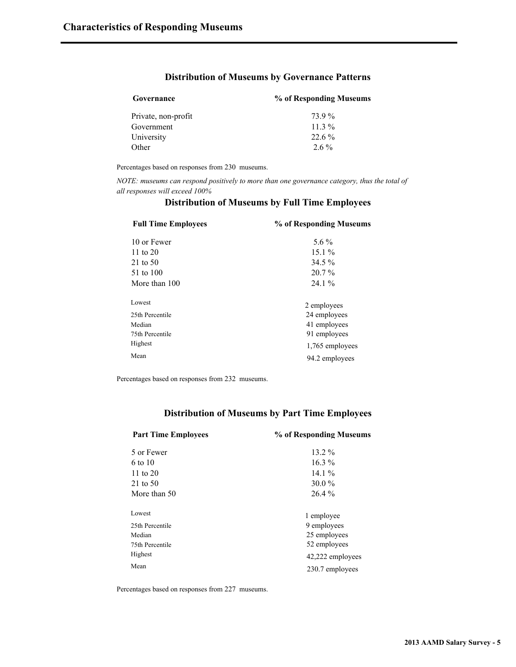#### **Distribution of Museums by Governance Patterns**

| Governance          | % of Responding Museums |
|---------------------|-------------------------|
| Private, non-profit | 73 9 %                  |
| Government          | 11 3 $\%$               |
| University          | $22.6\%$                |
| Other               | $2.6\%$                 |

Percentages based on responses from 230 museums.

*NOTE: museums can respond positively to more than one governance category, thus the total of all responses will exceed 100%*

| <b>Full Time Employees</b> | % of Responding Museums |  |
|----------------------------|-------------------------|--|
| 10 or Fewer                | 5.6 $\%$                |  |
| 11 to $20$                 | $15.1\%$                |  |
| 21 to 50                   | 34.5 %                  |  |
| 51 to 100                  | $20.7\%$                |  |
| More than 100              | $24.1\%$                |  |
| Lowest                     | 2 employees             |  |
| 25th Percentile            | 24 employees            |  |
| Median                     | 41 employees            |  |
| 75th Percentile            | 91 employees            |  |
| Highest                    | 1,765 employees         |  |
| Mean                       | 94.2 employees          |  |

#### **Distribution of Museums by Full Time Employees**

Percentages based on responses from 232 museums.

#### **Distribution of Museums by Part Time Employees**

| <b>Part Time Employees</b> | % of Responding Museums |  |
|----------------------------|-------------------------|--|
| 5 or Fewer                 | $13.2\%$                |  |
| 6 to 10                    | $16.3\%$                |  |
| 11 to $20$                 | 14.1 $%$                |  |
| 21 to 50                   | $30.0\%$                |  |
| More than 50               | 26.4 %                  |  |
| Lowest                     | 1 employee              |  |
| 25th Percentile            | 9 employees             |  |
| Median                     | 25 employees            |  |
| 75th Percentile            | 52 employees            |  |
| Highest                    | 42,222 employees        |  |
| Mean                       | 230.7 employees         |  |

Percentages based on responses from 227 museums.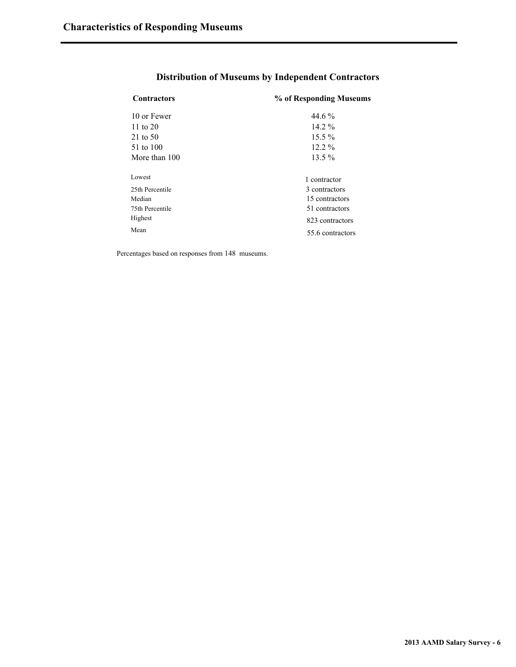| <b>Contractors</b> | % of Responding Museums |
|--------------------|-------------------------|
| 10 or Fewer        | 44 6 %                  |
| 11 to $20$         | $14.2\%$                |
| 21 to 50           | $15.5\%$                |
| 51 to 100          | $12.2\%$                |
| More than 100      | $13.5\%$                |
| Lowest             | 1 contractor            |
| 25th Percentile    | 3 contractors           |
| Median             | 15 contractors          |
| 75th Percentile    | 51 contractors          |
| Highest            | 823 contractors         |
| Mean               | 55.6 contractors        |

## **Distribution of Museums by Independent Contractors**

Percentages based on responses from 148 museums.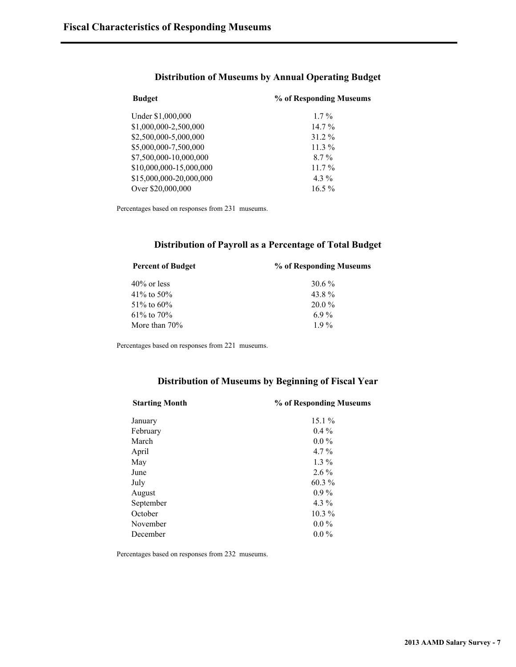| <b>Budget</b>           | % of Responding Museums |  |
|-------------------------|-------------------------|--|
| Under \$1,000,000       | $1.7\%$                 |  |
| \$1,000,000-2,500,000   | $14.7\%$                |  |
| \$2,500,000-5,000,000   | 31.2 %                  |  |
| \$5,000,000-7,500,000   | $11.3\%$                |  |
| \$7,500,000-10,000,000  | $8.7\%$                 |  |
| \$10,000,000-15,000,000 | $11.7\%$                |  |
| \$15,000,000-20,000,000 | $4.3\%$                 |  |
| Over \$20,000,000       | $16.5\%$                |  |

#### **Distribution of Museums by Annual Operating Budget**

Percentages based on responses from 231 museums.

#### **Distribution of Payroll as a Percentage of Total Budget**

| <b>Percent of Budget</b> | % of Responding Museums |
|--------------------------|-------------------------|
| $40\%$ or less           | $30.6\%$                |
| 41\% to 50\%             | 43.8%                   |
| 51\% to 60\%             | $20.0\%$                |
| $61\%$ to $70\%$         | 69%                     |
| More than $70\%$         | 19%                     |

Percentages based on responses from 221 museums.

#### **Distribution of Museums by Beginning of Fiscal Year**

| <b>Starting Month</b> | % of Responding Museums |
|-----------------------|-------------------------|
| January               | $15.1\%$                |
| February              | $0.4\%$                 |
| March                 | $0.0\%$                 |
| April                 | $4.7\%$                 |
| May                   | $1.3\%$                 |
| June                  | $2.6\%$                 |
| July                  | 60.3%                   |
| August                | $0.9\%$                 |
| September             | $4.3\%$                 |
| October               | $10.3\%$                |
| November              | $0.0\%$                 |
| December              | $0.0\%$                 |
|                       |                         |

Percentages based on responses from 232 museums.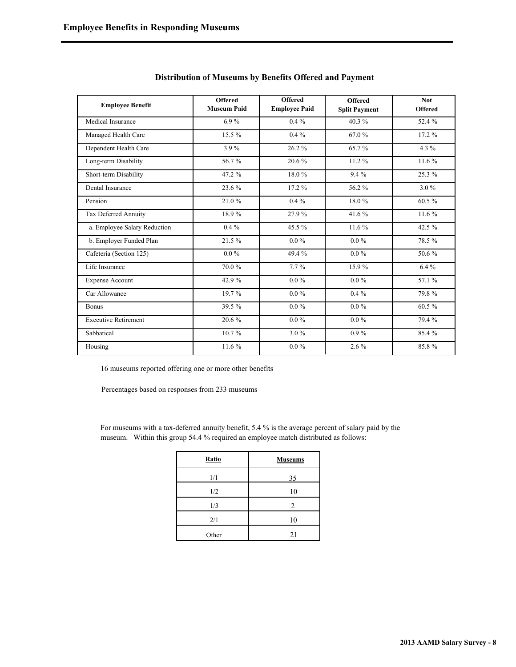| <b>Employee Benefit</b>      | <b>Offered</b><br><b>Museum Paid</b> | <b>Offered</b><br><b>Employee Paid</b> | <b>Offered</b><br><b>Split Payment</b> | <b>Not</b><br><b>Offered</b> |
|------------------------------|--------------------------------------|----------------------------------------|----------------------------------------|------------------------------|
| Medical Insurance            | $6.9\%$                              | $0.4\%$                                | 40.3%                                  | 52.4%                        |
| Managed Health Care          | $15.5\%$                             | $0.4\%$                                | 67.0%                                  | 17.2%                        |
| Dependent Health Care        | 3.9%                                 | 26.2%                                  | 65.7%                                  | 4.3 %                        |
| Long-term Disability         | 56.7%                                | 20.6%                                  | 11.2%                                  | 11.6%                        |
| Short-term Disability        | 47.2%                                | 18.0%                                  | $9.4\%$                                | 25.3 %                       |
| Dental Insurance             | 23.6%                                | 17.2 %                                 | 56.2%                                  | 3.0%                         |
| Pension                      | 21.0%                                | $0.4\%$                                | 18.0%                                  | 60.5%                        |
| Tax Deferred Annuity         | 18.9%                                | 27.9%                                  | 41.6%                                  | 11.6%                        |
| a. Employee Salary Reduction | $0.4\%$                              | 45.5%                                  | 11.6%                                  | 42.5%                        |
| b. Employer Funded Plan      | 21.5%                                | $0.0\%$                                | $0.0\%$                                | 78.5%                        |
| Cafeteria (Section 125)      | $0.0\%$                              | 49.4%                                  | $0.0\,\%$                              | 50.6%                        |
| Life Insurance               | 70.0%                                | $7.7\%$                                | 15.9%                                  | 6.4%                         |
| <b>Expense Account</b>       | 42.9%                                | $0.0\%$                                | $0.0\%$                                | 57.1 %                       |
| Car Allowance                | 19.7%                                | $0.0\%$                                | $0.4\%$                                | 79.8%                        |
| <b>Bonus</b>                 | 39.5%                                | $0.0\%$                                | $0.0\%$                                | 60.5%                        |
| <b>Executive Retirement</b>  | 20.6%                                | $0.0\%$                                | $0.0\%$                                | 79.4%                        |
| Sabbatical                   | $10.7\%$                             | $3.0\%$                                | $0.9\%$                                | 85.4%                        |
| Housing                      | 11.6%                                | $0.0\%$                                | 2.6%                                   | 85.8%                        |

16 museums reported offering one or more other benefits

Percentages based on responses from 233 museums

For museums with a tax-deferred annuity benefit, 5.4 % is the average percent of salary paid by the museum. Within this group 54.4 % required an employee match distributed as follows:

| Ratio | <b>Museums</b> |
|-------|----------------|
| 1/1   | 35             |
| 1/2   | 10             |
| 1/3   | $\mathfrak{D}$ |
| 2/1   | 10             |
| Other | 21             |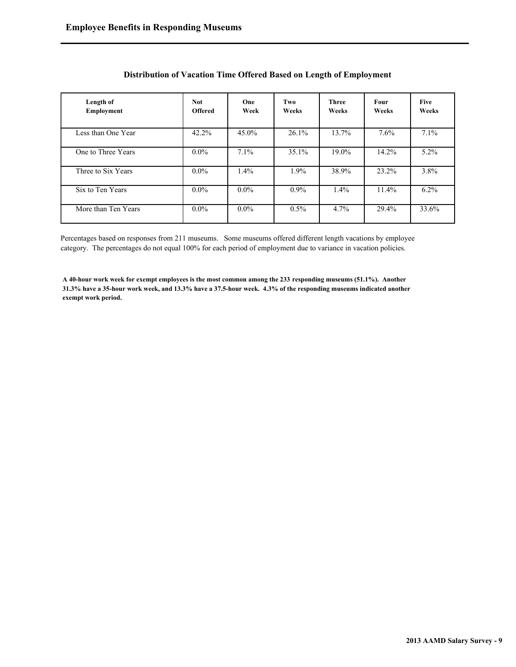| Length of<br>Employment | <b>Not</b><br><b>Offered</b> | One<br>Week | Two<br>Weeks | <b>Three</b><br>Weeks | <b>Four</b><br>Weeks | <b>Five</b><br>Weeks |
|-------------------------|------------------------------|-------------|--------------|-----------------------|----------------------|----------------------|
| Less than One Year      | 42.2%                        | $45.0\%$    | 26.1%        | 13.7%                 | 7.6%                 | 7.1%                 |
| One to Three Years      | $0.0\%$                      | 7.1%        | 35.1%        | 19.0%                 | 14.2%                | $5.2\%$              |
| Three to Six Years      | $0.0\%$                      | $1.4\%$     | $1.9\%$      | 38.9%                 | 23.2%                | 3.8%                 |
| Six to Ten Years        | $0.0\%$                      | $0.0\%$     | $0.9\%$      | $1.4\%$               | $11.4\%$             | $6.2\%$              |
| More than Ten Years     | $0.0\%$                      | $0.0\%$     | $0.5\%$      | 4.7%                  | 29.4%                | 33.6%                |

#### **Distribution of Vacation Time Offered Based on Length of Employment**

Percentages based on responses from 211 museums. Some museums offered different length vacations by employee category. The percentages do not equal 100% for each period of employment due to variance in vacation policies.

**A 40-hour work week for exempt employees is the most common among the 233 responding museums (51.1%). Another 31.3% have a 35-hour work week, and 13.3% have a 37.5-hour week. 4.3% of the responding museums indicated another exempt work period.**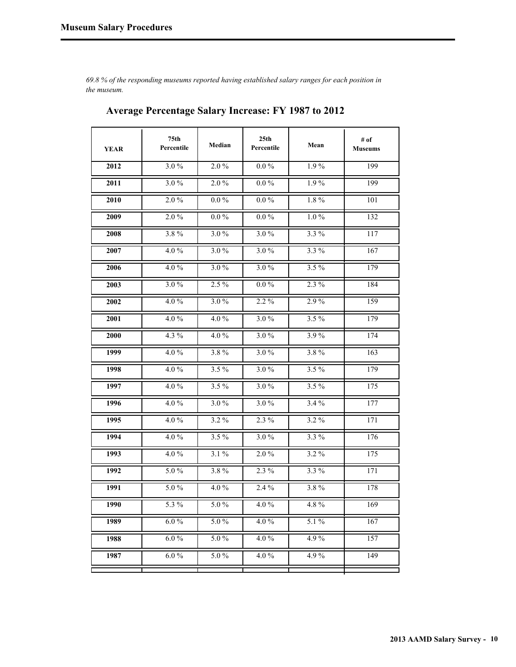*69.8 % of the responding museums reported having established salary ranges for each position in the museum.*

| <b>YEAR</b> | 75th<br>Percentile | Median   | 25th<br>Percentile | Mean    | $#$ of<br><b>Museums</b> |
|-------------|--------------------|----------|--------------------|---------|--------------------------|
| 2012        | 3.0%               | $2.0\%$  | $0.0\%$            | 1.9%    | 199                      |
| 2011        | 3.0%               | $2.0\%$  | $0.0\%$            | $1.9\%$ | 199                      |
| 2010        | $2.0\%$            | $0.0\%$  | $0.0\%$            | $1.8\%$ | <b>101</b>               |
| 2009        | $2.0\%$            | $0.0\%$  | $0.0\%$            | $1.0\%$ | 132                      |
| 2008        | 3.8%               | 3.0%     | 3.0%               | $3.3\%$ | 117                      |
| 2007        | 4.0%               | 3.0%     | 3.0%               | $3.3\%$ | $\overline{1}67$         |
| 2006        | 4.0%               | 3.0%     | 3.0%               | $3.5\%$ | 179                      |
| 2003        | 3.0%               | $2.5\%$  | $0.0\%$            | $2.3\%$ | 184                      |
| 2002        | 4.0%               | 3.0%     | $2.2\%$            | 2.9%    | 159                      |
| 2001        | 4.0%               | $4.0\%$  | 3.0%               | $3.5\%$ | 179                      |
| 2000        | $4.3\%$            | $4.0\%$  | 3.0%               | 3.9%    | 174                      |
| 1999        | $4.0\%$            | $3.8\%$  | 3.0%               | $3.8\%$ | 163                      |
| 1998        | 4.0%               | $3.5\%$  | 3.0%               | $3.5\%$ | 179                      |
| 1997        | 4.0%               | $3.5\%$  | 3.0%               | $3.5\%$ | 175                      |
| 1996        | 4.0%               | 3.0%     | 3.0%               | 3.4%    | 177                      |
| 1995        | 4.0%               | $3.2\%$  | 2.3 %              | $3.2\%$ | 171                      |
| 1994        | 4.0%               | $3.5\%$  | 3.0%               | 3.3 %   | 176                      |
| 1993        | 4.0%               | $3.1\%$  | $2.0\%$            | $3.2\%$ | 175                      |
| 1992        | 5.0%               | $3.8\%$  | $2.3\%$            | $3.3\%$ | 171                      |
| 1991        | $5.0 \%$           | 4.0%     | 2.4 %              | 3.8%    | 178                      |
| 1990        | 5.3 %              | $5.0\%$  | $4.0\%$            | $4.8\%$ | 169                      |
| 1989        | $6.0\%$            | $5.0\%$  | $4.0\%$            | $5.1\%$ | 167                      |
| 1988        | $6.0\%$            | 5.0%     | 4.0%               | 4.9%    | 157                      |
| 1987        | $6.0\,\%$          | $5.0 \%$ | 4.0%               | 4.9%    | 149                      |
|             |                    |          |                    |         |                          |

## **Average Percentage Salary Increase: FY 1987 to 2012**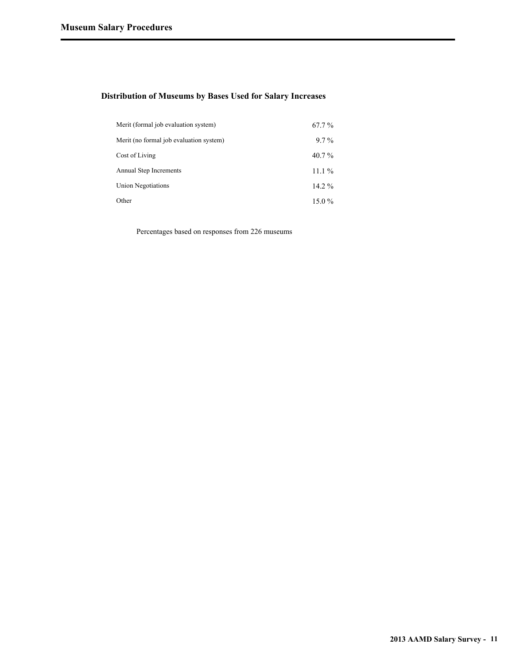#### **Distribution of Museums by Bases Used for Salary Increases**

| Merit (formal job evaluation system)    | $67.7\%$ |
|-----------------------------------------|----------|
| Merit (no formal job evaluation system) | $9.7\%$  |
| Cost of Living                          | $40.7\%$ |
| Annual Step Increments                  | $11.1\%$ |
| Union Negotiations                      | $14.2\%$ |
| Other                                   | $15.0\%$ |

Percentages based on responses from 226 museums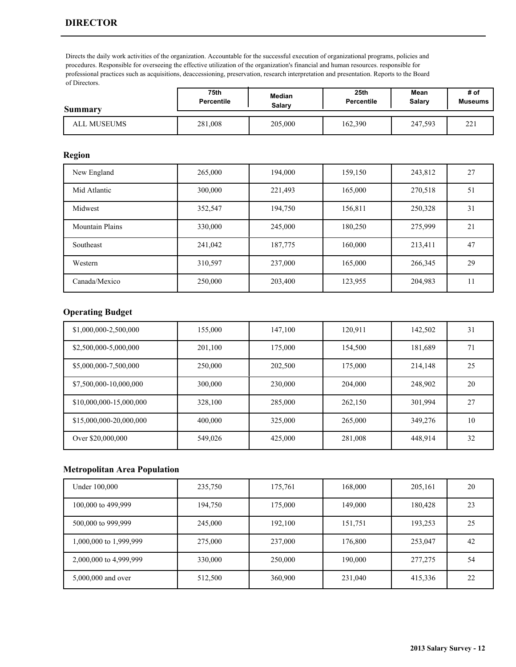## **DIRECTOR**

Directs the daily work activities of the organization. Accountable for the successful execution of organizational programs, policies and procedures. Responsible for overseeing the effective utilization of the organization's financial and human resources. responsible for professional practices such as acquisitions, deaccessioning, preservation, research interpretation and presentation. Reports to the Board of Directors.

| <b>Summary</b> | 75th              | Median  | 25 <sub>th</sub>  | Mean    | # of                |
|----------------|-------------------|---------|-------------------|---------|---------------------|
|                | <b>Percentile</b> | Salarv  | <b>Percentile</b> | Salarv  | <b>Museums</b>      |
| ALL MUSEUMS    | 281,008           | 205,000 | 162,390           | 247,593 | $\mathbf{A}$<br>44. |

#### **Region**

| New England            | 265,000 | 194,000 | 159,150 | 243,812 | 27       |
|------------------------|---------|---------|---------|---------|----------|
| Mid Atlantic           | 300,000 | 221,493 | 165,000 | 270,518 | 51       |
| Midwest                | 352,547 | 194,750 | 156,811 | 250,328 | 31       |
| <b>Mountain Plains</b> | 330,000 | 245,000 | 180,250 | 275,999 | 21       |
| Southeast              | 241,042 | 187,775 | 160,000 | 213,411 | 47       |
| Western                | 310,597 | 237,000 | 165,000 | 266,345 | 29       |
| Canada/Mexico          | 250,000 | 203,400 | 123,955 | 204,983 | - 1<br>. |

### **Operating Budget**

| \$1,000,000-2,500,000   | 155,000 | 147,100 | 120,911 | 142,502 | 31 |
|-------------------------|---------|---------|---------|---------|----|
| \$2,500,000-5,000,000   | 201,100 | 175,000 | 154,500 | 181,689 | 71 |
| \$5,000,000-7,500,000   | 250,000 | 202,500 | 175,000 | 214,148 | 25 |
| \$7,500,000-10,000,000  | 300,000 | 230,000 | 204,000 | 248,902 | 20 |
| \$10,000,000-15,000,000 | 328,100 | 285,000 | 262,150 | 301,994 | 27 |
| \$15,000,000-20,000,000 | 400,000 | 325,000 | 265,000 | 349.276 | 10 |
| Over \$20,000,000       | 549,026 | 425,000 | 281,008 | 448,914 | 32 |

| Under 100,000          | 235,750 | 175,761 | 168,000 | 205,161 | 20 |
|------------------------|---------|---------|---------|---------|----|
| 100,000 to 499,999     | 194,750 | 175,000 | 149,000 | 180,428 | 23 |
| 500,000 to 999,999     | 245,000 | 192,100 | 151,751 | 193,253 | 25 |
| 1,000,000 to 1,999,999 | 275,000 | 237,000 | 176,800 | 253,047 | 42 |
| 2,000,000 to 4,999,999 | 330,000 | 250,000 | 190,000 | 277,275 | 54 |
| 5,000,000 and over     | 512,500 | 360,900 | 231,040 | 415,336 | 22 |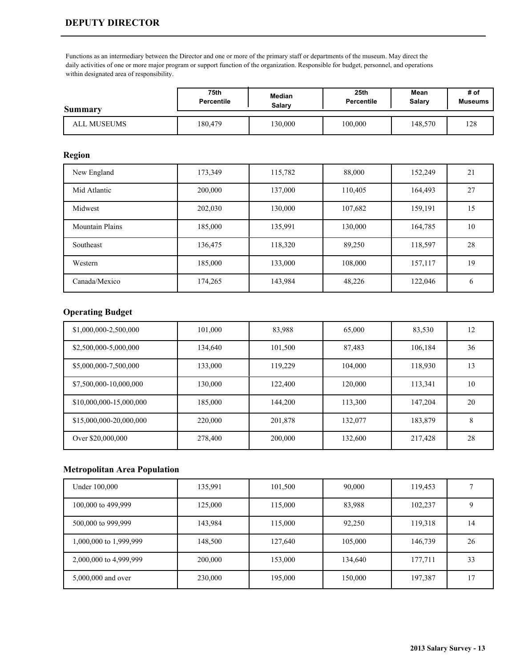#### **DEPUTY DIRECTOR**

Functions as an intermediary between the Director and one or more of the primary staff or departments of the museum. May direct the daily activities of one or more major program or support function of the organization. Responsible for budget, personnel, and operations within designated area of responsibility.

| Summary     | 75th              | Median | 25 <sub>th</sub>  | Mean    | # of           |
|-------------|-------------------|--------|-------------------|---------|----------------|
|             | <b>Percentile</b> | Salarv | <b>Percentile</b> | Salary  | <b>Museums</b> |
| ALL MUSEUMS | 180.479           | 30,000 | 100,000           | 148,570 | 128            |

#### **Region**

| New England            | 173,349 | 115,782 | 88,000  | 152,249 | 21              |
|------------------------|---------|---------|---------|---------|-----------------|
| Mid Atlantic           | 200,000 | 137,000 | 110,405 | 164,493 | 27              |
| Midwest                | 202,030 | 130,000 | 107,682 | 159,191 | 15 <sup>5</sup> |
| <b>Mountain Plains</b> | 185,000 | 135,991 | 130,000 | 164,785 | 10              |
| Southeast              | 136,475 | 118,320 | 89,250  | 118,597 | 28              |
| Western                | 185,000 | 133,000 | 108,000 | 157,117 | 19              |
| Canada/Mexico          | 174,265 | 143,984 | 48,226  | 122,046 | b               |

### **Operating Budget**

| \$1,000,000-2,500,000   | 101,000 | 83,988  | 65,000  | 83,530  | 12 |
|-------------------------|---------|---------|---------|---------|----|
| \$2,500,000-5,000,000   | 134,640 | 101,500 | 87,483  | 106,184 | 36 |
| \$5,000,000-7,500,000   | 133,000 | 119,229 | 104,000 | 118,930 | 13 |
| \$7,500,000-10,000,000  | 130,000 | 122,400 | 120,000 | 113,341 | 10 |
| \$10,000,000-15,000,000 | 185,000 | 144,200 | 113,300 | 147,204 | 20 |
| \$15,000,000-20,000,000 | 220,000 | 201,878 | 132,077 | 183,879 | 8  |
| Over \$20,000,000       | 278,400 | 200,000 | 132,600 | 217,428 | 28 |

| Under 100,000          | 135,991 | 101,500 | 90,000  | 119,453 |    |
|------------------------|---------|---------|---------|---------|----|
| 100,000 to 499,999     | 125,000 | 115,000 | 83,988  | 102,237 |    |
| 500,000 to 999,999     | 143,984 | 115,000 | 92,250  | 119,318 | 14 |
| 1,000,000 to 1,999,999 | 148,500 | 127,640 | 105,000 | 146,739 | 26 |
| 2,000,000 to 4,999,999 | 200,000 | 153,000 | 134,640 | 177,711 | 33 |
| 5,000,000 and over     | 230,000 | 195,000 | 150,000 | 197,387 | 17 |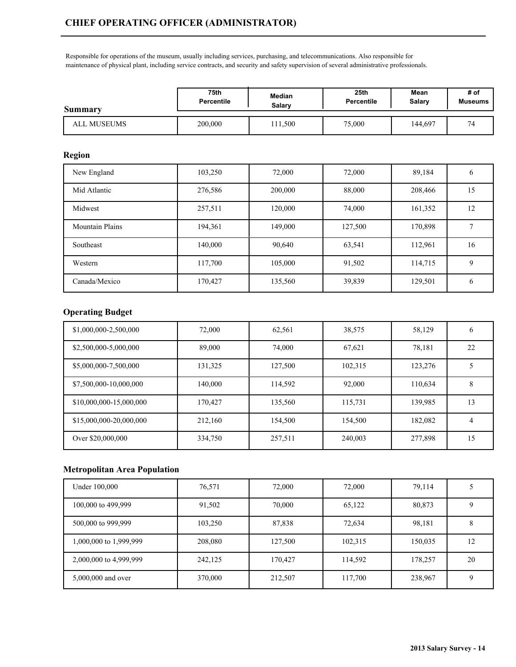Responsible for operations of the museum, usually including services, purchasing, and telecommunications. Also responsible for maintenance of physical plant, including service contracts, and security and safety supervision of several administrative professionals.

| Summary     | 75th              | Median | 25 <sub>th</sub> | Mean    | # of           |
|-------------|-------------------|--------|------------------|---------|----------------|
|             | <b>Percentile</b> | Salary | Percentile       | Salary  | <b>Museums</b> |
| ALL MUSEUMS | 200,000           | 11.500 | 75,000           | 144,697 | $\mathbf{r}$   |

### **Region**

| New England            | 103,250 | 72,000  | 72,000  | 89,184  | b  |
|------------------------|---------|---------|---------|---------|----|
| Mid Atlantic           | 276,586 | 200,000 | 88,000  | 208,466 | 15 |
| Midwest                | 257,511 | 120,000 | 74.000  | 161,352 | 12 |
| <b>Mountain Plains</b> | 194,361 | 149,000 | 127,500 | 170,898 |    |
| Southeast              | 140,000 | 90,640  | 63,541  | 112,961 | 16 |
| Western                | 117,700 | 105,000 | 91,502  | 114,715 | 9  |
| Canada/Mexico          | 170,427 | 135,560 | 39,839  | 129,501 | b  |

## **Operating Budget**

| \$1,000,000-2,500,000   | 72,000  | 62,561  | 38,575  | 58,129  | O  |
|-------------------------|---------|---------|---------|---------|----|
| \$2,500,000-5,000,000   | 89,000  | 74,000  | 67,621  | 78,181  | 22 |
| \$5,000,000-7,500,000   | 131,325 | 127,500 | 102,315 | 123,276 |    |
| \$7,500,000-10,000,000  | 140,000 | 114,592 | 92,000  | 110,634 | 8  |
| \$10,000,000-15,000,000 | 170,427 | 135,560 | 115,731 | 139,985 | 13 |
| \$15,000,000-20,000,000 | 212,160 | 154,500 | 154,500 | 182,082 | 4  |
| Over \$20,000,000       | 334,750 | 257,511 | 240,003 | 277,898 | 15 |

| Under 100,000          | 76,571  | 72,000  | 72,000  | 79,114  |    |
|------------------------|---------|---------|---------|---------|----|
| 100,000 to 499,999     | 91,502  | 70,000  | 65,122  | 80,873  |    |
| 500,000 to 999,999     | 103,250 | 87,838  | 72,634  | 98,181  | ◠  |
| 1,000,000 to 1,999,999 | 208,080 | 127,500 | 102,315 | 150,035 | 12 |
| 2,000,000 to 4,999,999 | 242,125 | 170,427 | 114,592 | 178,257 | 20 |
| 5,000,000 and over     | 370,000 | 212,507 | 117,700 | 238,967 |    |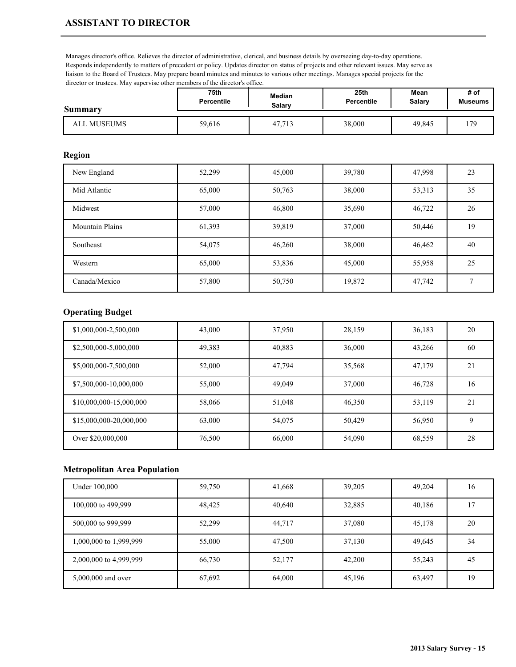Manages director's office. Relieves the director of administrative, clerical, and business details by overseeing day-to-day operations. Responds independently to matters of precedent or policy. Updates director on status of projects and other relevant issues. May serve as liaison to the Board of Trustees. May prepare board minutes and minutes to various other meetings. Manages special projects for the director or trustees. May supervise other members of the director's office.

| <b>Summary</b> | 75th              | Median | 25th              | Mean   | # of           |
|----------------|-------------------|--------|-------------------|--------|----------------|
|                | <b>Percentile</b> | Salarv | <b>Percentile</b> | Salary | <b>Museums</b> |
| ALL MUSEUMS    | 59,616            | 47.713 | 38,000            | 49.845 | .79            |

#### **Region**

| New England            | 52,299 | 45,000 | 39,780 | 47,998 | 23           |
|------------------------|--------|--------|--------|--------|--------------|
| Mid Atlantic           | 65,000 | 50,763 | 38,000 | 53,313 | 35           |
| Midwest                | 57,000 | 46,800 | 35,690 | 46,722 | 26           |
| <b>Mountain Plains</b> | 61,393 | 39,819 | 37,000 | 50,446 | 19           |
| Southeast              | 54,075 | 46,260 | 38,000 | 46,462 | 40           |
| Western                | 65,000 | 53,836 | 45,000 | 55,958 | 25           |
| Canada/Mexico          | 57,800 | 50,750 | 19,872 | 47,742 | $\mathbf{r}$ |

## **Operating Budget**

| \$1,000,000-2,500,000   | 43,000 | 37,950 | 28,159 | 36,183 | 20 |
|-------------------------|--------|--------|--------|--------|----|
| \$2,500,000-5,000,000   | 49,383 | 40,883 | 36,000 | 43,266 | 60 |
| \$5,000,000-7,500,000   | 52,000 | 47,794 | 35,568 | 47,179 | 21 |
| \$7,500,000-10,000,000  | 55,000 | 49,049 | 37,000 | 46,728 | 16 |
| \$10,000,000-15,000,000 | 58,066 | 51,048 | 46,350 | 53,119 | 21 |
| \$15,000,000-20,000,000 | 63,000 | 54,075 | 50,429 | 56,950 | Q  |
| Over \$20,000,000       | 76,500 | 66,000 | 54,090 | 68,559 | 28 |

| Under 100,000          | 59,750 | 41,668 | 39,205 | 49,204 | 16 |
|------------------------|--------|--------|--------|--------|----|
| 100,000 to 499,999     | 48,425 | 40,640 | 32,885 | 40,186 | 17 |
| 500,000 to 999,999     | 52,299 | 44,717 | 37,080 | 45,178 | 20 |
| 1,000,000 to 1,999,999 | 55,000 | 47,500 | 37,130 | 49,645 | 34 |
| 2,000,000 to 4,999,999 | 66,730 | 52,177 | 42,200 | 55,243 | 45 |
| 5,000,000 and over     | 67,692 | 64,000 | 45,196 | 63,497 | 19 |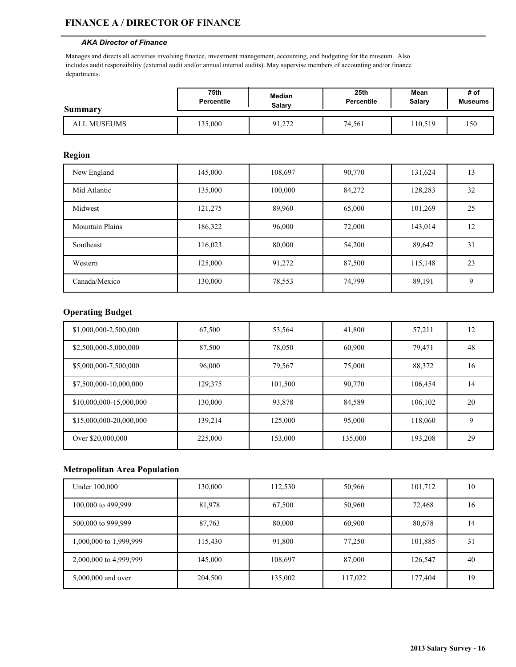#### **FINANCE A / DIRECTOR OF FINANCE**

#### *AKA Director of Finance*

Manages and directs all activities involving finance, investment management, accounting, and budgeting for the museum. Also includes audit responsibility (external audit and/or annual internal audits). May supervise members of accounting and/or finance departments.

| Summary     | 75th              | <b>Median</b> | 25th              | Mean   | # of           |
|-------------|-------------------|---------------|-------------------|--------|----------------|
|             | <b>Percentile</b> | <b>Salary</b> | <b>Percentile</b> | Salary | <b>Museums</b> |
| ALL MUSEUMS | 35,000            | 91,272        | 74,561            | 10,519 | 150            |

#### **Region**

| New England            | 145,000 | 108,697 | 90,770 | 131,624 | 13          |
|------------------------|---------|---------|--------|---------|-------------|
| Mid Atlantic           | 135,000 | 100,000 | 84,272 | 128,283 | 32          |
| Midwest                | 121,275 | 89,960  | 65,000 | 101,269 | 25          |
| <b>Mountain Plains</b> | 186,322 | 96,000  | 72,000 | 143,014 | 12          |
| Southeast              | 116,023 | 80,000  | 54,200 | 89,642  | 31          |
| Western                | 125,000 | 91,272  | 87,500 | 115,148 | 23          |
| Canada/Mexico          | 130,000 | 78,553  | 74,799 | 89,191  | $\mathbf Q$ |

### **Operating Budget**

| \$1,000,000-2,500,000   | 67,500  | 53,564  | 41,800  | 57,211  | 12 |
|-------------------------|---------|---------|---------|---------|----|
| \$2,500,000-5,000,000   | 87,500  | 78,050  | 60,900  | 79,471  | 48 |
| \$5,000,000-7,500,000   | 96,000  | 79,567  | 75,000  | 88,372  | 16 |
| \$7,500,000-10,000,000  | 129,375 | 101,500 | 90,770  | 106.454 | 14 |
| \$10,000,000-15,000,000 | 130,000 | 93,878  | 84,589  | 106,102 | 20 |
| \$15,000,000-20,000,000 | 139,214 | 125,000 | 95,000  | 118,060 | 9  |
| Over \$20,000,000       | 225,000 | 153,000 | 135,000 | 193,208 | 29 |

| Under 100,000          | 130,000 | 112,530 | 50,966  | 101,712 | 10 |
|------------------------|---------|---------|---------|---------|----|
| 100,000 to 499,999     | 81,978  | 67,500  | 50,960  | 72,468  | 16 |
| 500,000 to 999,999     | 87,763  | 80,000  | 60,900  | 80,678  | 14 |
| 1,000,000 to 1,999,999 | 115,430 | 91,800  | 77,250  | 101,885 | 31 |
| 2,000,000 to 4,999,999 | 145,000 | 108,697 | 87,000  | 126,547 | 40 |
| 5,000,000 and over     | 204,500 | 135,002 | 117,022 | 177,404 | 19 |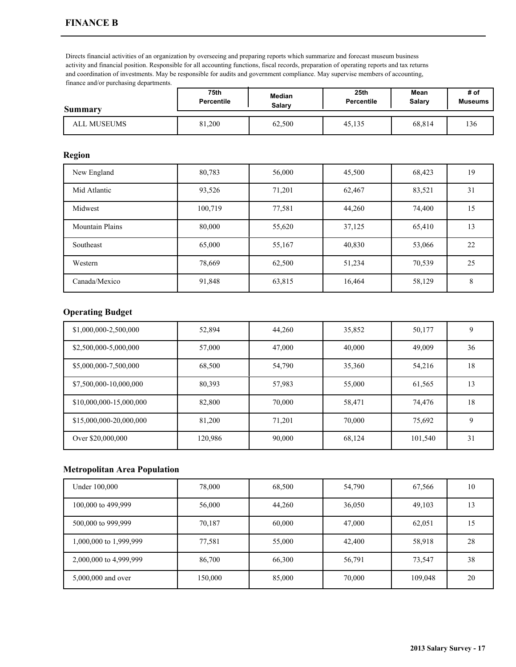Directs financial activities of an organization by overseeing and preparing reports which summarize and forecast museum business activity and financial position. Responsible for all accounting functions, fiscal records, preparation of operating reports and tax returns and coordination of investments. May be responsible for audits and government compliance. May supervise members of accounting, finance and/or purchasing departments.

| Summary     | 75th              | Median        | 25 <sub>th</sub> | Mean   | # of           |
|-------------|-------------------|---------------|------------------|--------|----------------|
|             | <b>Percentile</b> | <b>Salary</b> | Percentile       | Salary | <b>Museums</b> |
| ALL MUSEUMS | 81,200            | 62,500        | 45,135           | 68,814 | 136            |

#### **Region**

| New England            | 80,783  | 56,000 | 45,500 | 68,423 | 19 |
|------------------------|---------|--------|--------|--------|----|
| Mid Atlantic           | 93,526  | 71,201 | 62,467 | 83,521 | 31 |
| Midwest                | 100,719 | 77,581 | 44,260 | 74,400 | 15 |
| <b>Mountain Plains</b> | 80,000  | 55,620 | 37,125 | 65,410 | 13 |
| Southeast              | 65,000  | 55,167 | 40,830 | 53,066 | 22 |
| Western                | 78,669  | 62,500 | 51,234 | 70,539 | 25 |
| Canada/Mexico          | 91,848  | 63,815 | 16,464 | 58,129 | 8  |

### **Operating Budget**

| \$1,000,000-2,500,000   | 52,894  | 44.260 | 35,852 | 50,177  |    |
|-------------------------|---------|--------|--------|---------|----|
| \$2,500,000-5,000,000   | 57,000  | 47,000 | 40,000 | 49,009  | 36 |
| \$5,000,000-7,500,000   | 68,500  | 54,790 | 35,360 | 54,216  | 18 |
| \$7,500,000-10,000,000  | 80,393  | 57,983 | 55,000 | 61,565  | 13 |
| \$10,000,000-15,000,000 | 82,800  | 70,000 | 58,471 | 74,476  | 18 |
| \$15,000,000-20,000,000 | 81,200  | 71,201 | 70,000 | 75,692  | Q  |
| Over \$20,000,000       | 120,986 | 90,000 | 68,124 | 101,540 | 31 |

| Under 100,000          | 78,000  | 68,500 | 54,790 | 67,566  | 10 |
|------------------------|---------|--------|--------|---------|----|
| 100,000 to 499,999     | 56,000  | 44,260 | 36,050 | 49,103  | 13 |
| 500,000 to 999,999     | 70,187  | 60,000 | 47,000 | 62,051  | 15 |
| 1,000,000 to 1,999,999 | 77,581  | 55,000 | 42,400 | 58,918  | 28 |
| 2,000,000 to 4,999,999 | 86,700  | 66,300 | 56,791 | 73,547  | 38 |
| 5,000,000 and over     | 150,000 | 85,000 | 70,000 | 109,048 | 20 |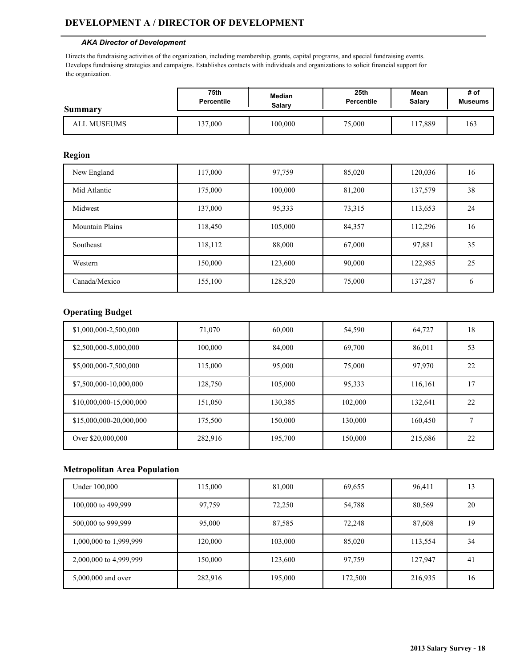#### **DEVELOPMENT A / DIRECTOR OF DEVELOPMENT**

#### *AKA Director of Development*

Directs the fundraising activities of the organization, including membership, grants, capital programs, and special fundraising events. Develops fundraising strategies and campaigns. Establishes contacts with individuals and organizations to solicit financial support for the organization.

| Summary     | 75th              | <b>Median</b> | 25 <sub>th</sub>  | Mean    | # of           |
|-------------|-------------------|---------------|-------------------|---------|----------------|
|             | <b>Percentile</b> | Salarv        | <b>Percentile</b> | Salary  | <b>Museums</b> |
| ALL MUSEUMS | 37,000            | 100,000       | 75,000            | 117,889 | 163            |

#### **Region**

| New England            | 117,000 | 97,759  | 85,020 | 120,036 | 16 |
|------------------------|---------|---------|--------|---------|----|
| Mid Atlantic           | 175,000 | 100,000 | 81,200 | 137,579 | 38 |
| Midwest                | 137,000 | 95,333  | 73,315 | 113,653 | 24 |
| <b>Mountain Plains</b> | 118,450 | 105,000 | 84,357 | 112,296 | 16 |
| Southeast              | 118,112 | 88,000  | 67,000 | 97,881  | 35 |
| Western                | 150,000 | 123,600 | 90,000 | 122,985 | 25 |
| Canada/Mexico          | 155,100 | 128,520 | 75,000 | 137,287 | 6  |

### **Operating Budget**

| \$1,000,000-2,500,000   | 71,070  | 60,000  | 54,590  | 64,727  | 18 |
|-------------------------|---------|---------|---------|---------|----|
| \$2,500,000-5,000,000   | 100,000 | 84,000  | 69,700  | 86,011  | 53 |
| \$5,000,000-7,500,000   | 115,000 | 95,000  | 75,000  | 97,970  | 22 |
| \$7,500,000-10,000,000  | 128,750 | 105,000 | 95,333  | 116,161 | 17 |
| \$10,000,000-15,000,000 | 151,050 | 130,385 | 102,000 | 132,641 | 22 |
| \$15,000,000-20,000,000 | 175,500 | 150,000 | 130,000 | 160,450 | Ξ  |
| Over \$20,000,000       | 282,916 | 195,700 | 150,000 | 215,686 | 22 |

| Under 100,000          | 115,000 | 81,000  | 69,655  | 96,411  | 13 |
|------------------------|---------|---------|---------|---------|----|
| 100,000 to 499,999     | 97,759  | 72,250  | 54,788  | 80,569  | 20 |
| 500,000 to 999,999     | 95,000  | 87,585  | 72,248  | 87,608  | 19 |
| 1,000,000 to 1,999,999 | 120,000 | 103,000 | 85,020  | 113,554 | 34 |
| 2,000,000 to 4,999,999 | 150,000 | 123,600 | 97,759  | 127,947 | 41 |
| 5,000,000 and over     | 282,916 | 195,000 | 172,500 | 216,935 | 16 |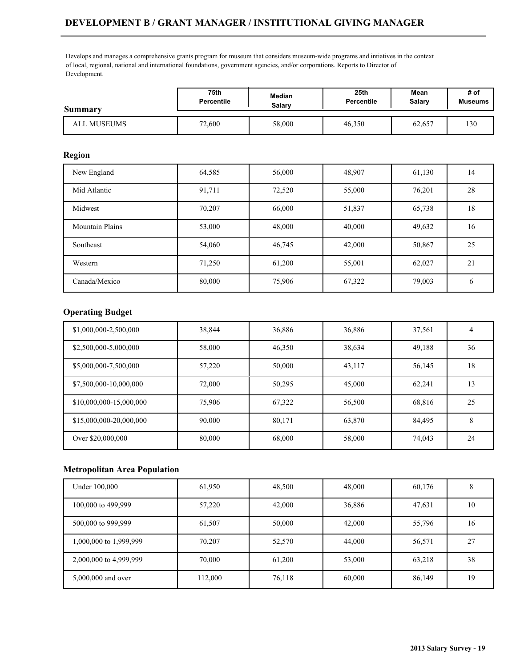## **DEVELOPMENT B / GRANT MANAGER / INSTITUTIONAL GIVING MANAGER**

Develops and manages a comprehensive grants program for museum that considers museum-wide programs and intiatives in the context of local, regional, national and international foundations, government agencies, and/or corporations. Reports to Director of Development.

| Summary     | 75th              | <b>Median</b> | 25 <sub>th</sub> | Mean   | # of           |
|-------------|-------------------|---------------|------------------|--------|----------------|
|             | <b>Percentile</b> | Salary        | Percentile       | Salary | <b>Museums</b> |
| ALL MUSEUMS | 72,600            | 58,000        | 46,350           | 62,657 | 130            |

#### **Region**

| New England            | 64,585 | 56,000 | 48,907 | 61,130 | 14 |
|------------------------|--------|--------|--------|--------|----|
| Mid Atlantic           | 91,711 | 72,520 | 55,000 | 76,201 | 28 |
| Midwest                | 70,207 | 66,000 | 51,837 | 65,738 | 18 |
| <b>Mountain Plains</b> | 53,000 | 48,000 | 40,000 | 49,632 | 16 |
| Southeast              | 54,060 | 46,745 | 42,000 | 50,867 | 25 |
| Western                | 71,250 | 61,200 | 55,001 | 62,027 | 21 |
| Canada/Mexico          | 80,000 | 75,906 | 67,322 | 79,003 | 6  |

## **Operating Budget**

| \$1,000,000-2,500,000   | 38,844 | 36,886 | 36,886 | 37,561 | 4  |
|-------------------------|--------|--------|--------|--------|----|
| \$2,500,000-5,000,000   | 58,000 | 46,350 | 38,634 | 49,188 | 36 |
| \$5,000,000-7,500,000   | 57,220 | 50,000 | 43,117 | 56,145 | 18 |
| \$7,500,000-10,000,000  | 72,000 | 50,295 | 45,000 | 62.241 | 13 |
| \$10,000,000-15,000,000 | 75,906 | 67,322 | 56,500 | 68,816 | 25 |
| \$15,000,000-20,000,000 | 90,000 | 80,171 | 63,870 | 84.495 | 8  |
| Over \$20,000,000       | 80,000 | 68,000 | 58,000 | 74,043 | 24 |

| Under 100,000          | 61,950  | 48,500 | 48,000 | 60,176 |    |
|------------------------|---------|--------|--------|--------|----|
| 100,000 to 499,999     | 57,220  | 42,000 | 36,886 | 47,631 | 10 |
| 500,000 to 999,999     | 61,507  | 50,000 | 42,000 | 55,796 | 16 |
| 1,000,000 to 1,999,999 | 70,207  | 52,570 | 44,000 | 56,571 | 27 |
| 2,000,000 to 4,999,999 | 70,000  | 61,200 | 53,000 | 63,218 | 38 |
| 5,000,000 and over     | 112,000 | 76,118 | 60,000 | 86,149 | 19 |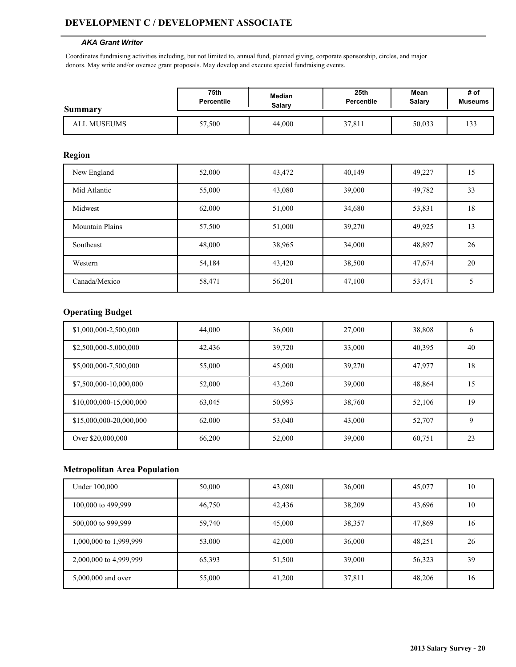### **DEVELOPMENT C / DEVELOPMENT ASSOCIATE**

#### *AKA Grant Writer*

Coordinates fundraising activities including, but not limited to, annual fund, planned giving, corporate sponsorship, circles, and major donors. May write and/or oversee grant proposals. May develop and execute special fundraising events.

| Summary     | 75th       | Median        | 25 <sub>th</sub> | Mean   | # of           |
|-------------|------------|---------------|------------------|--------|----------------|
|             | Percentile | <b>Salary</b> | Percentile       | Salary | <b>Museums</b> |
| ALL MUSEUMS | 57,500     | 44,000        | 37,811           | 50,033 | 133            |

#### **Region**

| New England            | 52,000 | 43,472 | 40,149 | 49,227 | 15 |
|------------------------|--------|--------|--------|--------|----|
| Mid Atlantic           | 55,000 | 43,080 | 39,000 | 49,782 | 33 |
| Midwest                | 62,000 | 51,000 | 34,680 | 53,831 | 18 |
| <b>Mountain Plains</b> | 57,500 | 51,000 | 39,270 | 49,925 | 13 |
| Southeast              | 48,000 | 38,965 | 34,000 | 48,897 | 26 |
| Western                | 54,184 | 43,420 | 38,500 | 47,674 | 20 |
| Canada/Mexico          | 58,471 | 56,201 | 47,100 | 53,471 |    |

### **Operating Budget**

| \$1,000,000-2,500,000   | 44,000 | 36,000 | 27,000 | 38,808 | b  |
|-------------------------|--------|--------|--------|--------|----|
| \$2,500,000-5,000,000   | 42,436 | 39,720 | 33,000 | 40,395 | 40 |
| \$5,000,000-7,500,000   | 55,000 | 45,000 | 39,270 | 47,977 | 18 |
| \$7,500,000-10,000,000  | 52,000 | 43,260 | 39,000 | 48,864 | 15 |
| \$10,000,000-15,000,000 | 63,045 | 50,993 | 38,760 | 52,106 | 19 |
| \$15,000,000-20,000,000 | 62,000 | 53,040 | 43,000 | 52,707 | Q  |
| Over \$20,000,000       | 66,200 | 52,000 | 39,000 | 60,751 | 23 |

| Under 100,000          | 50,000 | 43,080 | 36,000 | 45,077 | 10 |
|------------------------|--------|--------|--------|--------|----|
| 100,000 to 499,999     | 46,750 | 42,436 | 38,209 | 43,696 | 10 |
| 500,000 to 999,999     | 59,740 | 45,000 | 38,357 | 47,869 | 16 |
| 1,000,000 to 1,999,999 | 53,000 | 42,000 | 36,000 | 48,251 | 26 |
| 2,000,000 to 4,999,999 | 65,393 | 51,500 | 39,000 | 56,323 | 39 |
| 5,000,000 and over     | 55,000 | 41,200 | 37,811 | 48,206 | 16 |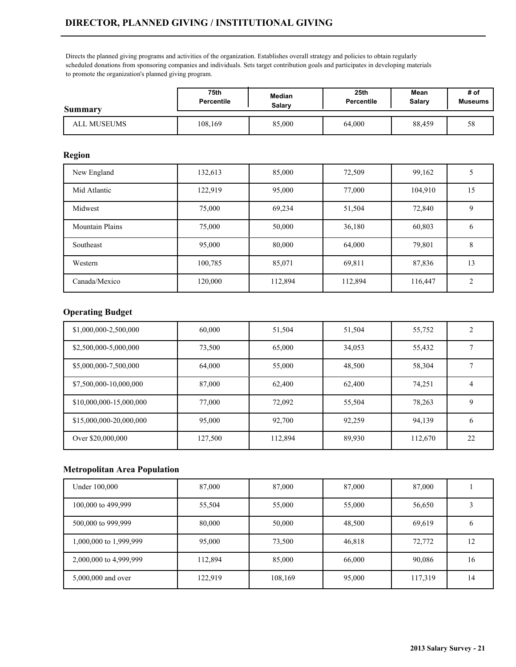# **DIRECTOR, PLANNED GIVING / INSTITUTIONAL GIVING**

Directs the planned giving programs and activities of the organization. Establishes overall strategy and policies to obtain regularly scheduled donations from sponsoring companies and individuals. Sets target contribution goals and participates in developing materials to promote the organization's planned giving program.

| Summary            | 75th       | Median | 25th       | Mean          | # of           |
|--------------------|------------|--------|------------|---------------|----------------|
|                    | Percentile | Salary | Percentile | <b>Salary</b> | <b>Museums</b> |
| <b>ALL MUSEUMS</b> | 108,169    | 85,000 | 64.000     | 88,459        | 58             |

#### **Region**

| New England            | 132,613 | 85,000  | 72,509  | 99,162  |                |
|------------------------|---------|---------|---------|---------|----------------|
| Mid Atlantic           | 122,919 | 95,000  | 77,000  | 104,910 | 15             |
| Midwest                | 75,000  | 69,234  | 51,504  | 72,840  | 9              |
| <b>Mountain Plains</b> | 75,000  | 50,000  | 36,180  | 60,803  | <sub>0</sub>   |
| Southeast              | 95,000  | 80,000  | 64,000  | 79,801  | 8              |
| Western                | 100,785 | 85,071  | 69,811  | 87,836  | 13             |
| Canada/Mexico          | 120,000 | 112,894 | 112,894 | 116,447 | $\overline{2}$ |

## **Operating Budget**

| \$1,000,000-2,500,000   | 60,000  | 51,504  | 51,504 | 55,752  |    |
|-------------------------|---------|---------|--------|---------|----|
| \$2,500,000-5,000,000   | 73,500  | 65,000  | 34,053 | 55,432  |    |
| \$5,000,000-7,500,000   | 64,000  | 55,000  | 48,500 | 58,304  |    |
| \$7,500,000-10,000,000  | 87,000  | 62,400  | 62,400 | 74,251  |    |
| \$10,000,000-15,000,000 | 77,000  | 72,092  | 55,504 | 78,263  | 9  |
| \$15,000,000-20,000,000 | 95,000  | 92,700  | 92,259 | 94,139  | 6  |
| Over \$20,000,000       | 127,500 | 112,894 | 89,930 | 112,670 | 22 |

| Under 100,000          | 87,000  | 87,000  | 87,000 | 87,000  |    |
|------------------------|---------|---------|--------|---------|----|
| 100,000 to 499,999     | 55,504  | 55,000  | 55,000 | 56,650  |    |
| 500,000 to 999,999     | 80,000  | 50,000  | 48,500 | 69,619  |    |
| 1,000,000 to 1,999,999 | 95,000  | 73,500  | 46,818 | 72,772  | 12 |
| 2,000,000 to 4,999,999 | 112,894 | 85,000  | 66,000 | 90,086  | 16 |
| 5,000,000 and over     | 122,919 | 108,169 | 95,000 | 117,319 | 14 |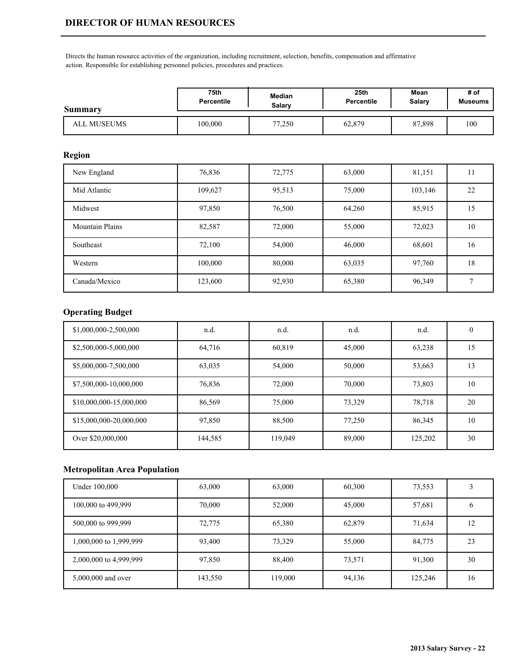Directs the human resource activities of the organization, including recruitment, selection, benefits, compensation and affirmative action. Responsible for establishing personnel policies, procedures and practices.

| Summary     | 75th       | Median        | 25th       | Mean   | # of           |
|-------------|------------|---------------|------------|--------|----------------|
|             | Percentile | <b>Salary</b> | Percentile | Salarv | <b>Museums</b> |
| ALL MUSEUMS | 100,000    | 77,250        | 62,879     | 87,898 | 100            |

## **Region**

| New England            | 76,836  | 72,775 | 63,000 | 81,151  | 11              |
|------------------------|---------|--------|--------|---------|-----------------|
| Mid Atlantic           | 109,627 | 95,513 | 75,000 | 103,146 | 22              |
| Midwest                | 97,850  | 76,500 | 64,260 | 85,915  | 15 <sup>5</sup> |
| <b>Mountain Plains</b> | 82,587  | 72,000 | 55,000 | 72,023  | 10              |
| Southeast              | 72,100  | 54,000 | 46,000 | 68,601  | 16              |
| Western                | 100,000 | 80,000 | 63,035 | 97,760  | 18              |
| Canada/Mexico          | 123,600 | 92,930 | 65,380 | 96,349  | ⇁               |

## **Operating Budget**

| \$1,000,000-2,500,000   | n.d.    | n.d.    | n.d.   | n.d.    | $\theta$ |
|-------------------------|---------|---------|--------|---------|----------|
| \$2,500,000-5,000,000   | 64,716  | 60,819  | 45,000 | 63,238  | 15       |
| \$5,000,000-7,500,000   | 63,035  | 54,000  | 50,000 | 53,663  | 13       |
| \$7,500,000-10,000,000  | 76,836  | 72,000  | 70,000 | 73,803  | 10       |
| \$10,000,000-15,000,000 | 86,569  | 75,000  | 73,329 | 78,718  | 20       |
| \$15,000,000-20,000,000 | 97,850  | 88,500  | 77,250 | 86,345  | 10       |
| Over \$20,000,000       | 144,585 | 119,049 | 89,000 | 125,202 | 30       |

| Under 100,000          | 63,000  | 63,000  | 60,300 | 73,553  |    |
|------------------------|---------|---------|--------|---------|----|
| 100,000 to 499,999     | 70,000  | 52,000  | 45,000 | 57,681  |    |
| 500,000 to 999,999     | 72,775  | 65,380  | 62,879 | 71,634  | 12 |
| 1,000,000 to 1,999,999 | 93,400  | 73,329  | 55,000 | 84,775  | 23 |
| 2,000,000 to 4,999,999 | 97,850  | 88,400  | 73,571 | 91,300  | 30 |
| 5,000,000 and over     | 143,550 | 119,000 | 94,136 | 125,246 | 16 |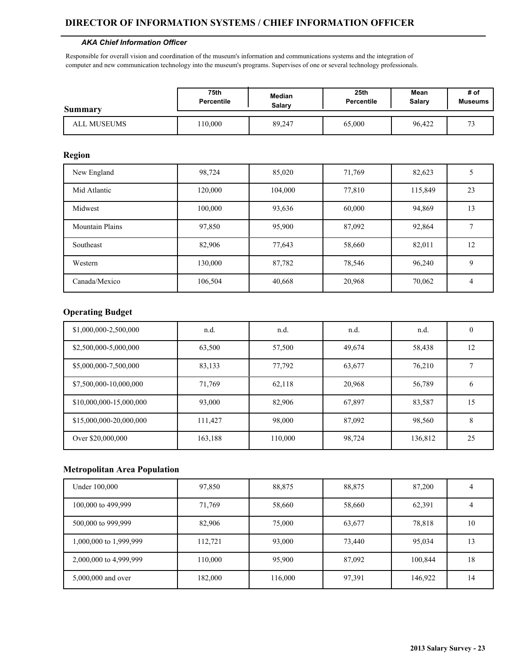#### **DIRECTOR OF INFORMATION SYSTEMS / CHIEF INFORMATION OFFICER**

#### *AKA Chief Information Officer*

Responsible for overall vision and coordination of the museum's information and communications systems and the integration of computer and new communication technology into the museum's programs. Supervises of one or several technology professionals.

| Summary     | 75th              | <b>Median</b> | 25th              | Mean          | # of           |
|-------------|-------------------|---------------|-------------------|---------------|----------------|
|             | <b>Percentile</b> | Salarv        | <b>Percentile</b> | <b>Salary</b> | <b>Museums</b> |
| ALL MUSEUMS | 10,000            | 89,247        | 65,000            | 96,422        | $\mathbf{a}$   |

#### **Region**

| New England            | 98,724  | 85,020  | 71,769 | 82,623  |    |
|------------------------|---------|---------|--------|---------|----|
| Mid Atlantic           | 120,000 | 104,000 | 77,810 | 115,849 | 23 |
| Midwest                | 100,000 | 93,636  | 60,000 | 94,869  | 13 |
| <b>Mountain Plains</b> | 97,850  | 95,900  | 87,092 | 92,864  |    |
| Southeast              | 82,906  | 77,643  | 58,660 | 82,011  | 12 |
| Western                | 130,000 | 87,782  | 78,546 | 96,240  | 9  |
| Canada/Mexico          | 106,504 | 40,668  | 20,968 | 70,062  | 4  |

### **Operating Budget**

| \$1,000,000-2,500,000   | n.d.    | n.d.    | n.d.   | n.d.    | $\theta$     |
|-------------------------|---------|---------|--------|---------|--------------|
| \$2,500,000-5,000,000   | 63,500  | 57,500  | 49,674 | 58,438  | 12           |
| \$5,000,000-7,500,000   | 83,133  | 77,792  | 63,677 | 76,210  |              |
| \$7,500,000-10,000,000  | 71,769  | 62,118  | 20,968 | 56,789  | <sub>b</sub> |
| \$10,000,000-15,000,000 | 93,000  | 82,906  | 67,897 | 83,587  | 15           |
| \$15,000,000-20,000,000 | 111,427 | 98,000  | 87,092 | 98,560  | 8            |
| Over \$20,000,000       | 163,188 | 110,000 | 98,724 | 136,812 | 25           |

| Under 100,000          | 97,850  | 88,875  | 88,875 | 87,200  |    |
|------------------------|---------|---------|--------|---------|----|
| 100,000 to 499,999     | 71,769  | 58,660  | 58,660 | 62,391  |    |
| 500,000 to 999,999     | 82,906  | 75,000  | 63,677 | 78,818  | 10 |
| 1,000,000 to 1,999,999 | 112,721 | 93,000  | 73,440 | 95,034  | 13 |
| 2,000,000 to 4,999,999 | 110,000 | 95,900  | 87,092 | 100,844 | 18 |
| 5,000,000 and over     | 182,000 | 116,000 | 97,391 | 146,922 | 14 |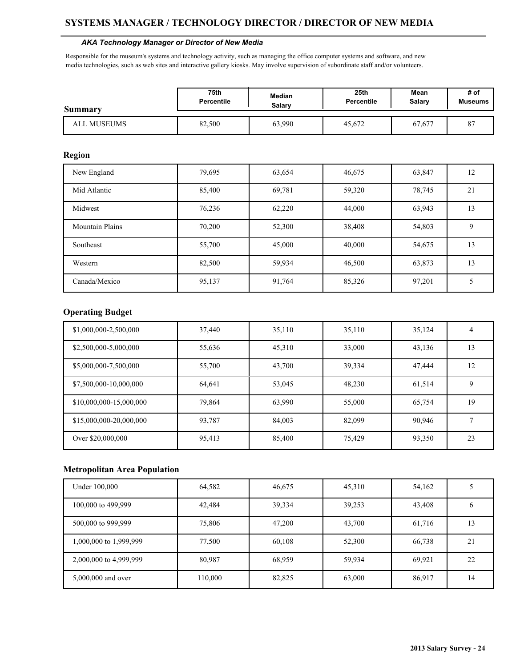#### *AKA Technology Manager or Director of New Media*

Responsible for the museum's systems and technology activity, such as managing the office computer systems and software, and new media technologies, such as web sites and interactive gallery kiosks. May involve supervision of subordinate staff and/or volunteers.

| Summary     | 75th              | <b>Median</b> | 25th              | Mean          | # of           |
|-------------|-------------------|---------------|-------------------|---------------|----------------|
|             | <b>Percentile</b> | Salarv        | <b>Percentile</b> | <b>Salary</b> | <b>Museums</b> |
| ALL MUSEUMS | 82,500            | 63,990        | 45,672            | 67,677        | $\Omega$<br>Ō. |

#### **Region**

| New England            | 79,695 | 63,654 | 46,675 | 63,847 | 12 |
|------------------------|--------|--------|--------|--------|----|
| Mid Atlantic           | 85,400 | 69,781 | 59,320 | 78,745 | 21 |
| Midwest                | 76,236 | 62,220 | 44,000 | 63,943 | 13 |
| <b>Mountain Plains</b> | 70,200 | 52,300 | 38,408 | 54,803 | 9  |
| Southeast              | 55,700 | 45,000 | 40,000 | 54,675 | 13 |
| Western                | 82,500 | 59,934 | 46,500 | 63,873 | 13 |
| Canada/Mexico          | 95,137 | 91,764 | 85,326 | 97,201 |    |

### **Operating Budget**

| \$1,000,000-2,500,000   | 37,440 | 35,110 | 35,110 | 35,124 | 4  |
|-------------------------|--------|--------|--------|--------|----|
| \$2,500,000-5,000,000   | 55,636 | 45,310 | 33,000 | 43,136 | 13 |
| \$5,000,000-7,500,000   | 55,700 | 43,700 | 39,334 | 47,444 | 12 |
| \$7,500,000-10,000,000  | 64,641 | 53,045 | 48,230 | 61,514 | 9  |
| \$10,000,000-15,000,000 | 79,864 | 63,990 | 55,000 | 65,754 | 19 |
| \$15,000,000-20,000,000 | 93.787 | 84,003 | 82.099 | 90.946 |    |
| Over \$20,000,000       | 95,413 | 85,400 | 75,429 | 93,350 | 23 |

| Under 100,000          | 64,582  | 46,675 | 45,310 | 54,162 |    |
|------------------------|---------|--------|--------|--------|----|
| 100,000 to 499,999     | 42,484  | 39,334 | 39,253 | 43,408 |    |
| 500,000 to 999,999     | 75,806  | 47,200 | 43,700 | 61,716 | 13 |
| 1,000,000 to 1,999,999 | 77,500  | 60,108 | 52,300 | 66,738 | 21 |
| 2,000,000 to 4,999,999 | 80,987  | 68,959 | 59,934 | 69,921 | 22 |
| 5,000,000 and over     | 110,000 | 82,825 | 63,000 | 86,917 | 14 |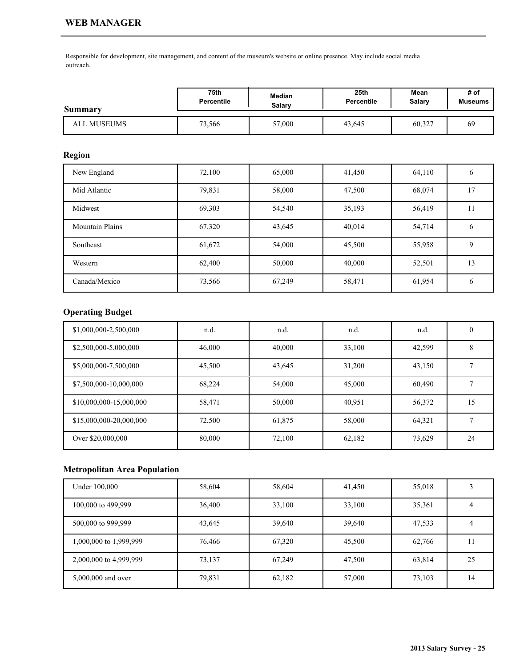Responsible for development, site management, and content of the museum's website or online presence. May include social media outreach.

| Summary     | 75th              | Median | 25 <sub>th</sub> | Mean   | # of           |
|-------------|-------------------|--------|------------------|--------|----------------|
|             | <b>Percentile</b> | Salary | Percentile       | Salary | <b>Museums</b> |
| ALL MUSEUMS | 73,566            | 57,000 | 43,645           | 60,327 | 69             |

### **Region**

| New England            | 72,100 | 65,000 | 41,450 | 64,110 | <sub>b</sub> |
|------------------------|--------|--------|--------|--------|--------------|
| Mid Atlantic           | 79,831 | 58,000 | 47,500 | 68,074 | 17           |
| Midwest                | 69,303 | 54,540 | 35,193 | 56,419 | 11           |
| <b>Mountain Plains</b> | 67,320 | 43,645 | 40,014 | 54,714 | 6            |
| Southeast              | 61,672 | 54,000 | 45,500 | 55,958 | 9            |
| Western                | 62,400 | 50,000 | 40,000 | 52,501 | 13           |
| Canada/Mexico          | 73,566 | 67,249 | 58,471 | 61,954 | 6            |

# **Operating Budget**

| \$1,000,000-2,500,000   | n.d.   | n.d.   | n.d.   | n.d.   | $\theta$ |
|-------------------------|--------|--------|--------|--------|----------|
| \$2,500,000-5,000,000   | 46,000 | 40,000 | 33,100 | 42,599 | 8        |
| \$5,000,000-7,500,000   | 45,500 | 43,645 | 31,200 | 43,150 |          |
| \$7,500,000-10,000,000  | 68,224 | 54,000 | 45,000 | 60,490 |          |
| \$10,000,000-15,000,000 | 58,471 | 50,000 | 40,951 | 56,372 | 15       |
| \$15,000,000-20,000,000 | 72,500 | 61,875 | 58,000 | 64,321 |          |
| Over \$20,000,000       | 80,000 | 72,100 | 62,182 | 73,629 | 24       |

| Under 100,000          | 58,604 | 58,604 | 41,450 | 55,018 |    |
|------------------------|--------|--------|--------|--------|----|
| 100,000 to 499,999     | 36,400 | 33,100 | 33,100 | 35,361 |    |
| 500,000 to 999,999     | 43,645 | 39,640 | 39,640 | 47,533 |    |
| 1,000,000 to 1,999,999 | 76,466 | 67,320 | 45,500 | 62,766 | 11 |
| 2,000,000 to 4,999,999 | 73,137 | 67,249 | 47,500 | 63,814 | 25 |
| 5,000,000 and over     | 79,831 | 62,182 | 57,000 | 73,103 | 14 |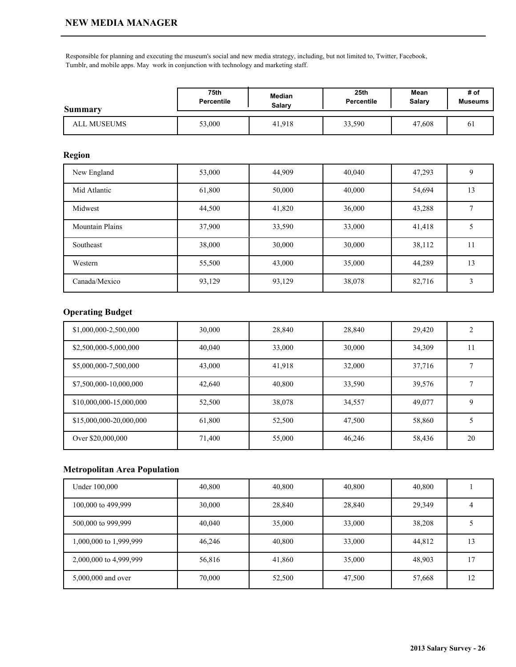Responsible for planning and executing the museum's social and new media strategy, including, but not limited to, Twitter, Facebook, Tumblr, and mobile apps. May work in conjunction with technology and marketing staff.

| Summary     | 75th              | Median        | 25 <sub>th</sub> | Mean   | # of           |
|-------------|-------------------|---------------|------------------|--------|----------------|
|             | <b>Percentile</b> | <b>Salary</b> | Percentile       | Salary | <b>Museums</b> |
| ALL MUSEUMS | 53,000            | 41,918        | 33,590           | 47,608 | 01             |

## **Region**

| New England            | 53,000 | 44,909 | 40,040 | 47,293 |    |
|------------------------|--------|--------|--------|--------|----|
| Mid Atlantic           | 61,800 | 50,000 | 40,000 | 54,694 | 13 |
| Midwest                | 44,500 | 41,820 | 36,000 | 43,288 |    |
| <b>Mountain Plains</b> | 37,900 | 33,590 | 33,000 | 41,418 |    |
| Southeast              | 38,000 | 30,000 | 30,000 | 38,112 | 11 |
| Western                | 55,500 | 43,000 | 35,000 | 44,289 | 13 |
| Canada/Mexico          | 93,129 | 93,129 | 38,078 | 82,716 | 3  |

## **Operating Budget**

| \$1,000,000-2,500,000   | 30,000 | 28,840 | 28,840 | 29,420 |    |
|-------------------------|--------|--------|--------|--------|----|
| \$2,500,000-5,000,000   | 40,040 | 33,000 | 30,000 | 34,309 | 11 |
| \$5,000,000-7,500,000   | 43,000 | 41,918 | 32,000 | 37,716 |    |
| \$7,500,000-10,000,000  | 42,640 | 40,800 | 33,590 | 39,576 |    |
| \$10,000,000-15,000,000 | 52,500 | 38,078 | 34,557 | 49,077 | 9  |
| \$15,000,000-20,000,000 | 61,800 | 52,500 | 47,500 | 58,860 |    |
| Over \$20,000,000       | 71,400 | 55,000 | 46,246 | 58,436 | 20 |

| Under 100,000          | 40,800 | 40,800 | 40,800 | 40,800 |    |
|------------------------|--------|--------|--------|--------|----|
| 100,000 to 499,999     | 30,000 | 28,840 | 28,840 | 29,349 |    |
| 500,000 to 999,999     | 40,040 | 35,000 | 33,000 | 38,208 |    |
| 1,000,000 to 1,999,999 | 46,246 | 40,800 | 33,000 | 44,812 | 13 |
| 2,000,000 to 4,999,999 | 56,816 | 41,860 | 35,000 | 48,903 | 17 |
| 5,000,000 and over     | 70,000 | 52,500 | 47,500 | 57,668 | 12 |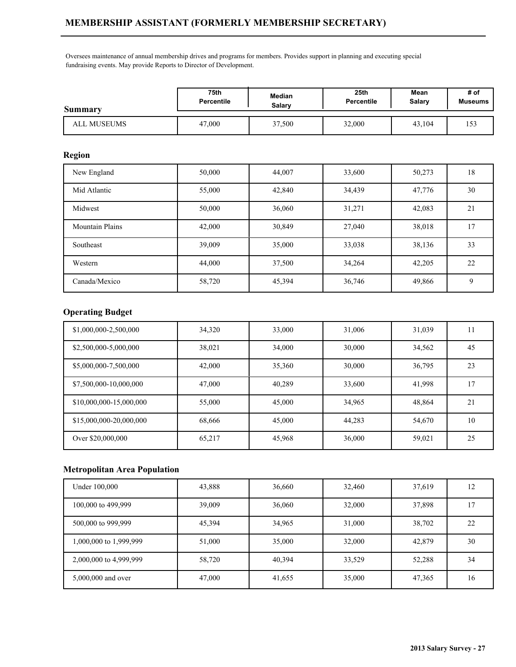Oversees maintenance of annual membership drives and programs for members. Provides support in planning and executing special fundraising events. May provide Reports to Director of Development.

| Summary     | 75th       | Median        | 25th              | Mean   | # of           |
|-------------|------------|---------------|-------------------|--------|----------------|
|             | Percentile | <b>Salary</b> | <b>Percentile</b> | Salary | <b>Museums</b> |
| ALL MUSEUMS | 47,000     | 37,500        | 32,000            | 43,104 | 153            |

## **Region**

| New England            | 50,000 | 44,007 | 33,600 | 50,273 | 18 |
|------------------------|--------|--------|--------|--------|----|
| Mid Atlantic           | 55,000 | 42,840 | 34,439 | 47,776 | 30 |
| Midwest                | 50,000 | 36,060 | 31,271 | 42,083 | 21 |
| <b>Mountain Plains</b> | 42,000 | 30,849 | 27,040 | 38,018 | 17 |
| Southeast              | 39,009 | 35,000 | 33,038 | 38,136 | 33 |
| Western                | 44,000 | 37,500 | 34,264 | 42,205 | 22 |
| Canada/Mexico          | 58,720 | 45,394 | 36,746 | 49,866 | 9  |

## **Operating Budget**

| \$1,000,000-2,500,000   | 34,320 | 33,000 | 31,006 | 31,039 | . . |
|-------------------------|--------|--------|--------|--------|-----|
| \$2,500,000-5,000,000   | 38,021 | 34,000 | 30,000 | 34,562 | 45  |
| \$5,000,000-7,500,000   | 42,000 | 35,360 | 30,000 | 36,795 | 23  |
| \$7,500,000-10,000,000  | 47,000 | 40,289 | 33,600 | 41,998 | 17  |
| \$10,000,000-15,000,000 | 55,000 | 45,000 | 34,965 | 48,864 | 21  |
| \$15,000,000-20,000,000 | 68,666 | 45,000 | 44.283 | 54,670 | 10  |
| Over \$20,000,000       | 65,217 | 45,968 | 36,000 | 59,021 | 25  |

| Under 100,000          | 43,888 | 36,660 | 32,460 | 37,619 | 12 |
|------------------------|--------|--------|--------|--------|----|
| 100,000 to 499,999     | 39,009 | 36,060 | 32,000 | 37,898 | 17 |
| 500,000 to 999,999     | 45,394 | 34,965 | 31,000 | 38,702 | 22 |
| 1,000,000 to 1,999,999 | 51,000 | 35,000 | 32,000 | 42,879 | 30 |
| 2,000,000 to 4,999,999 | 58,720 | 40,394 | 33,529 | 52,288 | 34 |
| 5,000,000 and over     | 47,000 | 41,655 | 35,000 | 47,365 | 16 |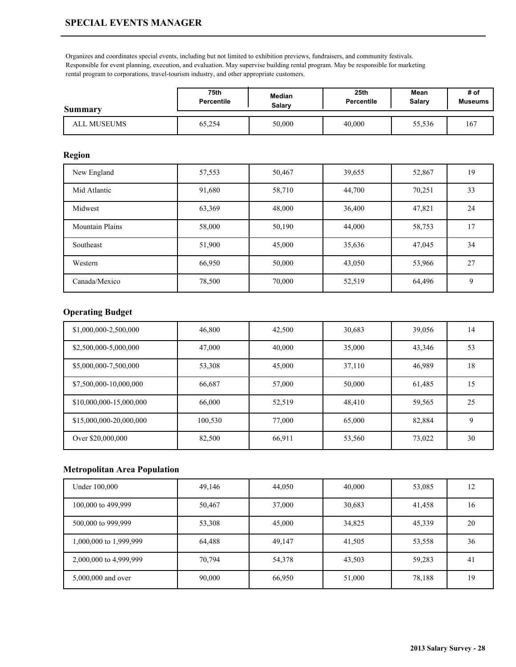## **SPECIAL EVENTS MANAGER**

Organizes and coordinates special events, including but not limited to exhibition previews, fundraisers, and community festivals. Responsible for event planning, execution, and evaluation. May supervise building rental program. May be responsible for marketing rental program to corporations, travel-tourism industry, and other appropriate customers.

| Summary     | 75th              | <b>Median</b> | 25 <sub>th</sub> | Mean   | # of           |
|-------------|-------------------|---------------|------------------|--------|----------------|
|             | <b>Percentile</b> | Salarv        | Percentile       | Salary | <b>Museums</b> |
| ALL MUSEUMS | 65,254            | 50,000        | 40,000           | 55,536 | 167            |

### **Region**

| New England            | 57,553 | 50,467 | 39,655 | 52,867 | 19 |
|------------------------|--------|--------|--------|--------|----|
| Mid Atlantic           | 91,680 | 58,710 | 44,700 | 70,251 | 33 |
| Midwest                | 63,369 | 48,000 | 36,400 | 47,821 | 24 |
| <b>Mountain Plains</b> | 58,000 | 50,190 | 44,000 | 58,753 | 17 |
| Southeast              | 51,900 | 45,000 | 35,636 | 47,045 | 34 |
| Western                | 66,950 | 50,000 | 43,050 | 53,966 | 27 |
| Canada/Mexico          | 78,500 | 70,000 | 52,519 | 64,496 | 9  |

## **Operating Budget**

| \$1,000,000-2,500,000   | 46,800  | 42,500 | 30,683 | 39,056 | 14 |
|-------------------------|---------|--------|--------|--------|----|
| \$2,500,000-5,000,000   | 47,000  | 40,000 | 35,000 | 43,346 | 53 |
| \$5,000,000-7,500,000   | 53,308  | 45,000 | 37.110 | 46,989 | 18 |
| \$7,500,000-10,000,000  | 66,687  | 57,000 | 50,000 | 61,485 | 15 |
| \$10,000,000-15,000,000 | 66,000  | 52,519 | 48.410 | 59,565 | 25 |
| \$15,000,000-20,000,000 | 100,530 | 77,000 | 65,000 | 82,884 | 9  |
| Over \$20,000,000       | 82,500  | 66,911 | 53,560 | 73,022 | 30 |

| Under 100,000          | 49,146 | 44,050 | 40,000 | 53,085 | 12 |
|------------------------|--------|--------|--------|--------|----|
| 100,000 to 499,999     | 50,467 | 37,000 | 30,683 | 41,458 | 16 |
| 500,000 to 999,999     | 53,308 | 45,000 | 34,825 | 45,339 | 20 |
| 1,000,000 to 1,999,999 | 64,488 | 49,147 | 41,505 | 53,558 | 36 |
| 2,000,000 to 4,999,999 | 70,794 | 54,378 | 43,503 | 59,283 | 41 |
| 5,000,000 and over     | 90,000 | 66,950 | 51,000 | 78,188 | 19 |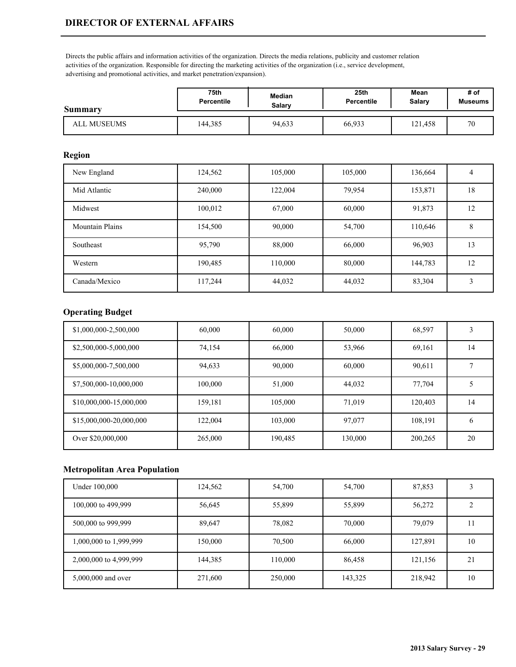Directs the public affairs and information activities of the organization. Directs the media relations, publicity and customer relation activities of the organization. Responsible for directing the marketing activities of the organization (i.e., service development, advertising and promotional activities, and market penetration/expansion).

| Summary     | 75th              | <b>Median</b> | 25 <sub>th</sub>  | Mean    | # of           |
|-------------|-------------------|---------------|-------------------|---------|----------------|
|             | <b>Percentile</b> | Salary        | <b>Percentile</b> | Salary  | <b>Museums</b> |
| ALL MUSEUMS | 144.385           | 94,633        | 66,933            | 121,458 | 70             |

## **Region**

| New England            | 124,562 | 105,000 | 105,000 | 136,664 | 4  |
|------------------------|---------|---------|---------|---------|----|
| Mid Atlantic           | 240,000 | 122,004 | 79,954  | 153,871 | 18 |
| Midwest                | 100,012 | 67,000  | 60,000  | 91,873  | 12 |
| <b>Mountain Plains</b> | 154,500 | 90,000  | 54,700  | 110,646 | 8  |
| Southeast              | 95,790  | 88,000  | 66,000  | 96,903  | 13 |
| Western                | 190,485 | 110,000 | 80,000  | 144,783 | 12 |
| Canada/Mexico          | 117,244 | 44,032  | 44,032  | 83,304  | 3  |

## **Operating Budget**

| \$1,000,000-2,500,000   | 60,000  | 60,000  | 50,000  | 68,597  |               |
|-------------------------|---------|---------|---------|---------|---------------|
| \$2,500,000-5,000,000   | 74,154  | 66,000  | 53,966  | 69,161  | 14            |
| \$5,000,000-7,500,000   | 94,633  | 90,000  | 60,000  | 90,611  |               |
| \$7,500,000-10,000,000  | 100,000 | 51,000  | 44,032  | 77,704  |               |
| \$10,000,000-15,000,000 | 159,181 | 105,000 | 71.019  | 120,403 | 14            |
| \$15,000,000-20,000,000 | 122,004 | 103,000 | 97,077  | 108,191 | $\mathfrak b$ |
| Over \$20,000,000       | 265,000 | 190,485 | 130,000 | 200,265 | 20            |

| Under 100,000          | 124,562 | 54,700  | 54,700  | 87,853  |    |
|------------------------|---------|---------|---------|---------|----|
| 100,000 to 499,999     | 56,645  | 55,899  | 55,899  | 56,272  |    |
| 500,000 to 999,999     | 89,647  | 78,082  | 70,000  | 79,079  | 11 |
| 1,000,000 to 1,999,999 | 150,000 | 70,500  | 66,000  | 127,891 | 10 |
| 2,000,000 to 4,999,999 | 144,385 | 110,000 | 86,458  | 121,156 | 21 |
| 5,000,000 and over     | 271,600 | 250,000 | 143,325 | 218,942 | 10 |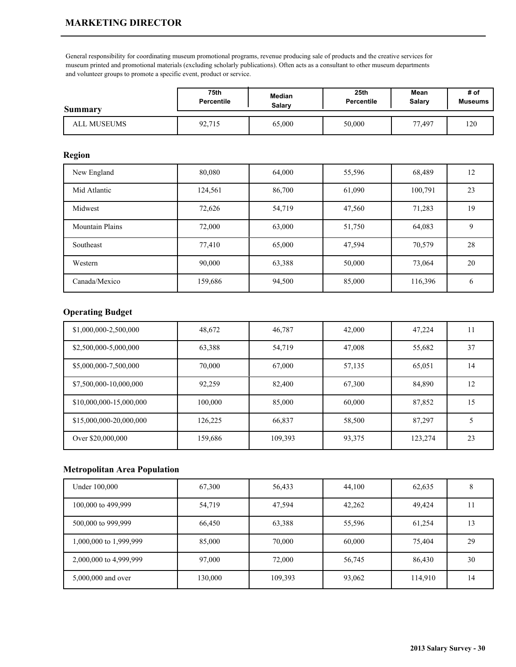## **MARKETING DIRECTOR**

General responsibility for coordinating museum promotional programs, revenue producing sale of products and the creative services for museum printed and promotional materials (excluding scholarly publications). Often acts as a consultant to other museum departments and volunteer groups to promote a specific event, product or service.

| Summary     | 75th              | <b>Median</b> | 25 <sub>th</sub> | Mean   | # of           |
|-------------|-------------------|---------------|------------------|--------|----------------|
|             | <b>Percentile</b> | Salarv        | Percentile       | Salary | <b>Museums</b> |
| ALL MUSEUMS | 92,715            | 65,000        | 50,000           | 77,497 | 120            |

## **Region**

| New England            | 80,080  | 64,000 | 55,596 | 68,489  | 12 |
|------------------------|---------|--------|--------|---------|----|
| Mid Atlantic           | 124,561 | 86,700 | 61,090 | 100,791 | 23 |
| Midwest                | 72,626  | 54,719 | 47,560 | 71,283  | 19 |
| <b>Mountain Plains</b> | 72,000  | 63,000 | 51,750 | 64,083  | 9  |
| Southeast              | 77,410  | 65,000 | 47,594 | 70,579  | 28 |
| Western                | 90,000  | 63,388 | 50,000 | 73,064  | 20 |
| Canada/Mexico          | 159,686 | 94,500 | 85,000 | 116,396 | b  |

### **Operating Budget**

| \$1,000,000-2,500,000   | 48,672  | 46,787  | 42,000 | 47,224  |    |
|-------------------------|---------|---------|--------|---------|----|
| \$2,500,000-5,000,000   | 63,388  | 54,719  | 47,008 | 55,682  | 37 |
| \$5,000,000-7,500,000   | 70,000  | 67,000  | 57,135 | 65,051  | 14 |
| \$7,500,000-10,000,000  | 92,259  | 82,400  | 67,300 | 84,890  | 12 |
| \$10,000,000-15,000,000 | 100,000 | 85,000  | 60,000 | 87,852  | 15 |
| \$15,000,000-20,000,000 | 126,225 | 66,837  | 58,500 | 87.297  |    |
| Over \$20,000,000       | 159,686 | 109,393 | 93,375 | 123,274 | 23 |

| Under 100,000          | 67,300  | 56,433  | 44,100 | 62,635  | Ω  |
|------------------------|---------|---------|--------|---------|----|
| 100,000 to 499,999     | 54,719  | 47,594  | 42,262 | 49,424  | 11 |
| 500,000 to 999,999     | 66,450  | 63,388  | 55,596 | 61,254  | 13 |
| 1,000,000 to 1,999,999 | 85,000  | 70,000  | 60,000 | 75,404  | 29 |
| 2,000,000 to 4,999,999 | 97,000  | 72,000  | 56,745 | 86,430  | 30 |
| 5,000,000 and over     | 130,000 | 109,393 | 93,062 | 114,910 | 14 |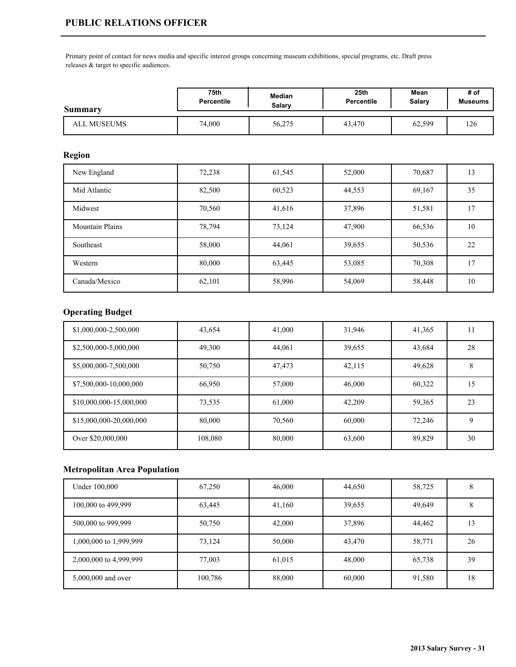Primary point of contact for news media and specific interest groups concerning museum exhibitions, special programs, etc. Draft press releases & target to specific audiences.

| Summary     | 75th              | Median        | 25th              | Mean          | # of           |
|-------------|-------------------|---------------|-------------------|---------------|----------------|
|             | <b>Percentile</b> | <b>Salary</b> | <b>Percentile</b> | <b>Salary</b> | <b>Museums</b> |
| ALL MUSEUMS | 74,000            | 56,275        | 43.470            | 62,599        | 126            |

### **Region**

| New England            | 72,238 | 61,545 | 52,000 | 70,687 | 13 |
|------------------------|--------|--------|--------|--------|----|
| Mid Atlantic           | 82,500 | 60,523 | 44,553 | 69,167 | 35 |
| Midwest                | 70,560 | 41,616 | 37,896 | 51,581 | 17 |
| <b>Mountain Plains</b> | 78,794 | 73,124 | 47,900 | 66,536 | 10 |
| Southeast              | 58,000 | 44,061 | 39,655 | 50,536 | 22 |
| Western                | 80,000 | 63,445 | 53,085 | 70,308 | 17 |
| Canada/Mexico          | 62,101 | 58,996 | 54,069 | 58,448 | 10 |

### **Operating Budget**

| \$1,000,000-2,500,000   | 43,654  | 41,000 | 31,946 | 41,365 |    |
|-------------------------|---------|--------|--------|--------|----|
| \$2,500,000-5,000,000   | 49,300  | 44,061 | 39,655 | 43,684 | 28 |
| \$5,000,000-7,500,000   | 50,750  | 47,473 | 42,115 | 49,628 | 8  |
| \$7,500,000-10,000,000  | 66,950  | 57,000 | 46,000 | 60,322 | 15 |
| \$10,000,000-15,000,000 | 73,535  | 61,000 | 42.209 | 59,365 | 23 |
| \$15,000,000-20,000,000 | 80,000  | 70,560 | 60,000 | 72.246 | 9  |
| Over \$20,000,000       | 108,080 | 80,000 | 63,600 | 89,829 | 30 |

| Under 100,000          | 67,250  | 46,000 | 44,650 | 58,725 |    |
|------------------------|---------|--------|--------|--------|----|
| 100,000 to 499,999     | 63,445  | 41,160 | 39,655 | 49,649 | ο  |
| 500,000 to 999,999     | 50,750  | 42,000 | 37,896 | 44,462 | 13 |
| 1,000,000 to 1,999,999 | 73,124  | 50,000 | 43,470 | 58,771 | 26 |
| 2,000,000 to 4,999,999 | 77,003  | 61,015 | 48,000 | 65,738 | 39 |
| 5,000,000 and over     | 100,786 | 88,000 | 60,000 | 91,580 | 18 |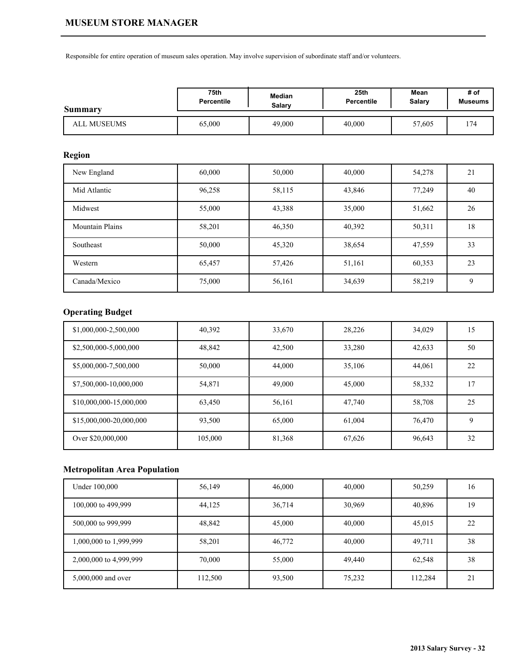Responsible for entire operation of museum sales operation. May involve supervision of subordinate staff and/or volunteers.

| Summary     | 75th              | Median | 25th              | Mean   | # of           |
|-------------|-------------------|--------|-------------------|--------|----------------|
|             | <b>Percentile</b> | Salary | <b>Percentile</b> | Salary | <b>Museums</b> |
| ALL MUSEUMS | 65,000            | 49,000 | 40,000            | 57,605 | 174            |

## **Region**

| New England            | 60,000 | 50,000 | 40,000 | 54,278 | 21 |
|------------------------|--------|--------|--------|--------|----|
| Mid Atlantic           | 96,258 | 58,115 | 43,846 | 77,249 | 40 |
| Midwest                | 55,000 | 43,388 | 35,000 | 51,662 | 26 |
| <b>Mountain Plains</b> | 58,201 | 46,350 | 40,392 | 50,311 | 18 |
| Southeast              | 50,000 | 45,320 | 38,654 | 47,559 | 33 |
| Western                | 65,457 | 57,426 | 51,161 | 60,353 | 23 |
| Canada/Mexico          | 75,000 | 56,161 | 34,639 | 58,219 | 9  |

# **Operating Budget**

| \$1,000,000-2,500,000   | 40,392  | 33,670 | 28,226 | 34,029 | 15 |
|-------------------------|---------|--------|--------|--------|----|
| \$2,500,000-5,000,000   | 48,842  | 42,500 | 33,280 | 42,633 | 50 |
| \$5,000,000-7,500,000   | 50,000  | 44,000 | 35,106 | 44,061 | 22 |
| \$7,500,000-10,000,000  | 54,871  | 49,000 | 45,000 | 58,332 | 17 |
| \$10,000,000-15,000,000 | 63,450  | 56,161 | 47,740 | 58,708 | 25 |
| \$15,000,000-20,000,000 | 93.500  | 65,000 | 61,004 | 76,470 | 9  |
| Over \$20,000,000       | 105,000 | 81,368 | 67,626 | 96,643 | 32 |

| Under 100,000          | 56,149  | 46,000 | 40,000 | 50,259  | 16 |
|------------------------|---------|--------|--------|---------|----|
| 100,000 to 499,999     | 44,125  | 36,714 | 30,969 | 40,896  | 19 |
| 500,000 to 999,999     | 48,842  | 45,000 | 40,000 | 45,015  | 22 |
| 1,000,000 to 1,999,999 | 58,201  | 46,772 | 40,000 | 49,711  | 38 |
| 2,000,000 to 4,999,999 | 70,000  | 55,000 | 49,440 | 62,548  | 38 |
| 5,000,000 and over     | 112,500 | 93,500 | 75,232 | 112,284 | 21 |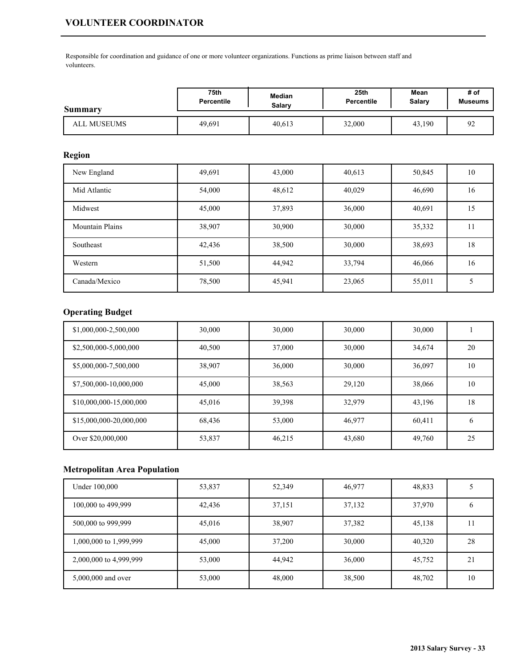# **VOLUNTEER COORDINATOR**

Responsible for coordination and guidance of one or more volunteer organizations. Functions as prime liaison between staff and volunteers.

| Summary     | 75th              | <b>Median</b> | 25 <sub>th</sub> | Mean   | # of             |
|-------------|-------------------|---------------|------------------|--------|------------------|
|             | <b>Percentile</b> | Salary        | Percentile       | Salary | <b>Museums</b>   |
| ALL MUSEUMS | 49,691            | 40.613        | 32,000           | 43,190 | $^{\Omega}$<br>╯ |

### **Region**

| New England            | 49,691 | 43,000 | 40,613 | 50,845 | 10 |
|------------------------|--------|--------|--------|--------|----|
| Mid Atlantic           | 54,000 | 48,612 | 40,029 | 46,690 | 16 |
| Midwest                | 45,000 | 37,893 | 36,000 | 40,691 | 15 |
| <b>Mountain Plains</b> | 38,907 | 30,900 | 30,000 | 35,332 | 11 |
| Southeast              | 42,436 | 38,500 | 30,000 | 38,693 | 18 |
| Western                | 51,500 | 44,942 | 33,794 | 46,066 | 16 |
| Canada/Mexico          | 78,500 | 45,941 | 23,065 | 55,011 |    |

# **Operating Budget**

| \$1,000,000-2,500,000   | 30,000 | 30,000 | 30,000 | 30,000 |    |
|-------------------------|--------|--------|--------|--------|----|
| \$2,500,000-5,000,000   | 40,500 | 37,000 | 30,000 | 34,674 | 20 |
| \$5,000,000-7,500,000   | 38,907 | 36,000 | 30,000 | 36,097 | 10 |
| \$7,500,000-10,000,000  | 45,000 | 38,563 | 29,120 | 38,066 | 10 |
| \$10,000,000-15,000,000 | 45,016 | 39,398 | 32.979 | 43,196 | 18 |
| \$15,000,000-20,000,000 | 68,436 | 53,000 | 46,977 | 60,411 | 6  |
| Over \$20,000,000       | 53,837 | 46,215 | 43,680 | 49,760 | 25 |

| Under 100,000          | 53,837 | 52,349 | 46,977 | 48,833 |    |
|------------------------|--------|--------|--------|--------|----|
| 100,000 to 499,999     | 42,436 | 37,151 | 37,132 | 37,970 |    |
| 500,000 to 999,999     | 45,016 | 38,907 | 37,382 | 45,138 | 11 |
| 1,000,000 to 1,999,999 | 45,000 | 37,200 | 30,000 | 40,320 | 28 |
| 2,000,000 to 4,999,999 | 53,000 | 44,942 | 36,000 | 45,752 | 21 |
| 5,000,000 and over     | 53,000 | 48,000 | 38,500 | 48,702 | 10 |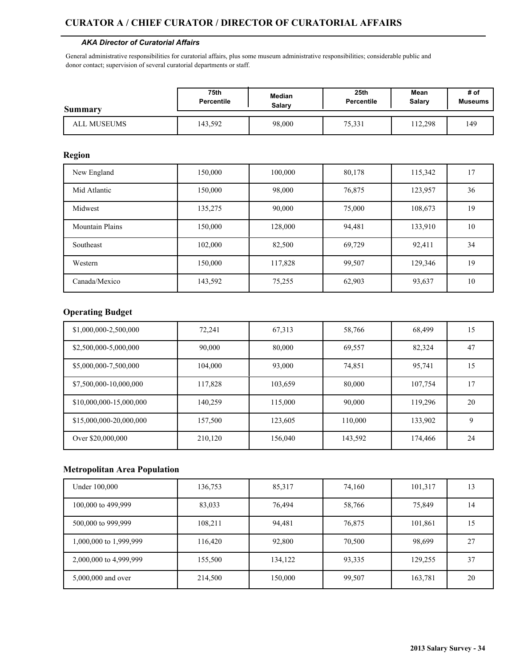## **CURATOR A / CHIEF CURATOR / DIRECTOR OF CURATORIAL AFFAIRS**

#### *AKA Director of Curatorial Affairs*

General administrative responsibilities for curatorial affairs, plus some museum administrative responsibilities; considerable public and donor contact; supervision of several curatorial departments or staff.

| <b>Summary</b> | 75th              | <b>Median</b> | 25th              | Mean          | # of           |
|----------------|-------------------|---------------|-------------------|---------------|----------------|
|                | <b>Percentile</b> | Salarv        | <b>Percentile</b> | <b>Salary</b> | <b>Museums</b> |
| ALL MUSEUMS    | 143,592           | 98,000        | 75,331            | 12.298        | 149            |

### **Region**

| New England            | 150,000 | 100,000 | 80,178 | 115,342 | 17 |
|------------------------|---------|---------|--------|---------|----|
| Mid Atlantic           | 150,000 | 98,000  | 76,875 | 123,957 | 36 |
| Midwest                | 135,275 | 90,000  | 75,000 | 108,673 | 19 |
| <b>Mountain Plains</b> | 150,000 | 128,000 | 94,481 | 133,910 | 10 |
| Southeast              | 102,000 | 82,500  | 69,729 | 92,411  | 34 |
| Western                | 150,000 | 117,828 | 99,507 | 129,346 | 19 |
| Canada/Mexico          | 143,592 | 75,255  | 62,903 | 93,637  | 10 |

## **Operating Budget**

| \$1,000,000-2,500,000   | 72,241  | 67,313  | 58,766  | 68,499  | 15 |
|-------------------------|---------|---------|---------|---------|----|
| \$2,500,000-5,000,000   | 90,000  | 80,000  | 69,557  | 82,324  | 47 |
| \$5,000,000-7,500,000   | 104,000 | 93,000  | 74,851  | 95.741  | 15 |
| \$7,500,000-10,000,000  | 117,828 | 103,659 | 80,000  | 107,754 | 17 |
| \$10,000,000-15,000,000 | 140,259 | 115,000 | 90,000  | 119,296 | 20 |
| \$15,000,000-20,000,000 | 157,500 | 123,605 | 110,000 | 133,902 | 9  |
| Over \$20,000,000       | 210,120 | 156,040 | 143,592 | 174,466 | 24 |

| Under 100,000          | 136,753 | 85,317  | 74,160 | 101,317 | 13 |
|------------------------|---------|---------|--------|---------|----|
| 100,000 to 499,999     | 83,033  | 76,494  | 58,766 | 75,849  | 14 |
| 500,000 to 999,999     | 108,211 | 94,481  | 76,875 | 101,861 | 15 |
| 1,000,000 to 1,999,999 | 116,420 | 92,800  | 70,500 | 98,699  | 27 |
| 2,000,000 to 4,999,999 | 155,500 | 134,122 | 93,335 | 129,255 | 37 |
| 5,000,000 and over     | 214,500 | 150,000 | 99,507 | 163,781 | 20 |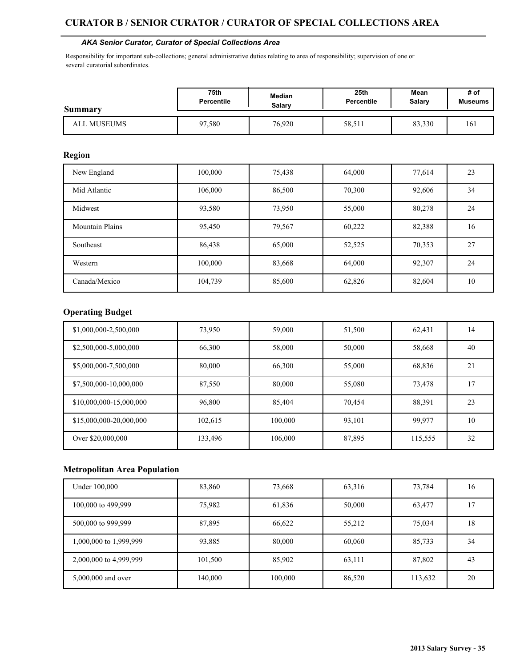### **CURATOR B / SENIOR CURATOR / CURATOR OF SPECIAL COLLECTIONS AREA**

#### *AKA Senior Curator, Curator of Special Collections Area*

Responsibility for important sub-collections; general administrative duties relating to area of responsibility; supervision of one or several curatorial subordinates.

| <b>Summary</b> | 75th              | <b>Median</b> | 25th              | Mean          | # of           |
|----------------|-------------------|---------------|-------------------|---------------|----------------|
|                | <b>Percentile</b> | Salarv        | <b>Percentile</b> | <b>Salary</b> | <b>Museums</b> |
| ALL MUSEUMS    | 97.580            | 76,920        | 58,511            | 83,330        | 161            |

#### **Region**

| New England            | 100,000 | 75,438 | 64.000 | 77,614 | 23 |
|------------------------|---------|--------|--------|--------|----|
| Mid Atlantic           | 106,000 | 86,500 | 70,300 | 92,606 | 34 |
| Midwest                | 93,580  | 73,950 | 55,000 | 80,278 | 24 |
| <b>Mountain Plains</b> | 95,450  | 79,567 | 60,222 | 82,388 | 16 |
| Southeast              | 86,438  | 65,000 | 52,525 | 70,353 | 27 |
| Western                | 100,000 | 83,668 | 64,000 | 92,307 | 24 |
| Canada/Mexico          | 104,739 | 85,600 | 62,826 | 82,604 | 10 |

### **Operating Budget**

| \$1,000,000-2,500,000   | 73,950  | 59,000  | 51,500 | 62,431  | 14 |
|-------------------------|---------|---------|--------|---------|----|
| \$2,500,000-5,000,000   | 66,300  | 58,000  | 50,000 | 58,668  | 40 |
| \$5,000,000-7,500,000   | 80,000  | 66,300  | 55,000 | 68,836  | 21 |
| \$7,500,000-10,000,000  | 87,550  | 80,000  | 55,080 | 73,478  | 17 |
| \$10,000,000-15,000,000 | 96,800  | 85,404  | 70,454 | 88,391  | 23 |
| \$15,000,000-20,000,000 | 102,615 | 100,000 | 93.101 | 99.977  | 10 |
| Over \$20,000,000       | 133,496 | 106,000 | 87,895 | 115,555 | 32 |

| Under 100,000          | 83,860  | 73,668  | 63,316 | 73,784  | 16 |
|------------------------|---------|---------|--------|---------|----|
| 100,000 to 499,999     | 75,982  | 61,836  | 50,000 | 63,477  | 17 |
| 500,000 to 999,999     | 87,895  | 66,622  | 55,212 | 75,034  | 18 |
| 1,000,000 to 1,999,999 | 93,885  | 80,000  | 60,060 | 85,733  | 34 |
| 2,000,000 to 4,999,999 | 101,500 | 85,902  | 63,111 | 87,802  | 43 |
| 5,000,000 and over     | 140,000 | 100,000 | 86,520 | 113,632 | 20 |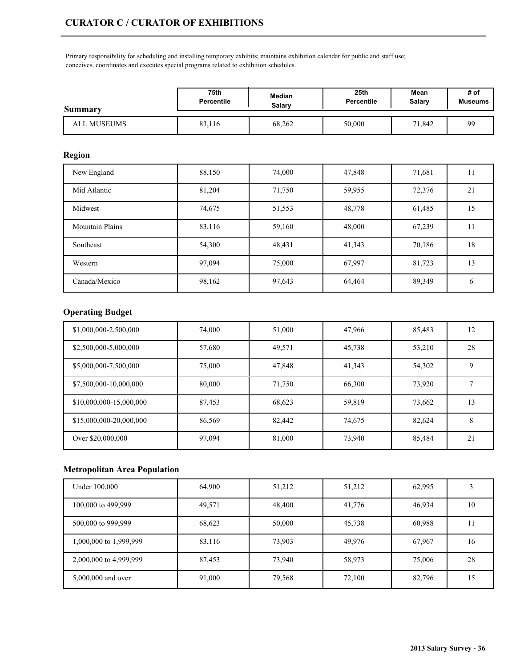Primary responsibility for scheduling and installing temporary exhibits; maintains exhibition calendar for public and staff use; conceives, coordinates and executes special programs related to exhibition schedules.

| Summary     | 75th       | Median        | 25 <sub>th</sub>  | Mean   | # of           |
|-------------|------------|---------------|-------------------|--------|----------------|
|             | Percentile | <b>Salary</b> | <b>Percentile</b> | Salary | <b>Museums</b> |
| ALL MUSEUMS | 83,116     | 68,262        | 50,000            | 71.842 | 99             |

## **Region**

| New England            | 88,150 | 74,000 | 47,848 | 71,681 | 11           |
|------------------------|--------|--------|--------|--------|--------------|
| Mid Atlantic           | 81,204 | 71,750 | 59,955 | 72,376 | 21           |
| Midwest                | 74,675 | 51,553 | 48,778 | 61,485 | 15           |
| <b>Mountain Plains</b> | 83,116 | 59,160 | 48,000 | 67,239 | 11           |
| Southeast              | 54,300 | 48,431 | 41,343 | 70,186 | 18           |
| Western                | 97,094 | 75,000 | 67,997 | 81,723 | 13           |
| Canada/Mexico          | 98,162 | 97,643 | 64,464 | 89,349 | <sub>0</sub> |

## **Operating Budget**

| \$1,000,000-2,500,000   | 74,000 | 51,000 | 47,966 | 85,483 | 12 |
|-------------------------|--------|--------|--------|--------|----|
| \$2,500,000-5,000,000   | 57,680 | 49,571 | 45,738 | 53,210 | 28 |
| \$5,000,000-7,500,000   | 75,000 | 47,848 | 41,343 | 54,302 | 9  |
| \$7,500,000-10,000,000  | 80,000 | 71,750 | 66,300 | 73,920 |    |
| \$10,000,000-15,000,000 | 87,453 | 68,623 | 59,819 | 73,662 | 13 |
| \$15,000,000-20,000,000 | 86,569 | 82,442 | 74.675 | 82,624 | 8  |
| Over \$20,000,000       | 97,094 | 81,000 | 73,940 | 85,484 | 21 |

| Under 100,000          | 64,900 | 51,212 | 51,212 | 62,995 |    |
|------------------------|--------|--------|--------|--------|----|
| 100,000 to 499,999     | 49,571 | 48,400 | 41,776 | 46,934 | 10 |
| 500,000 to 999,999     | 68,623 | 50,000 | 45,738 | 60,988 | 11 |
| 1,000,000 to 1,999,999 | 83,116 | 73,903 | 49,976 | 67,967 | 16 |
| 2,000,000 to 4,999,999 | 87,453 | 73,940 | 58,973 | 75,006 | 28 |
| 5,000,000 and over     | 91,000 | 79,568 | 72,100 | 82,796 | ۱5 |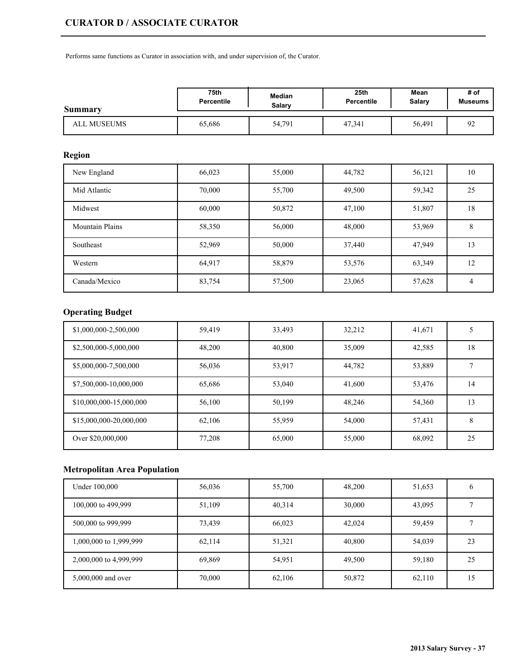Performs same functions as Curator in association with, and under supervision of, the Curator.

| <b>Summary</b> | 75th              | <b>Median</b> | 25 <sub>th</sub> | Mean          | # of           |
|----------------|-------------------|---------------|------------------|---------------|----------------|
|                | <b>Percentile</b> | Salary        | Percentile       | <b>Salary</b> | <b>Museums</b> |
| ALL MUSEUMS    | 65,686            | 54,791        | 47,341           | 56,491        | $\Omega$<br>╯  |

## **Region**

| New England            | 66,023 | 55,000 | 44,782 | 56,121 | 10 |
|------------------------|--------|--------|--------|--------|----|
| Mid Atlantic           | 70.000 | 55,700 | 49,500 | 59,342 | 25 |
| Midwest                | 60,000 | 50,872 | 47,100 | 51,807 | 18 |
| <b>Mountain Plains</b> | 58,350 | 56,000 | 48,000 | 53,969 | 8  |
| Southeast              | 52,969 | 50,000 | 37,440 | 47,949 | 13 |
| Western                | 64,917 | 58,879 | 53,576 | 63,349 | 12 |
| Canada/Mexico          | 83,754 | 57,500 | 23,065 | 57,628 | 4  |

# **Operating Budget**

| \$1,000,000-2,500,000   | 59.419 | 33,493 | 32,212 | 41,671 |    |
|-------------------------|--------|--------|--------|--------|----|
| \$2,500,000-5,000,000   | 48,200 | 40,800 | 35,009 | 42,585 | 18 |
| \$5,000,000-7,500,000   | 56,036 | 53,917 | 44,782 | 53,889 |    |
| \$7,500,000-10,000,000  | 65,686 | 53,040 | 41,600 | 53,476 | 14 |
| \$10,000,000-15,000,000 | 56,100 | 50,199 | 48.246 | 54,360 | 13 |
| \$15,000,000-20,000,000 | 62,106 | 55,959 | 54,000 | 57,431 | 8  |
| Over \$20,000,000       | 77,208 | 65,000 | 55,000 | 68,092 | 25 |

| Under 100,000          | 56,036 | 55,700 | 48,200 | 51,653 |    |
|------------------------|--------|--------|--------|--------|----|
| 100,000 to 499,999     | 51,109 | 40,314 | 30,000 | 43,095 |    |
| 500,000 to 999,999     | 73,439 | 66,023 | 42,024 | 59,459 |    |
| 1,000,000 to 1,999,999 | 62,114 | 51,321 | 40,800 | 54,039 | 23 |
| 2,000,000 to 4,999,999 | 69,869 | 54,951 | 49,500 | 59,180 | 25 |
| 5,000,000 and over     | 70,000 | 62,106 | 50,872 | 62,110 | 15 |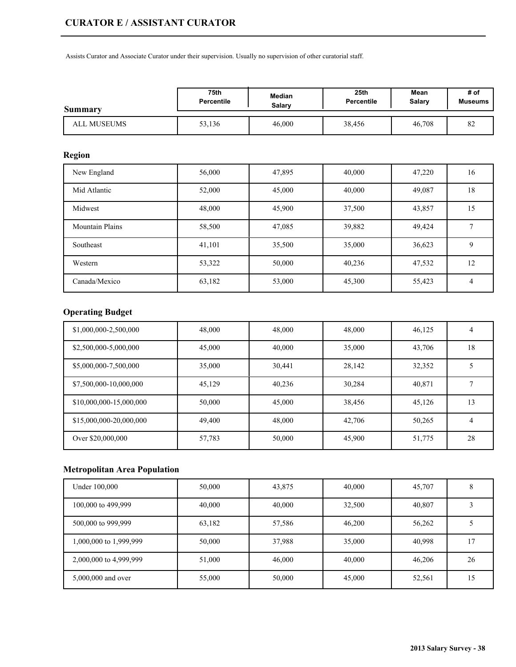Assists Curator and Associate Curator under their supervision. Usually no supervision of other curatorial staff.

| Summary     | 75th              | <b>Median</b> | 25 <sub>th</sub> | Mean   | # of           |
|-------------|-------------------|---------------|------------------|--------|----------------|
|             | <b>Percentile</b> | Salary        | Percentile       | Salary | <b>Museums</b> |
| ALL MUSEUMS | 53,136            | 46,000        | 38,456           | 46,708 | $\circ$<br>٥4  |

## **Region**

| New England            | 56,000 | 47,895 | 40,000 | 47,220 | 16 |
|------------------------|--------|--------|--------|--------|----|
| Mid Atlantic           | 52,000 | 45,000 | 40,000 | 49,087 | 18 |
| Midwest                | 48,000 | 45,900 | 37,500 | 43,857 | 15 |
| <b>Mountain Plains</b> | 58,500 | 47,085 | 39,882 | 49,424 |    |
| Southeast              | 41,101 | 35,500 | 35,000 | 36,623 | 9  |
| Western                | 53,322 | 50,000 | 40,236 | 47,532 | 12 |
| Canada/Mexico          | 63,182 | 53,000 | 45,300 | 55,423 | 4  |

# **Operating Budget**

| \$1,000,000-2,500,000   | 48,000 | 48,000 | 48,000 | 46,125 | 4  |
|-------------------------|--------|--------|--------|--------|----|
| \$2,500,000-5,000,000   | 45,000 | 40,000 | 35,000 | 43,706 | 18 |
| \$5,000,000-7,500,000   | 35,000 | 30,441 | 28,142 | 32,352 |    |
| \$7,500,000-10,000,000  | 45,129 | 40,236 | 30,284 | 40,871 |    |
| \$10,000,000-15,000,000 | 50,000 | 45,000 | 38,456 | 45,126 | 13 |
| \$15,000,000-20,000,000 | 49,400 | 48,000 | 42.706 | 50,265 | 4  |
| Over \$20,000,000       | 57,783 | 50,000 | 45,900 | 51,775 | 28 |

| Under 100,000          | 50,000 | 43,875 | 40,000 | 45,707 |    |
|------------------------|--------|--------|--------|--------|----|
| 100,000 to 499,999     | 40,000 | 40,000 | 32,500 | 40,807 |    |
| 500,000 to 999,999     | 63,182 | 57,586 | 46,200 | 56,262 |    |
| 1,000,000 to 1,999,999 | 50,000 | 37,988 | 35,000 | 40,998 | 17 |
| 2,000,000 to 4,999,999 | 51,000 | 46,000 | 40,000 | 46,206 | 26 |
| 5,000,000 and over     | 55,000 | 50,000 | 45,000 | 52,561 | 15 |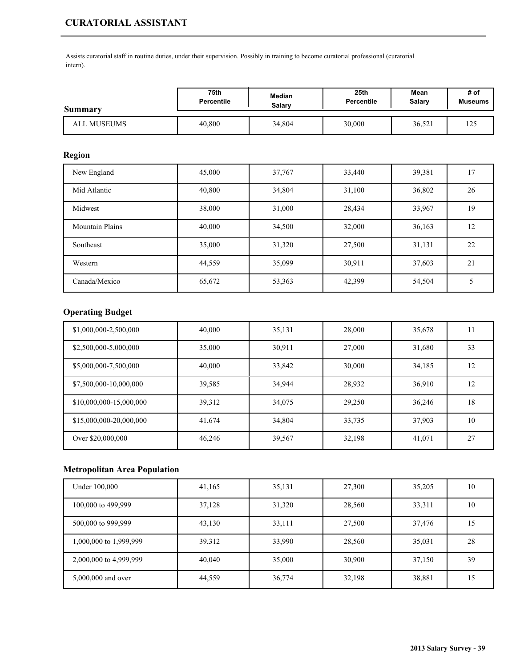Assists curatorial staff in routine duties, under their supervision. Possibly in training to become curatorial professional (curatorial intern).

| Summary     | 75th              | Median | 25 <sub>th</sub> | Mean   | # of           |
|-------------|-------------------|--------|------------------|--------|----------------|
|             | <b>Percentile</b> | Salarv | Percentile       | Salary | <b>Museums</b> |
| ALL MUSEUMS | 40,800            | 34,804 | 30,000           | 36,521 | 125            |

## **Region**

| New England            | 45,000 | 37,767 | 33,440 | 39,381 | 17 |
|------------------------|--------|--------|--------|--------|----|
| Mid Atlantic           | 40,800 | 34,804 | 31,100 | 36,802 | 26 |
| Midwest                | 38,000 | 31,000 | 28,434 | 33,967 | 19 |
| <b>Mountain Plains</b> | 40,000 | 34,500 | 32,000 | 36,163 | 12 |
| Southeast              | 35,000 | 31,320 | 27,500 | 31,131 | 22 |
| Western                | 44,559 | 35,099 | 30,911 | 37,603 | 21 |
| Canada/Mexico          | 65,672 | 53,363 | 42,399 | 54,504 |    |

# **Operating Budget**

| \$1,000,000-2,500,000   | 40,000 | 35,131 | 28,000 | 35,678 | . . |
|-------------------------|--------|--------|--------|--------|-----|
| \$2,500,000-5,000,000   | 35,000 | 30,911 | 27,000 | 31,680 | 33  |
| \$5,000,000-7,500,000   | 40,000 | 33,842 | 30,000 | 34,185 | 12  |
| \$7,500,000-10,000,000  | 39,585 | 34,944 | 28,932 | 36,910 | 12  |
| \$10,000,000-15,000,000 | 39.312 | 34,075 | 29,250 | 36,246 | 18  |
| \$15,000,000-20,000,000 | 41,674 | 34,804 | 33,735 | 37,903 | 10  |
| Over \$20,000,000       | 46,246 | 39,567 | 32,198 | 41,071 | 27  |

| Under 100,000          | 41,165 | 35,131 | 27,300 | 35,205 | 10 |
|------------------------|--------|--------|--------|--------|----|
| 100,000 to 499,999     | 37,128 | 31,320 | 28,560 | 33,311 | 10 |
| 500,000 to 999,999     | 43,130 | 33,111 | 27,500 | 37,476 | 15 |
| 1,000,000 to 1,999,999 | 39,312 | 33,990 | 28,560 | 35,031 | 28 |
| 2,000,000 to 4,999,999 | 40,040 | 35,000 | 30,900 | 37,150 | 39 |
| 5,000,000 and over     | 44,559 | 36,774 | 32,198 | 38,881 | 15 |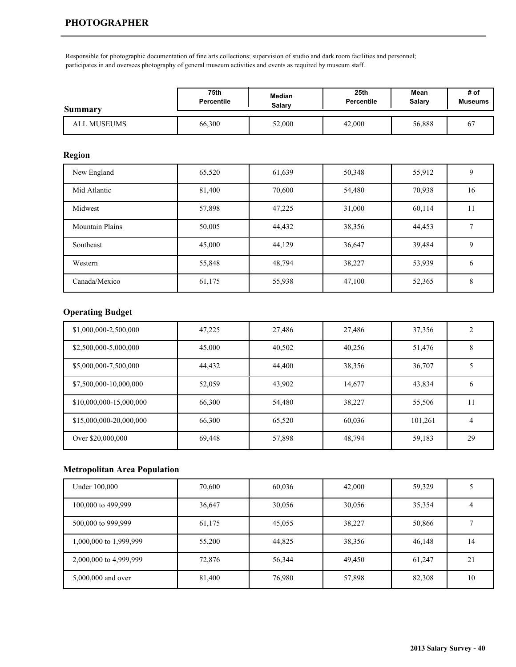Responsible for photographic documentation of fine arts collections; supervision of studio and dark room facilities and personnel; participates in and oversees photography of general museum activities and events as required by museum staff.

| Summary     | 75th              | Median | 25 <sub>th</sub>  | Mean   | # of           |
|-------------|-------------------|--------|-------------------|--------|----------------|
|             | <b>Percentile</b> | Salary | <b>Percentile</b> | Salary | <b>Museums</b> |
| ALL MUSEUMS | 66,300            | 52,000 | 42,000            | 56,888 | 6              |

## **Region**

| New England            | 65,520 | 61,639 | 50,348 | 55,912 | 9  |
|------------------------|--------|--------|--------|--------|----|
| Mid Atlantic           | 81,400 | 70,600 | 54,480 | 70,938 | 16 |
| Midwest                | 57,898 | 47,225 | 31,000 | 60,114 | 11 |
| <b>Mountain Plains</b> | 50,005 | 44,432 | 38,356 | 44,453 |    |
| Southeast              | 45,000 | 44,129 | 36,647 | 39,484 | 9  |
| Western                | 55,848 | 48,794 | 38,227 | 53,939 | 6  |
| Canada/Mexico          | 61,175 | 55,938 | 47,100 | 52,365 | 8  |

## **Operating Budget**

| \$1,000,000-2,500,000   | 47,225 | 27,486 | 27,486 | 37,356  |              |
|-------------------------|--------|--------|--------|---------|--------------|
| \$2,500,000-5,000,000   | 45,000 | 40,502 | 40,256 | 51,476  | 8            |
| \$5,000,000-7,500,000   | 44,432 | 44,400 | 38,356 | 36,707  |              |
| \$7,500,000-10,000,000  | 52,059 | 43,902 | 14,677 | 43,834  | <sub>6</sub> |
| \$10,000,000-15,000,000 | 66,300 | 54,480 | 38,227 | 55,506  |              |
| \$15,000,000-20,000,000 | 66,300 | 65,520 | 60,036 | 101,261 | 4            |
| Over \$20,000,000       | 69,448 | 57,898 | 48,794 | 59,183  | 29           |

| Under 100,000          | 70,600 | 60,036 | 42,000 | 59,329 |    |
|------------------------|--------|--------|--------|--------|----|
| 100,000 to 499,999     | 36,647 | 30,056 | 30,056 | 35,354 |    |
| 500,000 to 999,999     | 61,175 | 45,055 | 38,227 | 50,866 |    |
| 1,000,000 to 1,999,999 | 55,200 | 44,825 | 38,356 | 46,148 | 14 |
| 2,000,000 to 4,999,999 | 72,876 | 56,344 | 49,450 | 61,247 | 21 |
| 5,000,000 and over     | 81,400 | 76,980 | 57,898 | 82,308 | 10 |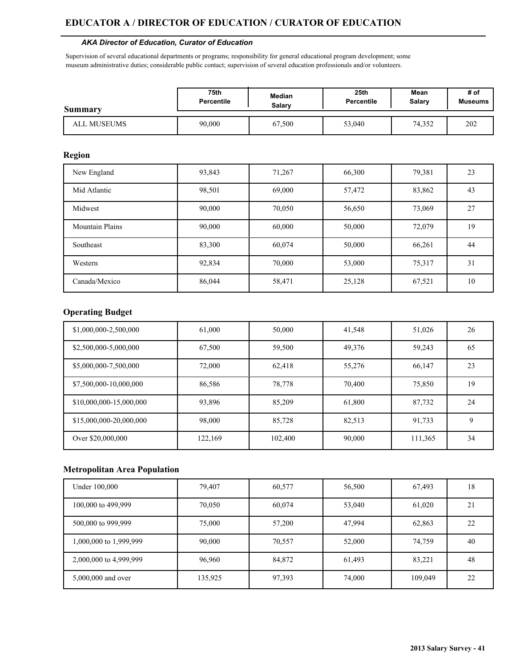#### *AKA Director of Education, Curator of Education*

Supervision of several educational departments or programs; responsibility for general educational program development; some museum administrative duties; considerable public contact; supervision of several education professionals and/or volunteers.

| Summary     | 75th              | <b>Median</b> | 25th       | Mean          | # of           |
|-------------|-------------------|---------------|------------|---------------|----------------|
|             | <b>Percentile</b> | Salarv        | Percentile | <b>Salary</b> | <b>Museums</b> |
| ALL MUSEUMS | 90,000            | 67,500        | 53,040     | 74.352        | 202            |

#### **Region**

| New England            | 93,843 | 71,267 | 66,300 | 79,381 | 23 |
|------------------------|--------|--------|--------|--------|----|
| Mid Atlantic           | 98,501 | 69,000 | 57,472 | 83,862 | 43 |
| Midwest                | 90,000 | 70,050 | 56,650 | 73,069 | 27 |
| <b>Mountain Plains</b> | 90,000 | 60,000 | 50,000 | 72,079 | 19 |
| Southeast              | 83,300 | 60,074 | 50,000 | 66,261 | 44 |
| Western                | 92,834 | 70,000 | 53,000 | 75,317 | 31 |
| Canada/Mexico          | 86,044 | 58,471 | 25,128 | 67,521 | 10 |

## **Operating Budget**

| \$1,000,000-2,500,000   | 61,000  | 50,000  | 41,548 | 51,026  | 26 |
|-------------------------|---------|---------|--------|---------|----|
| \$2,500,000-5,000,000   | 67,500  | 59,500  | 49,376 | 59,243  | 65 |
| \$5,000,000-7,500,000   | 72,000  | 62,418  | 55,276 | 66,147  | 23 |
| \$7,500,000-10,000,000  | 86,586  | 78,778  | 70,400 | 75,850  | 19 |
| \$10,000,000-15,000,000 | 93,896  | 85,209  | 61,800 | 87,732  | 24 |
| \$15,000,000-20,000,000 | 98,000  | 85,728  | 82,513 | 91.733  | 9  |
| Over \$20,000,000       | 122,169 | 102,400 | 90,000 | 111,365 | 34 |

| Under 100,000          | 79,407  | 60,577 | 56,500 | 67,493  | 18 |
|------------------------|---------|--------|--------|---------|----|
| 100,000 to 499,999     | 70,050  | 60,074 | 53,040 | 61,020  | 21 |
| 500,000 to 999,999     | 75,000  | 57,200 | 47,994 | 62,863  | 22 |
| 1,000,000 to 1,999,999 | 90,000  | 70,557 | 52,000 | 74,759  | 40 |
| 2,000,000 to 4,999,999 | 96,960  | 84,872 | 61,493 | 83,221  | 48 |
| 5,000,000 and over     | 135,925 | 97,393 | 74,000 | 109,049 | 22 |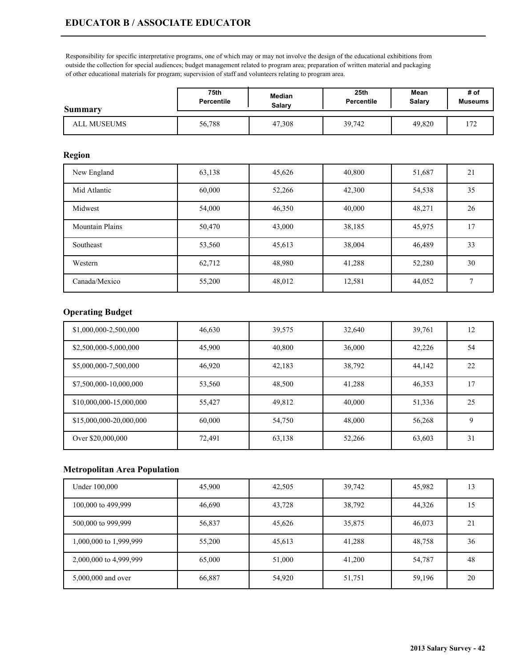Responsibility for specific interpretative programs, one of which may or may not involve the design of the educational exhibitions from outside the collection for special audiences; budget management related to program area; preparation of written material and packaging of other educational materials for program; supervision of staff and volunteers relating to program area.

| Summary     | 75th              | Median | 25th       | Mean   | # of           |
|-------------|-------------------|--------|------------|--------|----------------|
|             | <b>Percentile</b> | Salary | Percentile | Salary | <b>Museums</b> |
| ALL MUSEUMS | 56,788            | 47,308 | 39,742     | 49.820 | 72<br>. 12     |

#### **Region**

| New England            | 63,138 | 45,626 | 40,800 | 51,687 | 21 |
|------------------------|--------|--------|--------|--------|----|
| Mid Atlantic           | 60,000 | 52,266 | 42,300 | 54,538 | 35 |
| Midwest                | 54,000 | 46,350 | 40,000 | 48,271 | 26 |
| <b>Mountain Plains</b> | 50,470 | 43,000 | 38,185 | 45,975 | 17 |
| Southeast              | 53,560 | 45,613 | 38,004 | 46,489 | 33 |
| Western                | 62,712 | 48,980 | 41,288 | 52,280 | 30 |
| Canada/Mexico          | 55,200 | 48,012 | 12,581 | 44,052 |    |

## **Operating Budget**

| \$1,000,000-2,500,000   | 46,630 | 39,575 | 32,640 | 39,761 | 12 |
|-------------------------|--------|--------|--------|--------|----|
| \$2,500,000-5,000,000   | 45,900 | 40,800 | 36,000 | 42,226 | 54 |
| \$5,000,000-7,500,000   | 46,920 | 42,183 | 38,792 | 44,142 | 22 |
| \$7,500,000-10,000,000  | 53,560 | 48,500 | 41,288 | 46,353 | 17 |
| \$10,000,000-15,000,000 | 55,427 | 49,812 | 40,000 | 51,336 | 25 |
| \$15,000,000-20,000,000 | 60,000 | 54,750 | 48,000 | 56,268 | 9  |
| Over \$20,000,000       | 72,491 | 63,138 | 52,266 | 63,603 | 31 |

| Under 100,000          | 45,900 | 42,505 | 39,742 | 45,982 | 13 |
|------------------------|--------|--------|--------|--------|----|
| 100,000 to 499,999     | 46,690 | 43,728 | 38,792 | 44,326 | 15 |
| 500,000 to 999,999     | 56,837 | 45,626 | 35,875 | 46,073 | 21 |
| 1,000,000 to 1,999,999 | 55,200 | 45,613 | 41,288 | 48,758 | 36 |
| 2,000,000 to 4,999,999 | 65,000 | 51,000 | 41,200 | 54,787 | 48 |
| 5,000,000 and over     | 66,887 | 54,920 | 51,751 | 59,196 | 20 |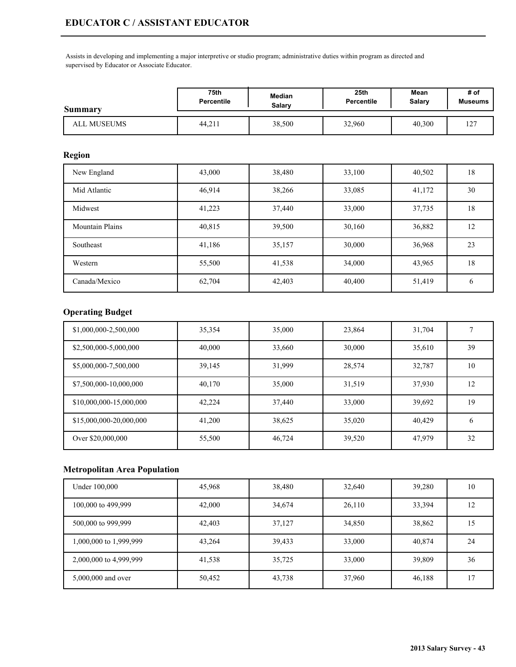Assists in developing and implementing a major interpretive or studio program; administrative duties within program as directed and supervised by Educator or Associate Educator.

| <b>Summary</b> | 75th              | Median | 25th              | Mean   | # of           |
|----------------|-------------------|--------|-------------------|--------|----------------|
|                | <b>Percentile</b> | Salarv | <b>Percentile</b> | Salary | <b>Museums</b> |
| ALL MUSEUMS    | 44.211            | 38,500 | 32,960            | 40,300 | 127<br>14      |

## **Region**

| New England            | 43,000 | 38,480 | 33,100 | 40,502 | 18           |
|------------------------|--------|--------|--------|--------|--------------|
| Mid Atlantic           | 46,914 | 38,266 | 33,085 | 41,172 | 30           |
| Midwest                | 41,223 | 37,440 | 33,000 | 37,735 | 18           |
| <b>Mountain Plains</b> | 40,815 | 39,500 | 30,160 | 36,882 | 12           |
| Southeast              | 41,186 | 35,157 | 30,000 | 36,968 | 23           |
| Western                | 55,500 | 41,538 | 34,000 | 43,965 | 18           |
| Canada/Mexico          | 62,704 | 42,403 | 40,400 | 51,419 | <sub>0</sub> |

## **Operating Budget**

| \$1,000,000-2,500,000   | 35,354 | 35,000 | 23,864 | 31,704 |              |
|-------------------------|--------|--------|--------|--------|--------------|
| \$2,500,000-5,000,000   | 40,000 | 33,660 | 30,000 | 35,610 | 39           |
| \$5,000,000-7,500,000   | 39,145 | 31,999 | 28,574 | 32,787 | 10           |
| \$7,500,000-10,000,000  | 40,170 | 35,000 | 31,519 | 37,930 | 12           |
| \$10,000,000-15,000,000 | 42,224 | 37,440 | 33,000 | 39,692 | 19           |
| \$15,000,000-20,000,000 | 41,200 | 38,625 | 35,020 | 40.429 | <sub>b</sub> |
| Over \$20,000,000       | 55,500 | 46,724 | 39,520 | 47,979 | 32           |

| Under 100,000          | 45,968 | 38,480 | 32,640 | 39,280 | 10 |
|------------------------|--------|--------|--------|--------|----|
| 100,000 to 499,999     | 42,000 | 34,674 | 26,110 | 33,394 | 12 |
| 500,000 to 999,999     | 42,403 | 37,127 | 34,850 | 38,862 | 15 |
| 1,000,000 to 1,999,999 | 43,264 | 39,433 | 33,000 | 40,874 | 24 |
| 2,000,000 to 4,999,999 | 41,538 | 35,725 | 33,000 | 39,809 | 36 |
| 5,000,000 and over     | 50,452 | 43,738 | 37,960 | 46,188 | 17 |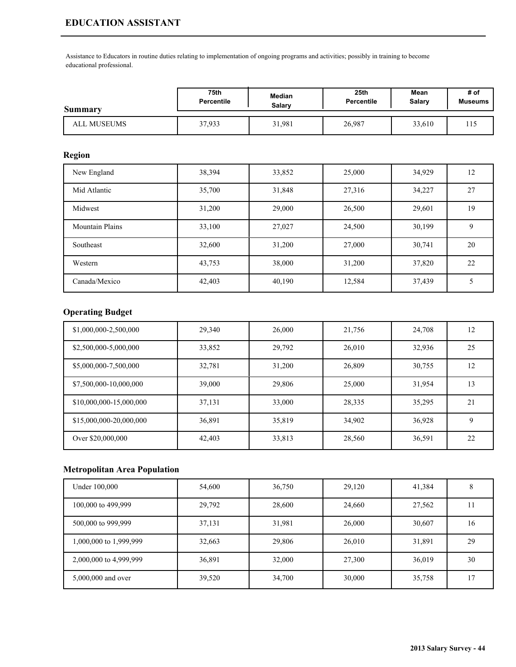# **EDUCATION ASSISTANT**

Assistance to Educators in routine duties relating to implementation of ongoing programs and activities; possibly in training to become educational professional.

| Summary     | 75th              | Median | 25 <sub>th</sub>  | Mean   | # of           |
|-------------|-------------------|--------|-------------------|--------|----------------|
|             | <b>Percentile</b> | Salarv | <b>Percentile</b> | Salary | <b>Museums</b> |
| ALL MUSEUMS | 37.933            | 31,981 | 26,987            | 33,610 | -12            |

### **Region**

| New England            | 38,394 | 33,852 | 25,000 | 34,929 | 12 |
|------------------------|--------|--------|--------|--------|----|
| Mid Atlantic           | 35,700 | 31,848 | 27,316 | 34,227 | 27 |
| Midwest                | 31,200 | 29,000 | 26,500 | 29,601 | 19 |
| <b>Mountain Plains</b> | 33,100 | 27,027 | 24,500 | 30,199 | 9  |
| Southeast              | 32,600 | 31,200 | 27,000 | 30,741 | 20 |
| Western                | 43,753 | 38,000 | 31,200 | 37,820 | 22 |
| Canada/Mexico          | 42,403 | 40,190 | 12,584 | 37,439 |    |

# **Operating Budget**

| \$1,000,000-2,500,000   | 29,340 | 26,000 | 21,756 | 24,708 | 12 |
|-------------------------|--------|--------|--------|--------|----|
| \$2,500,000-5,000,000   | 33,852 | 29,792 | 26,010 | 32,936 | 25 |
| \$5,000,000-7,500,000   | 32,781 | 31,200 | 26,809 | 30,755 | 12 |
| \$7,500,000-10,000,000  | 39,000 | 29,806 | 25,000 | 31,954 | 13 |
| \$10,000,000-15,000,000 | 37,131 | 33,000 | 28,335 | 35,295 | 21 |
| \$15,000,000-20,000,000 | 36,891 | 35,819 | 34,902 | 36,928 | 9  |
| Over \$20,000,000       | 42,403 | 33,813 | 28,560 | 36,591 | 22 |

| Under 100,000          | 54,600 | 36,750 | 29,120 | 41,384 | Ω  |
|------------------------|--------|--------|--------|--------|----|
| 100,000 to 499,999     | 29,792 | 28,600 | 24,660 | 27,562 |    |
| 500,000 to 999,999     | 37,131 | 31,981 | 26,000 | 30,607 | 16 |
| 1,000,000 to 1,999,999 | 32,663 | 29,806 | 26,010 | 31,891 | 29 |
| 2,000,000 to 4,999,999 | 36,891 | 32,000 | 27,300 | 36,019 | 30 |
| 5,000,000 and over     | 39,520 | 34,700 | 30,000 | 35,758 | 17 |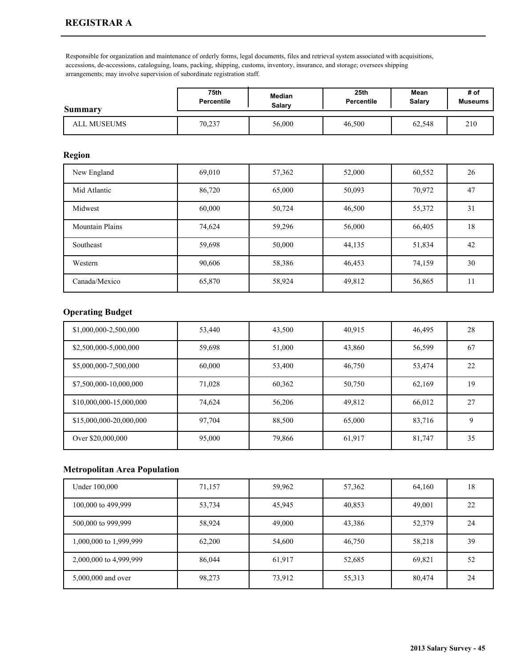Responsible for organization and maintenance of orderly forms, legal documents, files and retrieval system associated with acquisitions, accessions, de-accessions, cataloguing, loans, packing, shipping, customs, inventory, insurance, and storage; oversees shipping arrangements; may involve supervision of subordinate registration staff.

| Summary     | 75th              | <b>Median</b> | 25 <sub>th</sub> | Mean   | # of           |
|-------------|-------------------|---------------|------------------|--------|----------------|
|             | <b>Percentile</b> | Salarv        | Percentile       | Salary | <b>Museums</b> |
| ALL MUSEUMS | 70,237            | 56,000        | 46,500           | 62,548 | 210            |

#### **Region**

| New England            | 69,010 | 57,362 | 52,000 | 60,552 | 26 |
|------------------------|--------|--------|--------|--------|----|
| Mid Atlantic           | 86,720 | 65,000 | 50,093 | 70,972 | 47 |
| Midwest                | 60,000 | 50,724 | 46,500 | 55,372 | 31 |
| <b>Mountain Plains</b> | 74,624 | 59,296 | 56,000 | 66,405 | 18 |
| Southeast              | 59,698 | 50,000 | 44,135 | 51,834 | 42 |
| Western                | 90,606 | 58,386 | 46,453 | 74,159 | 30 |
| Canada/Mexico          | 65,870 | 58,924 | 49,812 | 56,865 | .  |

## **Operating Budget**

| \$1,000,000-2,500,000   | 53,440 | 43,500 | 40,915 | 46,495 | 28 |
|-------------------------|--------|--------|--------|--------|----|
| \$2,500,000-5,000,000   | 59,698 | 51,000 | 43,860 | 56,599 | 67 |
| \$5,000,000-7,500,000   | 60,000 | 53,400 | 46,750 | 53,474 | 22 |
| \$7,500,000-10,000,000  | 71,028 | 60,362 | 50,750 | 62,169 | 19 |
| \$10,000,000-15,000,000 | 74.624 | 56,206 | 49,812 | 66.012 | 27 |
| \$15,000,000-20,000,000 | 97.704 | 88,500 | 65,000 | 83.716 | 9  |
| Over \$20,000,000       | 95,000 | 79,866 | 61,917 | 81,747 | 35 |

| Under 100,000          | 71,157 | 59,962 | 57,362 | 64,160 | 18 |
|------------------------|--------|--------|--------|--------|----|
| 100,000 to 499,999     | 53,734 | 45,945 | 40,853 | 49,001 | 22 |
| 500,000 to 999,999     | 58,924 | 49,000 | 43,386 | 52,379 | 24 |
| 1,000,000 to 1,999,999 | 62,200 | 54,600 | 46,750 | 58,218 | 39 |
| 2,000,000 to 4,999,999 | 86,044 | 61,917 | 52,685 | 69,821 | 52 |
| 5,000,000 and over     | 98,273 | 73,912 | 55,313 | 80,474 | 24 |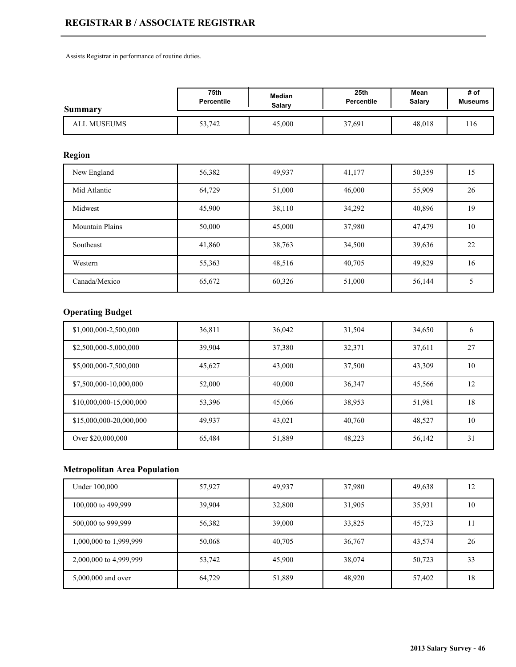# **REGISTRAR B / ASSOCIATE REGISTRAR**

Assists Registrar in performance of routine duties.

| <b>Summary</b>     | 75th              | Median | 25th              | Mean   | # of           |
|--------------------|-------------------|--------|-------------------|--------|----------------|
|                    | <b>Percentile</b> | Salarv | <b>Percentile</b> | Salary | <b>Museums</b> |
| <b>ALL MUSEUMS</b> | 53,742            | 45,000 | 37,691            | 48,018 | ' 16           |

## **Region**

| New England            | 56,382 | 49,937 | 41,177 | 50,359 | 15 <sup>2</sup> |
|------------------------|--------|--------|--------|--------|-----------------|
| Mid Atlantic           | 64,729 | 51,000 | 46,000 | 55,909 | 26              |
| Midwest                | 45,900 | 38,110 | 34,292 | 40,896 | 19              |
| <b>Mountain Plains</b> | 50,000 | 45,000 | 37,980 | 47,479 | 10              |
| Southeast              | 41,860 | 38,763 | 34,500 | 39,636 | 22              |
| Western                | 55,363 | 48,516 | 40,705 | 49,829 | 16              |
| Canada/Mexico          | 65,672 | 60,326 | 51,000 | 56,144 |                 |

# **Operating Budget**

| \$1,000,000-2,500,000   | 36,811 | 36,042 | 31,504 | 34,650 | <sub>(</sub> |
|-------------------------|--------|--------|--------|--------|--------------|
| \$2,500,000-5,000,000   | 39,904 | 37,380 | 32,371 | 37,611 | 27           |
| \$5,000,000-7,500,000   | 45,627 | 43,000 | 37,500 | 43,309 | 10           |
| \$7,500,000-10,000,000  | 52,000 | 40,000 | 36,347 | 45,566 | 12           |
| \$10,000,000-15,000,000 | 53,396 | 45,066 | 38,953 | 51,981 | 18           |
| \$15,000,000-20,000,000 | 49,937 | 43,021 | 40,760 | 48,527 | 10           |
| Over \$20,000,000       | 65,484 | 51,889 | 48,223 | 56,142 | 31           |

| Under 100,000          | 57,927 | 49,937 | 37,980 | 49,638 | 12 |
|------------------------|--------|--------|--------|--------|----|
| 100,000 to 499,999     | 39,904 | 32,800 | 31,905 | 35,931 | 10 |
| 500,000 to 999,999     | 56,382 | 39,000 | 33,825 | 45,723 | 11 |
| 1,000,000 to 1,999,999 | 50,068 | 40,705 | 36,767 | 43,574 | 26 |
| 2,000,000 to 4,999,999 | 53,742 | 45,900 | 38,074 | 50,723 | 33 |
| 5,000,000 and over     | 64,729 | 51,889 | 48,920 | 57,402 | 18 |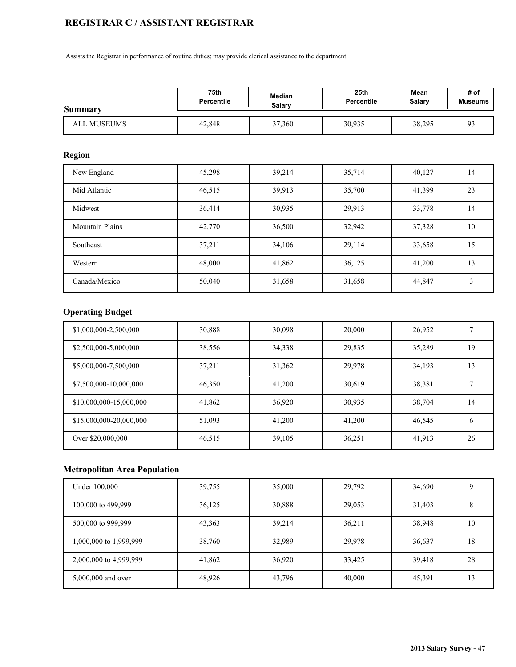Assists the Registrar in performance of routine duties; may provide clerical assistance to the department.

| <b>Summary</b> | 75th              | <b>Median</b> | 25th              | Mean   | # of           |
|----------------|-------------------|---------------|-------------------|--------|----------------|
|                | <b>Percentile</b> | <b>Salary</b> | <b>Percentile</b> | Salary | <b>Museums</b> |
| ALL MUSEUMS    | 42,848            | 37,360        | 30,935            | 38,295 |                |

## **Region**

| New England            | 45,298 | 39,214 | 35,714 | 40,127 | 14 |
|------------------------|--------|--------|--------|--------|----|
| Mid Atlantic           | 46,515 | 39,913 | 35,700 | 41,399 | 23 |
| Midwest                | 36,414 | 30,935 | 29,913 | 33,778 | 14 |
| <b>Mountain Plains</b> | 42,770 | 36,500 | 32,942 | 37,328 | 10 |
| Southeast              | 37,211 | 34,106 | 29,114 | 33,658 | 15 |
| Western                | 48,000 | 41,862 | 36,125 | 41,200 | 13 |
| Canada/Mexico          | 50,040 | 31,658 | 31,658 | 44,847 | 3  |

# **Operating Budget**

| \$1,000,000-2,500,000   | 30,888 | 30,098 | 20,000 | 26,952 |              |
|-------------------------|--------|--------|--------|--------|--------------|
| \$2,500,000-5,000,000   | 38,556 | 34,338 | 29,835 | 35,289 | 19           |
| \$5,000,000-7,500,000   | 37,211 | 31,362 | 29,978 | 34,193 | 13           |
| \$7,500,000-10,000,000  | 46,350 | 41,200 | 30,619 | 38,381 |              |
| \$10,000,000-15,000,000 | 41,862 | 36,920 | 30,935 | 38,704 | 14           |
| \$15,000,000-20,000,000 | 51,093 | 41,200 | 41.200 | 46,545 | <sub>b</sub> |
| Over \$20,000,000       | 46,515 | 39,105 | 36,251 | 41,913 | 26           |

| Under 100,000          | 39,755 | 35,000 | 29,792 | 34,690 |    |
|------------------------|--------|--------|--------|--------|----|
| 100,000 to 499,999     | 36,125 | 30,888 | 29,053 | 31,403 |    |
| 500,000 to 999,999     | 43,363 | 39,214 | 36,211 | 38,948 | 10 |
| 1,000,000 to 1,999,999 | 38,760 | 32,989 | 29,978 | 36,637 | 18 |
| 2,000,000 to 4,999,999 | 41,862 | 36,920 | 33,425 | 39,418 | 28 |
| 5,000,000 and over     | 48,926 | 43,796 | 40,000 | 45,391 | 13 |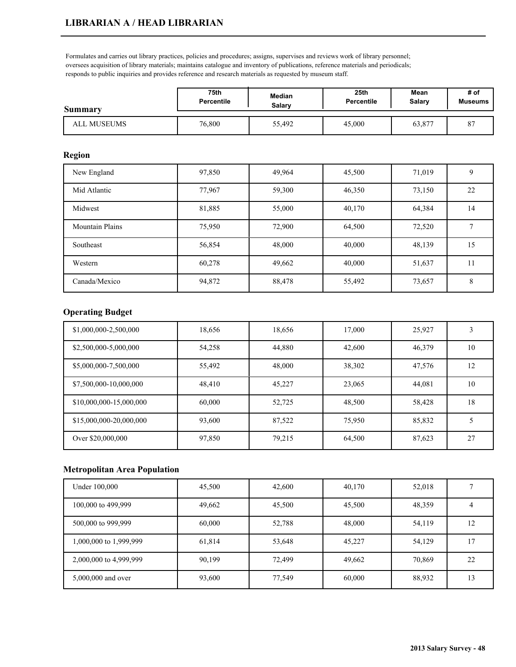Formulates and carries out library practices, policies and procedures; assigns, supervises and reviews work of library personnel; oversees acquisition of library materials; maintains catalogue and inventory of publications, reference materials and periodicals; responds to public inquiries and provides reference and research materials as requested by museum staff.

| <b>Summary</b> | 75th              | Median | 25 <sub>th</sub> | Mean   | # of            |
|----------------|-------------------|--------|------------------|--------|-----------------|
|                | <b>Percentile</b> | Salary | Percentile       | Salary | <b>Museums</b>  |
| ALL MUSEUMS    | 76,800            | 55,492 | 45,000           | 63,877 | $\Omega$ .<br>O |

#### **Region**

| New England            | 97,850 | 49,964 | 45,500 | 71,019 | 9  |
|------------------------|--------|--------|--------|--------|----|
| Mid Atlantic           | 77,967 | 59,300 | 46,350 | 73,150 | 22 |
| Midwest                | 81,885 | 55,000 | 40,170 | 64,384 | 14 |
| <b>Mountain Plains</b> | 75,950 | 72,900 | 64,500 | 72,520 |    |
| Southeast              | 56,854 | 48,000 | 40,000 | 48,139 | 15 |
| Western                | 60,278 | 49,662 | 40,000 | 51,637 | 11 |
| Canada/Mexico          | 94,872 | 88,478 | 55,492 | 73,657 | 8  |

## **Operating Budget**

| \$1,000,000-2,500,000   | 18,656 | 18,656 | 17,000 | 25,927 |    |
|-------------------------|--------|--------|--------|--------|----|
| \$2,500,000-5,000,000   | 54,258 | 44,880 | 42,600 | 46,379 | 10 |
| \$5,000,000-7,500,000   | 55,492 | 48,000 | 38,302 | 47,576 | 12 |
| \$7,500,000-10,000,000  | 48,410 | 45,227 | 23,065 | 44,081 | 10 |
| \$10,000,000-15,000,000 | 60,000 | 52,725 | 48,500 | 58,428 | 18 |
| \$15,000,000-20,000,000 | 93,600 | 87,522 | 75,950 | 85,832 |    |
| Over \$20,000,000       | 97,850 | 79,215 | 64,500 | 87,623 | 27 |

| Under 100,000          | 45,500 | 42,600 | 40,170 | 52,018 |    |
|------------------------|--------|--------|--------|--------|----|
| 100,000 to 499,999     | 49,662 | 45,500 | 45,500 | 48,359 |    |
| 500,000 to 999,999     | 60,000 | 52,788 | 48,000 | 54,119 | 12 |
| 1,000,000 to 1,999,999 | 61,814 | 53,648 | 45,227 | 54,129 | 17 |
| 2,000,000 to 4,999,999 | 90,199 | 72,499 | 49,662 | 70,869 | 22 |
| 5,000,000 and over     | 93,600 | 77,549 | 60,000 | 88,932 | 13 |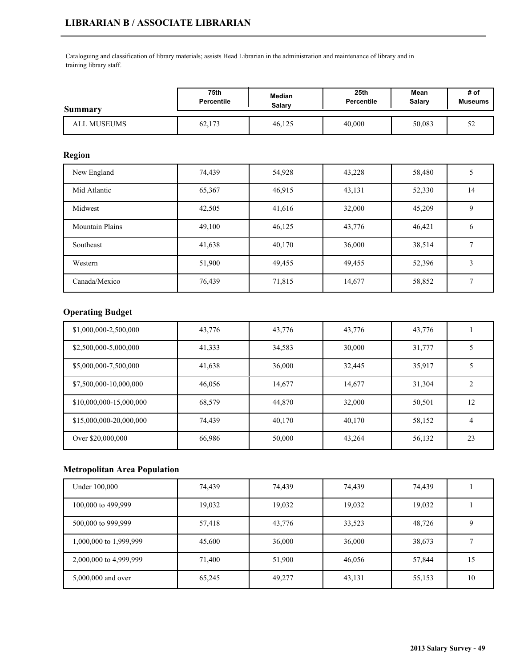# **LIBRARIAN B / ASSOCIATE LIBRARIAN**

Cataloguing and classification of library materials; assists Head Librarian in the administration and maintenance of library and in training library staff.

| <b>Summary</b>     | 75th              | Median | 25th              | Mean   | # of           |
|--------------------|-------------------|--------|-------------------|--------|----------------|
|                    | <b>Percentile</b> | Salarv | <b>Percentile</b> | Salary | <b>Museums</b> |
| <b>ALL MUSEUMS</b> | 62,173            | 46,125 | 40,000            | 50,083 | ے ب            |

### **Region**

| New England            | 74,439 | 54,928 | 43,228 | 58,480 |    |
|------------------------|--------|--------|--------|--------|----|
| Mid Atlantic           | 65,367 | 46,915 | 43,131 | 52,330 | 14 |
| Midwest                | 42,505 | 41,616 | 32,000 | 45,209 | 9  |
| <b>Mountain Plains</b> | 49,100 | 46,125 | 43,776 | 46,421 | 6  |
| Southeast              | 41,638 | 40,170 | 36,000 | 38,514 |    |
| Western                | 51,900 | 49,455 | 49,455 | 52,396 |    |
| Canada/Mexico          | 76,439 | 71,815 | 14,677 | 58,852 |    |

## **Operating Budget**

| \$1,000,000-2,500,000   | 43,776 | 43,776 | 43,776 | 43,776 |    |
|-------------------------|--------|--------|--------|--------|----|
| \$2,500,000-5,000,000   | 41,333 | 34,583 | 30,000 | 31,777 |    |
| \$5,000,000-7,500,000   | 41,638 | 36,000 | 32,445 | 35,917 |    |
| \$7,500,000-10,000,000  | 46,056 | 14,677 | 14,677 | 31,304 |    |
| \$10,000,000-15,000,000 | 68,579 | 44,870 | 32,000 | 50,501 | 12 |
| \$15,000,000-20,000,000 | 74.439 | 40,170 | 40,170 | 58,152 | 4  |
| Over \$20,000,000       | 66,986 | 50,000 | 43,264 | 56,132 | 23 |

| Under 100,000          | 74,439 | 74,439 | 74,439 | 74,439 |    |
|------------------------|--------|--------|--------|--------|----|
| 100,000 to 499,999     | 19,032 | 19,032 | 19,032 | 19,032 |    |
| 500,000 to 999,999     | 57,418 | 43,776 | 33,523 | 48,726 |    |
| 1,000,000 to 1,999,999 | 45,600 | 36,000 | 36,000 | 38,673 |    |
| 2,000,000 to 4,999,999 | 71,400 | 51,900 | 46,056 | 57,844 | 15 |
| 5,000,000 and over     | 65,245 | 49,277 | 43,131 | 55,153 | 10 |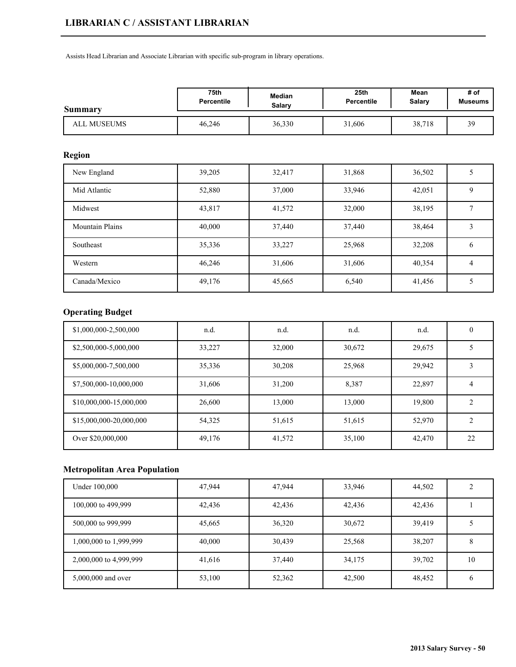Assists Head Librarian and Associate Librarian with specific sub-program in library operations.

| Summary     | 75th              | Median | 25th              | Mean   | # of           |
|-------------|-------------------|--------|-------------------|--------|----------------|
|             | <b>Percentile</b> | Salary | <b>Percentile</b> | Salary | <b>Museums</b> |
| ALL MUSEUMS | 46,246            | 36,330 | 31,606            | 38,718 | 3q<br>J .      |

## **Region**

| New England            | 39,205 | 32,417 | 31,868 | 36,502 |              |
|------------------------|--------|--------|--------|--------|--------------|
| Mid Atlantic           | 52,880 | 37,000 | 33,946 | 42,051 | Q            |
| Midwest                | 43,817 | 41,572 | 32,000 | 38,195 |              |
| <b>Mountain Plains</b> | 40,000 | 37,440 | 37,440 | 38,464 |              |
| Southeast              | 35,336 | 33,227 | 25,968 | 32,208 | <sub>0</sub> |
| Western                | 46,246 | 31,606 | 31,606 | 40,354 | 4            |
| Canada/Mexico          | 49,176 | 45,665 | 6,540  | 41,456 |              |

# **Operating Budget**

| \$1,000,000-2,500,000   | n.d.   | n.d.   | n.d.   | n.d.   |    |
|-------------------------|--------|--------|--------|--------|----|
| \$2,500,000-5,000,000   | 33,227 | 32,000 | 30,672 | 29,675 |    |
| \$5,000,000-7,500,000   | 35,336 | 30,208 | 25,968 | 29,942 |    |
| \$7,500,000-10,000,000  | 31,606 | 31,200 | 8,387  | 22,897 |    |
| \$10,000,000-15,000,000 | 26,600 | 13,000 | 13,000 | 19,800 |    |
| \$15,000,000-20,000,000 | 54,325 | 51,615 | 51,615 | 52,970 | ↑  |
| Over \$20,000,000       | 49,176 | 41,572 | 35,100 | 42,470 | 22 |

| Under 100,000          | 47,944 | 47,944 | 33,946 | 44,502 |    |
|------------------------|--------|--------|--------|--------|----|
| 100,000 to 499,999     | 42,436 | 42,436 | 42,436 | 42,436 |    |
| 500,000 to 999,999     | 45,665 | 36,320 | 30,672 | 39,419 |    |
| 1,000,000 to 1,999,999 | 40,000 | 30,439 | 25,568 | 38,207 | ◠  |
| 2,000,000 to 4,999,999 | 41,616 | 37,440 | 34,175 | 39,702 | 10 |
| 5,000,000 and over     | 53,100 | 52,362 | 42,500 | 48,452 | b  |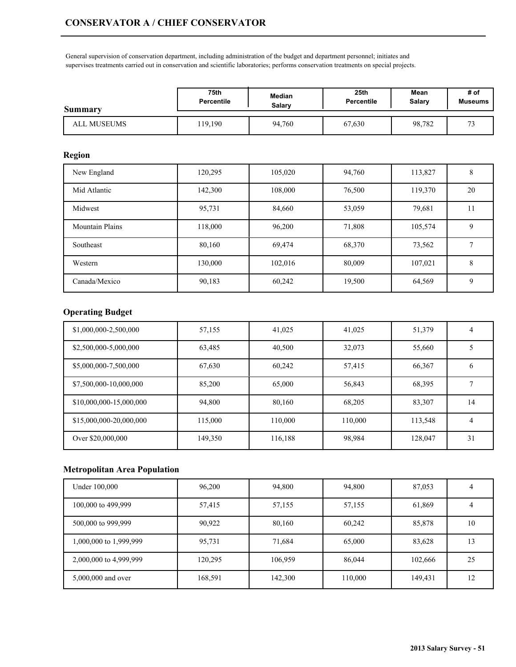General supervision of conservation department, including administration of the budget and department personnel; initiates and supervises treatments carried out in conservation and scientific laboratories; performs conservation treatments on special projects.

| Summary     | 75th              | <b>Median</b> | 25 <sub>th</sub>  | Mean   | # of    |
|-------------|-------------------|---------------|-------------------|--------|---------|
|             | <b>Percentile</b> | Salary        | <b>Percentile</b> | Salary | Museums |
| ALL MUSEUMS | 19.190            | 94.760        | 67,630            | 98,782 | $\sim$  |

#### **Region**

| New England            | 120,295 | 105,020 | 94,760 | 113,827 | 8           |
|------------------------|---------|---------|--------|---------|-------------|
| Mid Atlantic           | 142,300 | 108,000 | 76,500 | 119,370 | 20          |
| Midwest                | 95,731  | 84,660  | 53,059 | 79,681  | 11          |
| <b>Mountain Plains</b> | 118,000 | 96,200  | 71,808 | 105,574 | 9           |
| Southeast              | 80,160  | 69,474  | 68,370 | 73,562  |             |
| Western                | 130,000 | 102,016 | 80,009 | 107,021 | 8           |
| Canada/Mexico          | 90,183  | 60,242  | 19,500 | 64,569  | $\mathbf Q$ |

## **Operating Budget**

| \$1,000,000-2,500,000   | 57,155  | 41,025  | 41,025  | 51,379  | 4             |
|-------------------------|---------|---------|---------|---------|---------------|
| \$2,500,000-5,000,000   | 63,485  | 40,500  | 32,073  | 55,660  |               |
| \$5,000,000-7,500,000   | 67,630  | 60,242  | 57,415  | 66,367  | $\mathfrak b$ |
| \$7,500,000-10,000,000  | 85,200  | 65,000  | 56,843  | 68,395  |               |
| \$10,000,000-15,000,000 | 94.800  | 80,160  | 68,205  | 83,307  | 14            |
| \$15,000,000-20,000,000 | 115,000 | 110,000 | 110,000 | 113,548 | 4             |
| Over \$20,000,000       | 149,350 | 116,188 | 98,984  | 128,047 | 31            |

| Under 100,000          | 96,200  | 94,800  | 94,800  | 87,053  |    |
|------------------------|---------|---------|---------|---------|----|
| 100,000 to 499,999     | 57,415  | 57,155  | 57,155  | 61,869  | 4  |
| 500,000 to 999,999     | 90,922  | 80,160  | 60,242  | 85,878  | 10 |
| 1,000,000 to 1,999,999 | 95,731  | 71,684  | 65,000  | 83,628  | 13 |
| 2,000,000 to 4,999,999 | 120,295 | 106,959 | 86,044  | 102,666 | 25 |
| 5,000,000 and over     | 168,591 | 142,300 | 110,000 | 149,431 | 12 |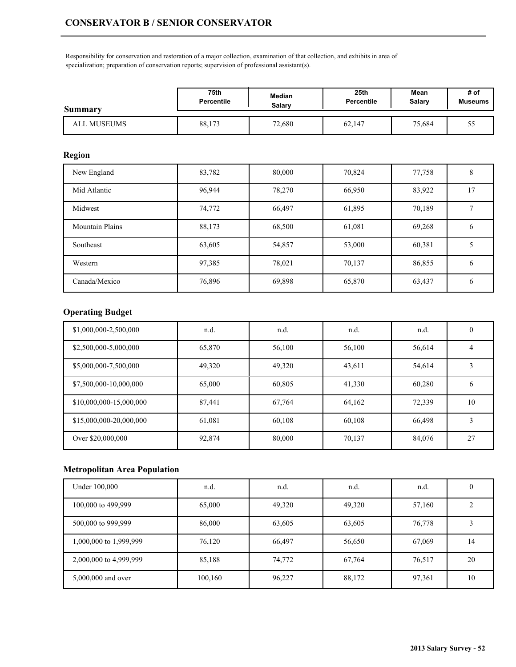Responsibility for conservation and restoration of a major collection, examination of that collection, and exhibits in area of specialization; preparation of conservation reports; supervision of professional assistant(s).

| Summary     | 75th              | Median | 25th              | Mean   | # of    |
|-------------|-------------------|--------|-------------------|--------|---------|
|             | <b>Percentile</b> | Salarv | <b>Percentile</b> | Salary | Museums |
| ALL MUSEUMS | 88,173            | 72,680 | 62,147            | 75,684 | ر. ر    |

## **Region**

| New England            | 83,782 | 80,000 | 70,824 | 77,758 | 8  |
|------------------------|--------|--------|--------|--------|----|
| Mid Atlantic           | 96,944 | 78,270 | 66,950 | 83,922 | 17 |
| Midwest                | 74,772 | 66,497 | 61,895 | 70,189 |    |
| <b>Mountain Plains</b> | 88,173 | 68,500 | 61,081 | 69,268 | O  |
| Southeast              | 63,605 | 54,857 | 53,000 | 60,381 |    |
| Western                | 97,385 | 78,021 | 70,137 | 86,855 | 6  |
| Canada/Mexico          | 76,896 | 69,898 | 65,870 | 63,437 | 6  |

## **Operating Budget**

| \$1,000,000-2,500,000   | n.d.   | n.d.   | n.d.   | n.d.   | $\theta$     |
|-------------------------|--------|--------|--------|--------|--------------|
| \$2,500,000-5,000,000   | 65,870 | 56,100 | 56,100 | 56,614 | 4            |
| \$5,000,000-7,500,000   | 49,320 | 49,320 | 43,611 | 54,614 | 3            |
| \$7,500,000-10,000,000  | 65,000 | 60,805 | 41,330 | 60,280 | <sub>b</sub> |
| \$10,000,000-15,000,000 | 87,441 | 67,764 | 64,162 | 72,339 | 10           |
| \$15,000,000-20,000,000 | 61,081 | 60,108 | 60,108 | 66,498 | 3            |
| Over \$20,000,000       | 92,874 | 80,000 | 70,137 | 84,076 | 27           |

| Under 100,000          | n.d.    | n.d.   | n.d.   | n.d.   |    |
|------------------------|---------|--------|--------|--------|----|
| 100,000 to 499,999     | 65,000  | 49,320 | 49,320 | 57,160 |    |
| 500,000 to 999,999     | 86,000  | 63,605 | 63,605 | 76,778 |    |
| 1,000,000 to 1,999,999 | 76,120  | 66,497 | 56,650 | 67,069 | 14 |
| 2,000,000 to 4,999,999 | 85,188  | 74,772 | 67,764 | 76,517 | 20 |
| 5,000,000 and over     | 100,160 | 96,227 | 88,172 | 97,361 | 10 |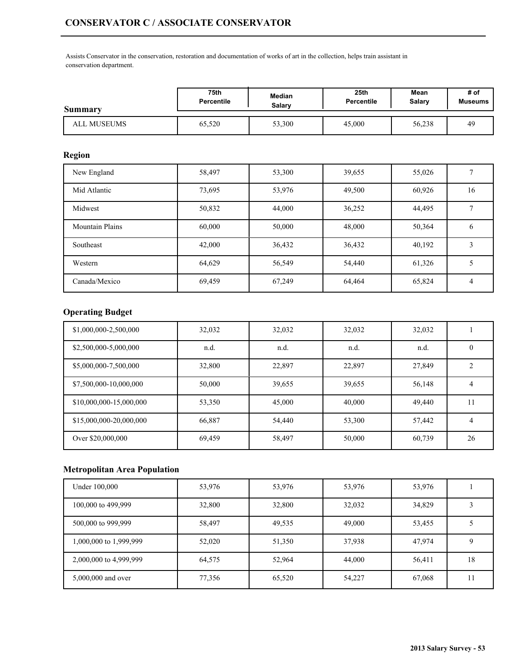Assists Conservator in the conservation, restoration and documentation of works of art in the collection, helps train assistant in conservation department.

| <b>Summary</b> | 75th              | Median | 25th       | Mean   | # of           |
|----------------|-------------------|--------|------------|--------|----------------|
|                | <b>Percentile</b> | Salarv | Percentile | Salary | <b>Museums</b> |
| ALL MUSEUMS    | 65,520            | 53,300 | 45,000     | 56,238 | 49             |

## **Region**

| New England            | 58,497 | 53,300 | 39,655 | 55,026 |              |
|------------------------|--------|--------|--------|--------|--------------|
| Mid Atlantic           | 73,695 | 53,976 | 49,500 | 60,926 | 16           |
| Midwest                | 50,832 | 44,000 | 36,252 | 44,495 |              |
| <b>Mountain Plains</b> | 60,000 | 50,000 | 48,000 | 50,364 | <sub>(</sub> |
| Southeast              | 42,000 | 36,432 | 36,432 | 40,192 |              |
| Western                | 64,629 | 56,549 | 54,440 | 61,326 |              |
| Canada/Mexico          | 69,459 | 67,249 | 64,464 | 65,824 | 4            |

# **Operating Budget**

| \$1,000,000-2,500,000   | 32,032 | 32,032 | 32,032 | 32,032 |          |
|-------------------------|--------|--------|--------|--------|----------|
| \$2,500,000-5,000,000   | n.d.   | n.d.   | n.d.   | n.d.   | $\theta$ |
| \$5,000,000-7,500,000   | 32,800 | 22,897 | 22,897 | 27,849 | ◠        |
| \$7,500,000-10,000,000  | 50,000 | 39,655 | 39,655 | 56,148 | 4        |
| \$10,000,000-15,000,000 | 53,350 | 45,000 | 40,000 | 49,440 | 11       |
| \$15,000,000-20,000,000 | 66,887 | 54,440 | 53,300 | 57,442 | 4        |
| Over \$20,000,000       | 69,459 | 58,497 | 50,000 | 60,739 | 26       |

| Under 100,000          | 53,976 | 53,976 | 53,976 | 53,976 |    |
|------------------------|--------|--------|--------|--------|----|
| 100,000 to 499,999     | 32,800 | 32,800 | 32,032 | 34,829 |    |
| 500,000 to 999,999     | 58,497 | 49,535 | 49,000 | 53,455 |    |
| 1,000,000 to 1,999,999 | 52,020 | 51,350 | 37,938 | 47,974 |    |
| 2,000,000 to 4,999,999 | 64,575 | 52,964 | 44,000 | 56,411 | 18 |
| 5,000,000 and over     | 77,356 | 65,520 | 54,227 | 67,068 |    |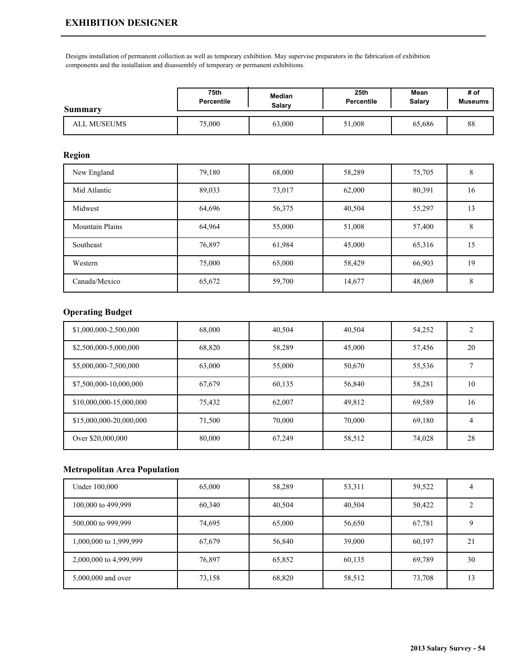# **EXHIBITION DESIGNER**

Designs installation of permanent collection as well as temporary exhibition. May supervise preparators in the fabrication of exhibition components and the installation and disassembly of temporary or permanent exhibitions.

| Summary     | 75th              | Median | 25 <sub>th</sub>  | Mean   | # of           |
|-------------|-------------------|--------|-------------------|--------|----------------|
|             | <b>Percentile</b> | Salarv | <b>Percentile</b> | Salary | <b>Museums</b> |
| ALL MUSEUMS | 75,000            | 63,000 | 51,008            | 65,686 | 88             |

#### **Region**

| New England            | 79,180 | 68,000 | 58,289 | 75,705 | 8  |
|------------------------|--------|--------|--------|--------|----|
| Mid Atlantic           | 89,033 | 73,017 | 62,000 | 80,391 | 16 |
| Midwest                | 64,696 | 56,375 | 40,504 | 55,297 | 13 |
| <b>Mountain Plains</b> | 64,964 | 55,000 | 51,008 | 57,400 | 8  |
| Southeast              | 76,897 | 61,984 | 45,000 | 65,316 | 15 |
| Western                | 75,000 | 65,000 | 58,429 | 66,903 | 19 |
| Canada/Mexico          | 65,672 | 59,700 | 14,677 | 48,069 | 8  |

#### **Operating Budget**

| \$1,000,000-2,500,000   | 68,000 | 40,504 | 40,504 | 54,252 |    |
|-------------------------|--------|--------|--------|--------|----|
| \$2,500,000-5,000,000   | 68,820 | 58,289 | 45,000 | 57,456 | 20 |
| \$5,000,000-7,500,000   | 63,000 | 55,000 | 50,670 | 55,536 |    |
| \$7,500,000-10,000,000  | 67,679 | 60,135 | 56,840 | 58,281 | 10 |
| \$10,000,000-15,000,000 | 75,432 | 62,007 | 49,812 | 69,589 | 16 |
| \$15,000,000-20,000,000 | 71.500 | 70,000 | 70,000 | 69,180 | 4  |
| Over \$20,000,000       | 80,000 | 67,249 | 58,512 | 74,028 | 28 |

| Under 100,000          | 65,000 | 58,289 | 53,311 | 59,522 |    |
|------------------------|--------|--------|--------|--------|----|
| 100,000 to 499,999     | 60,340 | 40,504 | 40,504 | 50,422 |    |
| 500,000 to 999,999     | 74,695 | 65,000 | 56,650 | 67,781 |    |
| 1,000,000 to 1,999,999 | 67,679 | 56,840 | 39,000 | 60,197 | 21 |
| 2,000,000 to 4,999,999 | 76,897 | 65,852 | 60,135 | 69,789 | 30 |
| 5,000,000 and over     | 73,158 | 68,820 | 58,512 | 73,708 | 13 |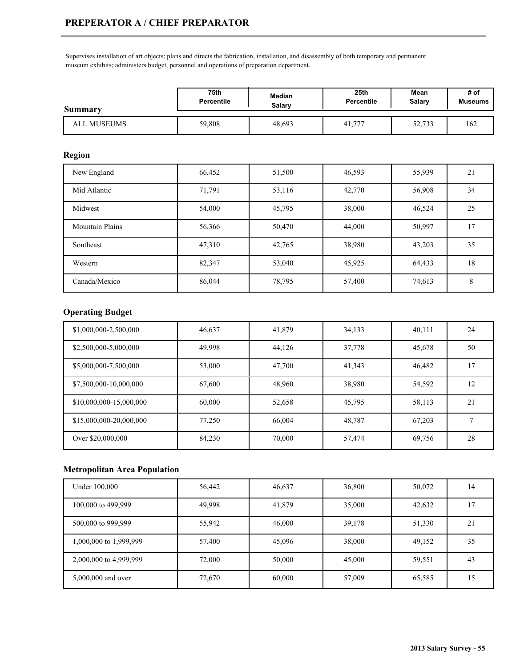# **PREPERATOR A / CHIEF PREPARATOR**

Supervises installation of art objects; plans and directs the fabrication, installation, and disassembly of both temporary and permanent museum exhibits; administers budget, personnel and operations of preparation department.

| Summary     | 75th              | Median | 25th              | Mean   | # of           |
|-------------|-------------------|--------|-------------------|--------|----------------|
|             | <b>Percentile</b> | Salarv | <b>Percentile</b> | Salary | <b>Museums</b> |
| ALL MUSEUMS | 59,808            | 48,693 | 41,777            | 52,733 | 162            |

### **Region**

| New England            | 66,452 | 51,500 | 46,593 | 55,939 | 21 |
|------------------------|--------|--------|--------|--------|----|
| Mid Atlantic           | 71,791 | 53,116 | 42,770 | 56,908 | 34 |
| Midwest                | 54,000 | 45,795 | 38,000 | 46,524 | 25 |
| <b>Mountain Plains</b> | 56,366 | 50,470 | 44,000 | 50,997 | 17 |
| Southeast              | 47,310 | 42,765 | 38,980 | 43,203 | 35 |
| Western                | 82,347 | 53,040 | 45,925 | 64,433 | 18 |
| Canada/Mexico          | 86,044 | 78,795 | 57,400 | 74,613 | 8  |

## **Operating Budget**

| \$1,000,000-2,500,000   | 46,637 | 41,879 | 34,133 | 40,111 | 24 |
|-------------------------|--------|--------|--------|--------|----|
| \$2,500,000-5,000,000   | 49,998 | 44,126 | 37,778 | 45,678 | 50 |
| \$5,000,000-7,500,000   | 53,000 | 47,700 | 41,343 | 46,482 | 17 |
| \$7,500,000-10,000,000  | 67,600 | 48,960 | 38,980 | 54,592 | 12 |
| \$10,000,000-15,000,000 | 60,000 | 52,658 | 45,795 | 58,113 | 21 |
| \$15,000,000-20,000,000 | 77,250 | 66,004 | 48,787 | 67,203 |    |
| Over \$20,000,000       | 84,230 | 70,000 | 57,474 | 69,756 | 28 |

| Under 100,000          | 56,442 | 46,637 | 36,800 | 50,072 | 14 |
|------------------------|--------|--------|--------|--------|----|
| 100,000 to 499,999     | 49,998 | 41,879 | 35,000 | 42,632 | 17 |
| 500,000 to 999,999     | 55,942 | 46,000 | 39,178 | 51,330 | 21 |
| 1,000,000 to 1,999,999 | 57,400 | 45,096 | 38,000 | 49,152 | 35 |
| 2,000,000 to 4,999,999 | 72,000 | 50,000 | 45,000 | 59,551 | 43 |
| 5,000,000 and over     | 72,670 | 60,000 | 57,009 | 65,585 | 15 |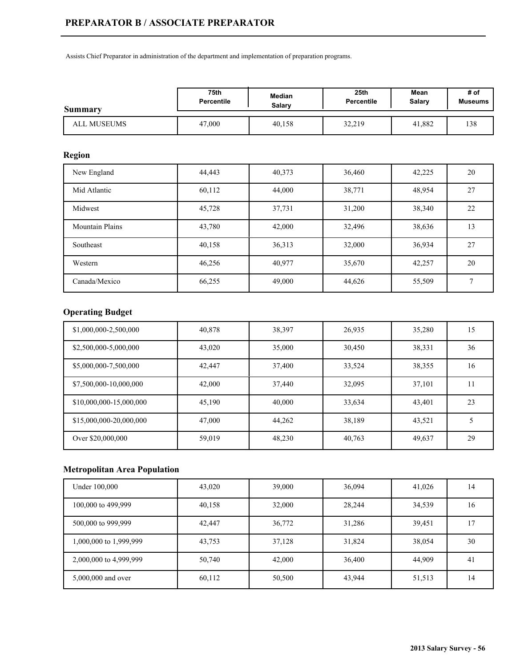Assists Chief Preparator in administration of the department and implementation of preparation programs.

| Summary     | 75th              | Median | 25 <sub>th</sub>  | Mean   | # of           |
|-------------|-------------------|--------|-------------------|--------|----------------|
|             | <b>Percentile</b> | Salarv | <b>Percentile</b> | Salary | <b>Museums</b> |
| ALL MUSEUMS | 47,000            | 40,158 | 32,219            | 41,882 | 138            |

### **Region**

| New England            | 44,443 | 40,373 | 36,460 | 42,225 | 20 |
|------------------------|--------|--------|--------|--------|----|
| Mid Atlantic           | 60,112 | 44,000 | 38,771 | 48,954 | 27 |
| Midwest                | 45,728 | 37,731 | 31,200 | 38,340 | 22 |
| <b>Mountain Plains</b> | 43,780 | 42,000 | 32,496 | 38,636 | 13 |
| Southeast              | 40,158 | 36,313 | 32,000 | 36,934 | 27 |
| Western                | 46,256 | 40,977 | 35,670 | 42,257 | 20 |
| Canada/Mexico          | 66,255 | 49,000 | 44,626 | 55,509 |    |

# **Operating Budget**

| \$1,000,000-2,500,000   | 40,878 | 38,397 | 26,935 | 35,280 | 15 |
|-------------------------|--------|--------|--------|--------|----|
| \$2,500,000-5,000,000   | 43,020 | 35,000 | 30,450 | 38,331 | 36 |
| \$5,000,000-7,500,000   | 42,447 | 37,400 | 33,524 | 38,355 | 16 |
| \$7,500,000-10,000,000  | 42,000 | 37,440 | 32,095 | 37,101 |    |
| \$10,000,000-15,000,000 | 45,190 | 40,000 | 33,634 | 43,401 | 23 |
| \$15,000,000-20,000,000 | 47,000 | 44,262 | 38,189 | 43,521 |    |
| Over \$20,000,000       | 59,019 | 48,230 | 40,763 | 49,637 | 29 |

| Under 100,000          | 43,020 | 39,000 | 36,094 | 41,026 | 14 |
|------------------------|--------|--------|--------|--------|----|
| 100,000 to 499,999     | 40,158 | 32,000 | 28,244 | 34,539 | 16 |
| 500,000 to 999,999     | 42,447 | 36,772 | 31,286 | 39,451 | 17 |
| 1,000,000 to 1,999,999 | 43,753 | 37,128 | 31,824 | 38,054 | 30 |
| 2,000,000 to 4,999,999 | 50,740 | 42,000 | 36,400 | 44,909 | 41 |
| 5,000,000 and over     | 60,112 | 50,500 | 43,944 | 51,513 | 14 |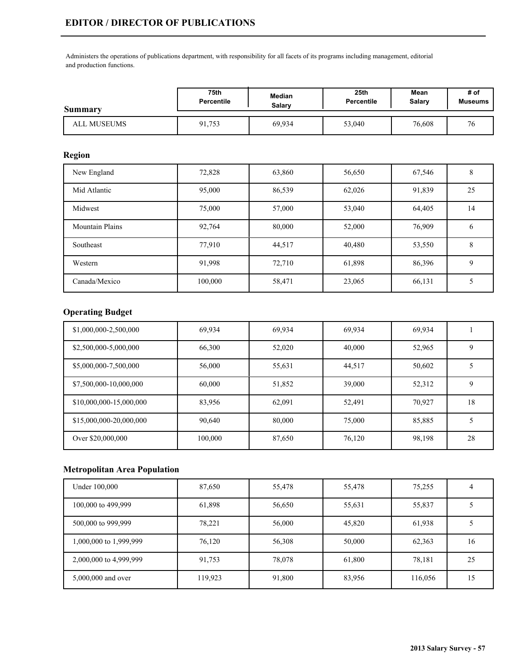Administers the operations of publications department, with responsibility for all facets of its programs including management, editorial and production functions.

| <b>Summary</b> | 75th              | Median | 25 <sub>th</sub>  | Mean   | # of                 |
|----------------|-------------------|--------|-------------------|--------|----------------------|
|                | <b>Percentile</b> | Salarv | <b>Percentile</b> | Salary | <b>Museums</b>       |
| ALL MUSEUMS    | 91,753            | 69,934 | 53,040            | 76,608 | $\overline{ }$<br>76 |

## **Region**

| New England            | 72,828  | 63,860 | 56,650 | 67,546 | δ  |
|------------------------|---------|--------|--------|--------|----|
| Mid Atlantic           | 95,000  | 86,539 | 62,026 | 91,839 | 25 |
| Midwest                | 75,000  | 57,000 | 53,040 | 64,405 | 14 |
| <b>Mountain Plains</b> | 92,764  | 80,000 | 52,000 | 76,909 | O  |
| Southeast              | 77,910  | 44,517 | 40,480 | 53,550 | 8  |
| Western                | 91,998  | 72,710 | 61,898 | 86,396 | 9  |
| Canada/Mexico          | 100,000 | 58,471 | 23,065 | 66,131 |    |

## **Operating Budget**

| \$1,000,000-2,500,000   | 69,934  | 69,934 | 69,934 | 69.934 |    |
|-------------------------|---------|--------|--------|--------|----|
| \$2,500,000-5,000,000   | 66,300  | 52,020 | 40,000 | 52,965 | 9  |
| \$5,000,000-7,500,000   | 56,000  | 55,631 | 44,517 | 50,602 |    |
| \$7,500,000-10,000,000  | 60,000  | 51,852 | 39,000 | 52,312 | 9  |
| \$10,000,000-15,000,000 | 83,956  | 62,091 | 52,491 | 70,927 | 18 |
| \$15,000,000-20,000,000 | 90.640  | 80,000 | 75,000 | 85,885 |    |
| Over \$20,000,000       | 100,000 | 87,650 | 76,120 | 98,198 | 28 |

| Under 100,000          | 87,650  | 55,478 | 55,478 | 75,255  |    |
|------------------------|---------|--------|--------|---------|----|
| 100,000 to 499,999     | 61,898  | 56,650 | 55,631 | 55,837  |    |
| 500,000 to 999,999     | 78,221  | 56,000 | 45,820 | 61,938  |    |
| 1,000,000 to 1,999,999 | 76,120  | 56,308 | 50,000 | 62,363  | 16 |
| 2,000,000 to 4,999,999 | 91,753  | 78,078 | 61,800 | 78,181  | 25 |
| 5,000,000 and over     | 119,923 | 91,800 | 83,956 | 116,056 | 15 |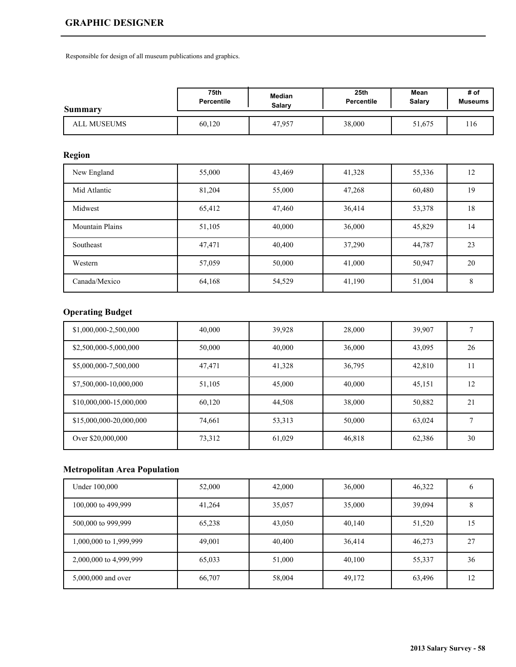# **GRAPHIC DESIGNER**

Responsible for design of all museum publications and graphics.

| Summary     | 75th              | Median | 25 <sub>th</sub> | Mean   | # of           |
|-------------|-------------------|--------|------------------|--------|----------------|
|             | <b>Percentile</b> | Salary | Percentile       | Salary | <b>Museums</b> |
| ALL MUSEUMS | 60,120            | 47,957 | 38,000           | 51,675 | 116            |

## **Region**

| New England            | 55,000 | 43,469 | 41,328 | 55,336 | 12 |
|------------------------|--------|--------|--------|--------|----|
| Mid Atlantic           | 81,204 | 55,000 | 47,268 | 60,480 | 19 |
| Midwest                | 65,412 | 47,460 | 36,414 | 53,378 | 18 |
| <b>Mountain Plains</b> | 51,105 | 40,000 | 36,000 | 45,829 | 14 |
| Southeast              | 47,471 | 40,400 | 37,290 | 44,787 | 23 |
| Western                | 57,059 | 50,000 | 41,000 | 50,947 | 20 |
| Canada/Mexico          | 64,168 | 54,529 | 41,190 | 51,004 | 8  |

# **Operating Budget**

| \$1,000,000-2,500,000   | 40,000 | 39,928 | 28,000 | 39,907 |    |
|-------------------------|--------|--------|--------|--------|----|
| \$2,500,000-5,000,000   | 50,000 | 40,000 | 36,000 | 43,095 | 26 |
| \$5,000,000-7,500,000   | 47,471 | 41,328 | 36,795 | 42,810 |    |
| \$7,500,000-10,000,000  | 51,105 | 45,000 | 40,000 | 45,151 | 12 |
| \$10,000,000-15,000,000 | 60,120 | 44,508 | 38,000 | 50,882 | 21 |
| \$15,000,000-20,000,000 | 74,661 | 53,313 | 50,000 | 63,024 |    |
| Over \$20,000,000       | 73,312 | 61,029 | 46,818 | 62,386 | 30 |

| Under 100,000          | 52,000 | 42,000 | 36,000 | 46,322 |    |
|------------------------|--------|--------|--------|--------|----|
| 100,000 to 499,999     | 41,264 | 35,057 | 35,000 | 39,094 |    |
| 500,000 to 999,999     | 65,238 | 43,050 | 40,140 | 51,520 | 15 |
| 1,000,000 to 1,999,999 | 49,001 | 40,400 | 36,414 | 46,273 | 27 |
| 2,000,000 to 4,999,999 | 65,033 | 51,000 | 40,100 | 55,337 | 36 |
| 5,000,000 and over     | 66,707 | 58,004 | 49,172 | 63,496 | 12 |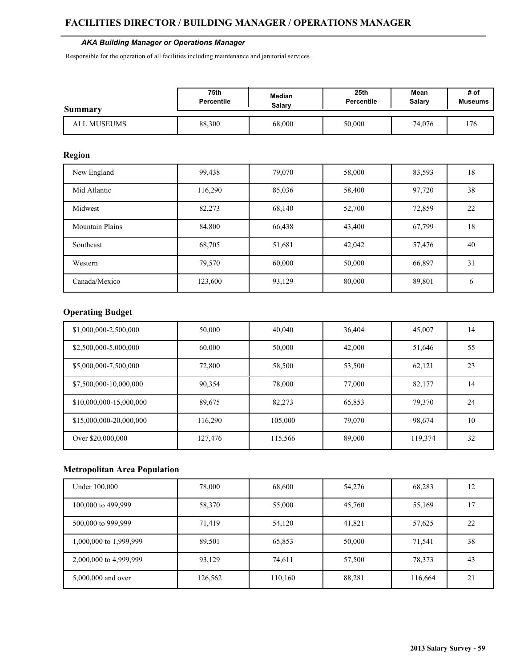# **FACILITIES DIRECTOR / BUILDING MANAGER / OPERATIONS MANAGER**

#### *AKA Building Manager or Operations Manager*

Responsible for the operation of all facilities including maintenance and janitorial services.

| <b>Summary</b> | 75th              | <b>Median</b> | 25th              | Mean   | # of           |
|----------------|-------------------|---------------|-------------------|--------|----------------|
|                | <b>Percentile</b> | Salarv        | <b>Percentile</b> | Salary | <b>Museums</b> |
| ALL MUSEUMS    | 88,300            | 68,000        | 50,000            | 74.076 | 176            |

## **Region**

| New England            | 99,438  | 79,070 | 58,000 | 83,593 | 18 |
|------------------------|---------|--------|--------|--------|----|
| Mid Atlantic           | 116,290 | 85,036 | 58,400 | 97,720 | 38 |
| Midwest                | 82,273  | 68,140 | 52,700 | 72,859 | 22 |
| <b>Mountain Plains</b> | 84,800  | 66,438 | 43,400 | 67,799 | 18 |
| Southeast              | 68,705  | 51,681 | 42,042 | 57,476 | 40 |
| Western                | 79,570  | 60,000 | 50,000 | 66,897 | 31 |
| Canada/Mexico          | 123,600 | 93,129 | 80,000 | 89,801 | b  |

## **Operating Budget**

| \$1,000,000-2,500,000   | 50,000  | 40,040  | 36,404 | 45,007  | 14 |
|-------------------------|---------|---------|--------|---------|----|
| \$2,500,000-5,000,000   | 60,000  | 50,000  | 42,000 | 51,646  | 55 |
| \$5,000,000-7,500,000   | 72,800  | 58,500  | 53,500 | 62,121  | 23 |
| \$7,500,000-10,000,000  | 90,354  | 78,000  | 77,000 | 82,177  | 14 |
| \$10,000,000-15,000,000 | 89,675  | 82,273  | 65,853 | 79,370  | 24 |
| \$15,000,000-20,000,000 | 116.290 | 105,000 | 79,070 | 98,674  | 10 |
| Over \$20,000,000       | 127,476 | 115,566 | 89,000 | 119,374 | 32 |

| Under 100,000          | 78,000  | 68,600  | 54,276 | 68,283  | 12 |
|------------------------|---------|---------|--------|---------|----|
| 100,000 to 499,999     | 58,370  | 55,000  | 45,760 | 55,169  | -7 |
| 500,000 to 999,999     | 71,419  | 54,120  | 41,821 | 57,625  | 22 |
| 1,000,000 to 1,999,999 | 89,501  | 65,853  | 50,000 | 71,541  | 38 |
| 2,000,000 to 4,999,999 | 93,129  | 74,611  | 57,500 | 78,373  | 43 |
| 5,000,000 and over     | 126,562 | 110,160 | 88,281 | 116,664 | 21 |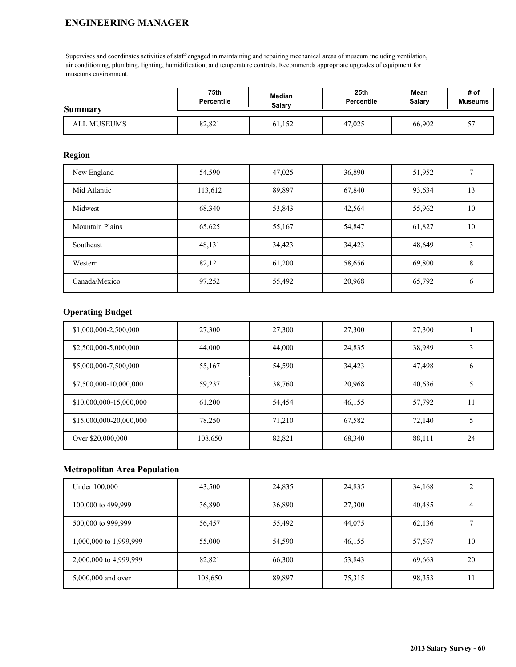# **ENGINEERING MANAGER**

Supervises and coordinates activities of staff engaged in maintaining and repairing mechanical areas of museum including ventilation, air conditioning, plumbing, lighting, humidification, and temperature controls. Recommends appropriate upgrades of equipment for museums environment.

| Summary     | 75th              | <b>Median</b> | 25 <sub>th</sub> | Mean   | # of           |
|-------------|-------------------|---------------|------------------|--------|----------------|
|             | <b>Percentile</b> | Salarv        | Percentile       | Salary | <b>Museums</b> |
| ALL MUSEUMS | 82,821            | 61,152        | 47,025           | 66,902 |                |

### **Region**

| New England            | 54,590  | 47,025 | 36,890 | 51,952 |    |
|------------------------|---------|--------|--------|--------|----|
| Mid Atlantic           | 113,612 | 89,897 | 67,840 | 93,634 | 13 |
| Midwest                | 68,340  | 53,843 | 42,564 | 55,962 | 10 |
| <b>Mountain Plains</b> | 65,625  | 55,167 | 54,847 | 61,827 | 10 |
| Southeast              | 48,131  | 34,423 | 34,423 | 48,649 | 3  |
| Western                | 82,121  | 61,200 | 58,656 | 69,800 | 8  |
| Canada/Mexico          | 97,252  | 55,492 | 20,968 | 65,792 | 6  |

## **Operating Budget**

| \$1,000,000-2,500,000   | 27,300  | 27,300 | 27,300 | 27,300 |               |
|-------------------------|---------|--------|--------|--------|---------------|
| \$2,500,000-5,000,000   | 44,000  | 44,000 | 24,835 | 38,989 |               |
| \$5,000,000-7,500,000   | 55,167  | 54,590 | 34,423 | 47,498 | $\mathfrak b$ |
| \$7,500,000-10,000,000  | 59,237  | 38,760 | 20,968 | 40,636 |               |
| \$10,000,000-15,000,000 | 61,200  | 54,454 | 46,155 | 57,792 |               |
| \$15,000,000-20,000,000 | 78.250  | 71,210 | 67,582 | 72,140 |               |
| Over \$20,000,000       | 108,650 | 82,821 | 68,340 | 88,111 | 24            |

| Under 100,000          | 43,500  | 24,835 | 24,835 | 34,168 |    |
|------------------------|---------|--------|--------|--------|----|
| 100,000 to 499,999     | 36,890  | 36,890 | 27,300 | 40,485 |    |
| 500,000 to 999,999     | 56,457  | 55,492 | 44,075 | 62,136 |    |
| 1,000,000 to 1,999,999 | 55,000  | 54,590 | 46,155 | 57,567 | 10 |
| 2,000,000 to 4,999,999 | 82,821  | 66,300 | 53,843 | 69,663 | 20 |
| 5,000,000 and over     | 108,650 | 89,897 | 75,315 | 98,353 | 11 |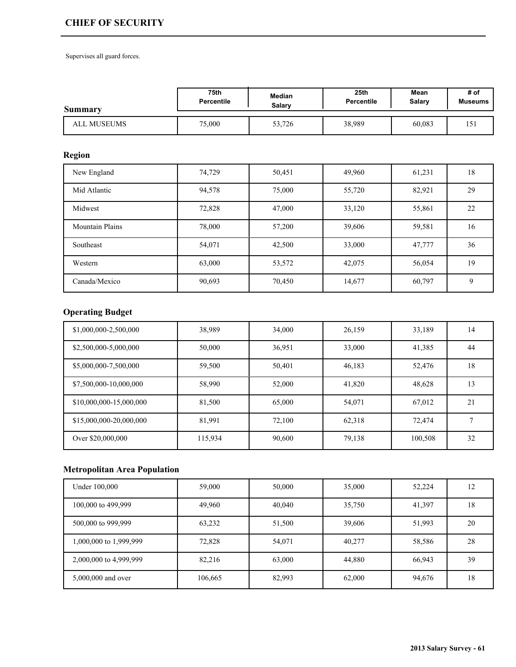# **CHIEF OF SECURITY**

Supervises all guard forces.

| <b>Summary</b> | 75th       | <b>Median</b> | 25 <sub>th</sub> | Mean          | # of           |
|----------------|------------|---------------|------------------|---------------|----------------|
|                | Percentile | Salarv        | Percentile       | <b>Salary</b> | <b>Museums</b> |
| ALL MUSEUMS    | 75,000     | 53,726        | 38,989           | 60,083        | 151            |

## **Region**

| New England            | 74,729 | 50,451 | 49,960 | 61,231 | 18 |
|------------------------|--------|--------|--------|--------|----|
| Mid Atlantic           | 94,578 | 75,000 | 55,720 | 82,921 | 29 |
| Midwest                | 72,828 | 47,000 | 33,120 | 55,861 | 22 |
| <b>Mountain Plains</b> | 78,000 | 57,200 | 39,606 | 59,581 | 16 |
| Southeast              | 54,071 | 42,500 | 33,000 | 47,777 | 36 |
| Western                | 63,000 | 53,572 | 42,075 | 56,054 | 19 |
| Canada/Mexico          | 90,693 | 70,450 | 14,677 | 60,797 | 9  |

# **Operating Budget**

| \$1,000,000-2,500,000   | 38,989  | 34,000 | 26,159 | 33,189  | 14 |
|-------------------------|---------|--------|--------|---------|----|
| \$2,500,000-5,000,000   | 50,000  | 36,951 | 33,000 | 41,385  | 44 |
| \$5,000,000-7,500,000   | 59,500  | 50,401 | 46,183 | 52,476  | 18 |
| \$7,500,000-10,000,000  | 58,990  | 52,000 | 41,820 | 48,628  | 13 |
| \$10,000,000-15,000,000 | 81,500  | 65,000 | 54,071 | 67,012  | 21 |
| \$15,000,000-20,000,000 | 81,991  | 72,100 | 62,318 | 72,474  |    |
| Over \$20,000,000       | 115,934 | 90,600 | 79,138 | 100,508 | 32 |

| Under 100,000          | 59,000  | 50,000 | 35,000 | 52,224 | 12 |
|------------------------|---------|--------|--------|--------|----|
| 100,000 to 499,999     | 49,960  | 40,040 | 35,750 | 41,397 | 18 |
| 500,000 to 999,999     | 63,232  | 51,500 | 39,606 | 51,993 | 20 |
| 1,000,000 to 1,999,999 | 72,828  | 54,071 | 40,277 | 58,586 | 28 |
| 2,000,000 to 4,999,999 | 82,216  | 63,000 | 44,880 | 66,943 | 39 |
| 5,000,000 and over     | 106,665 | 82,993 | 62,000 | 94,676 | 18 |